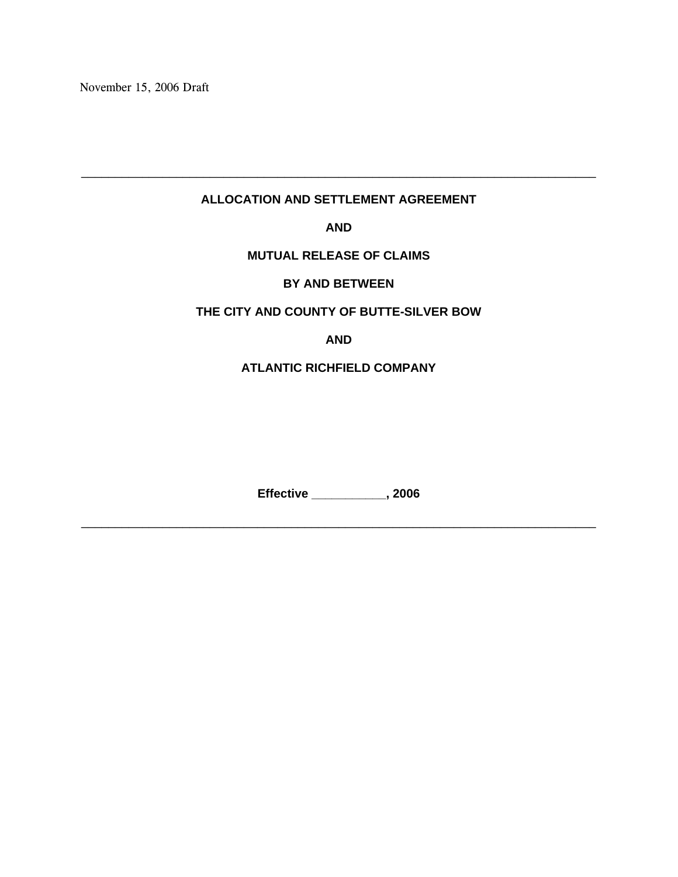November 15, 2006 Draft

### **ALLOCATION AND SETTLEMENT AGREEMENT**

\_\_\_\_\_\_\_\_\_\_\_\_\_\_\_\_\_\_\_\_\_\_\_\_\_\_\_\_\_\_\_\_\_\_\_\_\_\_\_\_\_\_\_\_\_\_\_\_\_\_\_\_\_\_\_\_\_\_\_\_\_\_\_\_\_\_\_\_\_\_\_\_\_\_\_\_

**AND** 

**MUTUAL RELEASE OF CLAIMS** 

**BY AND BETWEEN** 

#### **THE CITY AND COUNTY OF BUTTE-SILVER BOW**

**AND** 

### **ATLANTIC RICHFIELD COMPANY**

**Effective \_\_\_\_\_\_\_\_\_\_\_, 2006** 

\_\_\_\_\_\_\_\_\_\_\_\_\_\_\_\_\_\_\_\_\_\_\_\_\_\_\_\_\_\_\_\_\_\_\_\_\_\_\_\_\_\_\_\_\_\_\_\_\_\_\_\_\_\_\_\_\_\_\_\_\_\_\_\_\_\_\_\_\_\_\_\_\_\_\_\_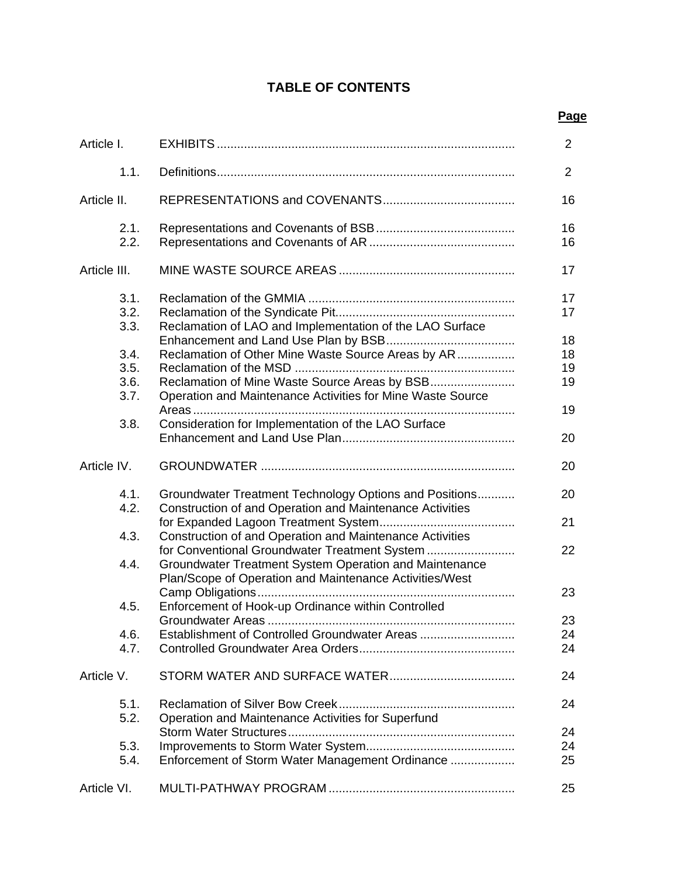# **TABLE OF CONTENTS**

#### **Page** in the contract of the contract of the contract of the contract of the contract of the contract of the contract of the contract of the contract of the contract of the contract of the contract of the contract of the

| Article I.                                                   |                                                                                                                                                                                                                                                                                      | $\overline{2}$                         |
|--------------------------------------------------------------|--------------------------------------------------------------------------------------------------------------------------------------------------------------------------------------------------------------------------------------------------------------------------------------|----------------------------------------|
| 1.1.                                                         |                                                                                                                                                                                                                                                                                      | $\overline{2}$                         |
| Article II.                                                  |                                                                                                                                                                                                                                                                                      | 16                                     |
| 2.1.<br>2.2.                                                 |                                                                                                                                                                                                                                                                                      | 16<br>16                               |
| Article III.                                                 |                                                                                                                                                                                                                                                                                      | 17                                     |
| 3.1.<br>3.2.<br>3.3.<br>3.4.<br>3.5.<br>3.6.<br>3.7.<br>3.8. | Reclamation of LAO and Implementation of the LAO Surface<br>Reclamation of Other Mine Waste Source Areas by AR<br>Reclamation of Mine Waste Source Areas by BSB<br>Operation and Maintenance Activities for Mine Waste Source<br>Consideration for Implementation of the LAO Surface | 17<br>17<br>18<br>18<br>19<br>19<br>19 |
| Article IV.                                                  |                                                                                                                                                                                                                                                                                      | 20<br>20                               |
|                                                              |                                                                                                                                                                                                                                                                                      |                                        |
| 4.1.<br>4.2.                                                 | Groundwater Treatment Technology Options and Positions<br>Construction of and Operation and Maintenance Activities                                                                                                                                                                   | 20<br>21                               |
| 4.3.                                                         | Construction of and Operation and Maintenance Activities                                                                                                                                                                                                                             |                                        |
| 4.4.                                                         | for Conventional Groundwater Treatment System<br>Groundwater Treatment System Operation and Maintenance<br>Plan/Scope of Operation and Maintenance Activities/West                                                                                                                   | 22                                     |
| 4.5.                                                         | .<br>Enforcement of Hook-up Ordinance within Controlled                                                                                                                                                                                                                              | 23                                     |
|                                                              | Establishment of Controlled Groundwater Areas                                                                                                                                                                                                                                        | 23                                     |
| 4.6.<br>4.7.                                                 |                                                                                                                                                                                                                                                                                      | 24<br>24                               |
| Article V.                                                   |                                                                                                                                                                                                                                                                                      | 24                                     |
| 5.1.<br>5.2.                                                 | Operation and Maintenance Activities for Superfund                                                                                                                                                                                                                                   | 24                                     |
|                                                              |                                                                                                                                                                                                                                                                                      | 24                                     |
| 5.3.<br>5.4.                                                 | Enforcement of Storm Water Management Ordinance                                                                                                                                                                                                                                      | 24<br>25                               |
| Article VI.                                                  |                                                                                                                                                                                                                                                                                      | 25                                     |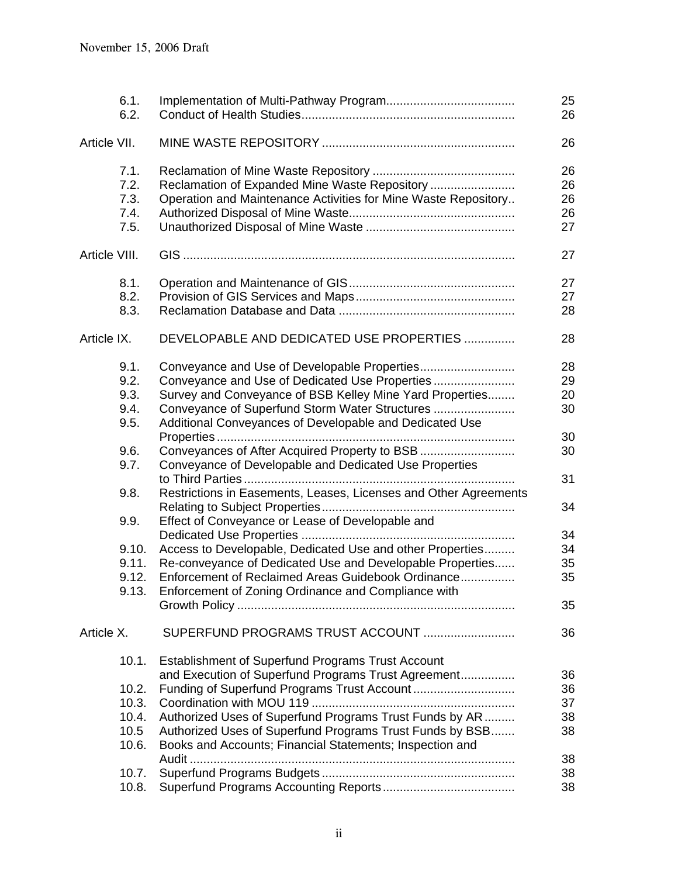| 6.1.<br>6.2.  |                                                                                                                 | 25<br>26 |
|---------------|-----------------------------------------------------------------------------------------------------------------|----------|
| Article VII.  |                                                                                                                 | 26       |
| 7.1.          |                                                                                                                 | 26       |
| 7.2.          | Reclamation of Expanded Mine Waste Repository                                                                   | 26       |
| 7.3.          | Operation and Maintenance Activities for Mine Waste Repository                                                  | 26       |
| 7.4.          |                                                                                                                 | 26       |
| 7.5.          |                                                                                                                 | 27       |
| Article VIII. |                                                                                                                 | 27       |
| 8.1.          |                                                                                                                 | 27       |
| 8.2.          |                                                                                                                 | 27       |
| 8.3.          |                                                                                                                 | 28       |
| Article IX.   | DEVELOPABLE AND DEDICATED USE PROPERTIES                                                                        | 28       |
| 9.1.          | Conveyance and Use of Developable Properties                                                                    | 28       |
| 9.2.          | Conveyance and Use of Dedicated Use Properties                                                                  | 29       |
| 9.3.          | Survey and Conveyance of BSB Kelley Mine Yard Properties                                                        | 20       |
| 9.4.          | Conveyance of Superfund Storm Water Structures                                                                  | 30       |
| 9.5.          | Additional Conveyances of Developable and Dedicated Use                                                         | 30       |
| 9.6.          | Conveyances of After Acquired Property to BSB                                                                   | 30       |
| 9.7.          | Conveyance of Developable and Dedicated Use Properties                                                          | 31       |
| 9.8.          | Restrictions in Easements, Leases, Licenses and Other Agreements                                                |          |
|               |                                                                                                                 | 34       |
| 9.9.          | Effect of Conveyance or Lease of Developable and                                                                |          |
|               |                                                                                                                 | 34       |
| 9.10.         | Access to Developable, Dedicated Use and other Properties                                                       | 34       |
| 9.11.         | Re-conveyance of Dedicated Use and Developable Properties                                                       | 35       |
| 9.12.         | Enforcement of Reclaimed Areas Guidebook Ordinance                                                              | 35       |
| 9.13.         | Enforcement of Zoning Ordinance and Compliance with                                                             |          |
|               |                                                                                                                 | 35       |
| Article X.    | SUPERFUND PROGRAMS TRUST ACCOUNT                                                                                | 36       |
| 10.1.         | <b>Establishment of Superfund Programs Trust Account</b><br>and Execution of Superfund Programs Trust Agreement | 36       |
| 10.2.         |                                                                                                                 | 36       |
| 10.3.         |                                                                                                                 | 37       |
| 10.4.         | Authorized Uses of Superfund Programs Trust Funds by AR                                                         | 38       |
| 10.5          | Authorized Uses of Superfund Programs Trust Funds by BSB                                                        | 38       |
| 10.6.         | Books and Accounts; Financial Statements; Inspection and                                                        |          |
|               |                                                                                                                 | 38       |
| 10.7.         |                                                                                                                 | 38       |
| 10.8.         |                                                                                                                 | 38       |
|               |                                                                                                                 |          |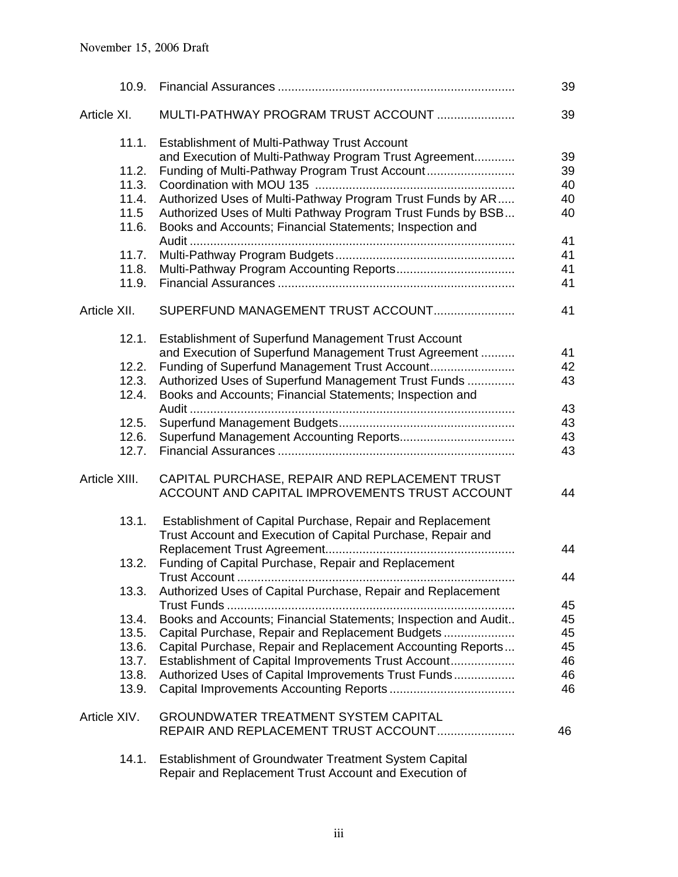| 10.9.         |                                                                | 39 |
|---------------|----------------------------------------------------------------|----|
| Article XI.   | MULTI-PATHWAY PROGRAM TRUST ACCOUNT                            | 39 |
| 11.1.         | Establishment of Multi-Pathway Trust Account                   |    |
|               | and Execution of Multi-Pathway Program Trust Agreement         | 39 |
| 11.2.         | Funding of Multi-Pathway Program Trust Account                 | 39 |
| 11.3.         |                                                                | 40 |
| 11.4.         | Authorized Uses of Multi-Pathway Program Trust Funds by AR     | 40 |
| 11.5          | Authorized Uses of Multi Pathway Program Trust Funds by BSB    | 40 |
| 11.6.         | Books and Accounts; Financial Statements; Inspection and       |    |
|               |                                                                | 41 |
| 11.7.         |                                                                | 41 |
| 11.8.         |                                                                | 41 |
| 11.9.         |                                                                | 41 |
| Article XII.  | SUPERFUND MANAGEMENT TRUST ACCOUNT                             | 41 |
|               |                                                                |    |
| 12.1.         | Establishment of Superfund Management Trust Account            |    |
|               | and Execution of Superfund Management Trust Agreement          | 41 |
| 12.2.         | Funding of Superfund Management Trust Account                  | 42 |
| 12.3.         | Authorized Uses of Superfund Management Trust Funds            | 43 |
| 12.4.         | Books and Accounts; Financial Statements; Inspection and       |    |
|               |                                                                | 43 |
| 12.5.         |                                                                | 43 |
| 12.6.         |                                                                | 43 |
| 12.7.         |                                                                | 43 |
| Article XIII. | CAPITAL PURCHASE, REPAIR AND REPLACEMENT TRUST                 |    |
|               | ACCOUNT AND CAPITAL IMPROVEMENTS TRUST ACCOUNT                 | 44 |
| 13.1.         | Establishment of Capital Purchase, Repair and Replacement      |    |
|               | Trust Account and Execution of Capital Purchase, Repair and    |    |
|               |                                                                | 44 |
| 13.2.         | Funding of Capital Purchase, Repair and Replacement            |    |
|               |                                                                | 44 |
| 13.3.         | Authorized Uses of Capital Purchase, Repair and Replacement    |    |
|               |                                                                | 45 |
| 13.4.         | Books and Accounts; Financial Statements; Inspection and Audit | 45 |
| 13.5.         | Capital Purchase, Repair and Replacement Budgets               | 45 |
| 13.6.         | Capital Purchase, Repair and Replacement Accounting Reports    | 45 |
| 13.7.         | Establishment of Capital Improvements Trust Account            | 46 |
| 13.8.         | Authorized Uses of Capital Improvements Trust Funds            | 46 |
| 13.9.         |                                                                | 46 |
|               |                                                                |    |
| Article XIV.  | <b>GROUNDWATER TREATMENT SYSTEM CAPITAL</b>                    |    |
|               | REPAIR AND REPLACEMENT TRUST ACCOUNT                           | 46 |
| 14.1.         | Establishment of Groundwater Treatment System Capital          |    |
|               |                                                                |    |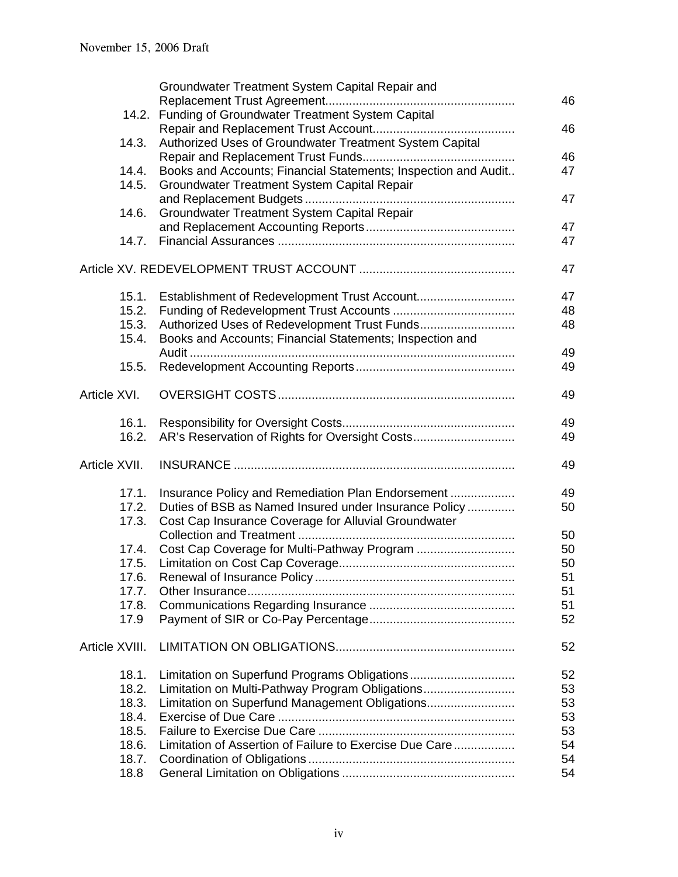|                | Groundwater Treatment System Capital Repair and                |    |
|----------------|----------------------------------------------------------------|----|
|                |                                                                | 46 |
| 14.2.          | Funding of Groundwater Treatment System Capital                |    |
|                |                                                                | 46 |
| 14.3.          | Authorized Uses of Groundwater Treatment System Capital        |    |
|                |                                                                | 46 |
| 14.4.          | Books and Accounts; Financial Statements; Inspection and Audit | 47 |
| 14.5.          | Groundwater Treatment System Capital Repair                    |    |
|                |                                                                | 47 |
| 14.6.          | Groundwater Treatment System Capital Repair                    |    |
|                |                                                                | 47 |
| 14.7.          |                                                                | 47 |
|                |                                                                | 47 |
| 15.1.          | Establishment of Redevelopment Trust Account                   | 47 |
| 15.2.          |                                                                | 48 |
| 15.3.          | Authorized Uses of Redevelopment Trust Funds                   | 48 |
| 15.4.          | Books and Accounts; Financial Statements; Inspection and       |    |
|                |                                                                | 49 |
| 15.5.          |                                                                | 49 |
|                |                                                                |    |
| Article XVI.   |                                                                | 49 |
| 16.1.          |                                                                | 49 |
| 16.2.          |                                                                | 49 |
| Article XVII.  |                                                                | 49 |
| 17.1.          | Insurance Policy and Remediation Plan Endorsement              | 49 |
| 17.2.          | Duties of BSB as Named Insured under Insurance Policy          | 50 |
| 17.3.          | Cost Cap Insurance Coverage for Alluvial Groundwater           |    |
|                |                                                                | 50 |
| 17.4.          |                                                                | 50 |
| 17.5.          |                                                                | 50 |
| 17.6.          |                                                                | 51 |
| 17.7.          |                                                                | 51 |
| 17.8.          |                                                                | 51 |
| 17.9           |                                                                | 52 |
| Article XVIII. |                                                                | 52 |
|                |                                                                |    |
| 18.1.          |                                                                | 52 |
| 18.2.          | Limitation on Multi-Pathway Program Obligations                | 53 |
| 18.3.          | Limitation on Superfund Management Obligations                 | 53 |
| 18.4.          |                                                                | 53 |
| 18.5.          |                                                                | 53 |
| 18.6.          | Limitation of Assertion of Failure to Exercise Due Care        | 54 |
| 18.7.          |                                                                | 54 |
| 18.8           |                                                                | 54 |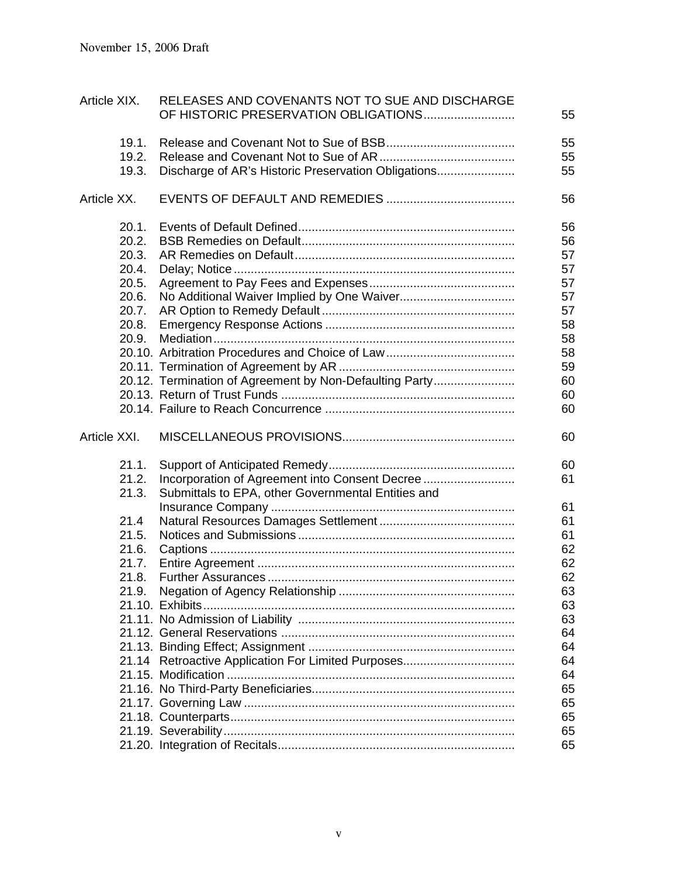| Article XIX.   | RELEASES AND COVENANTS NOT TO SUE AND DISCHARGE<br>OF HISTORIC PRESERVATION OBLIGATIONS | 55       |
|----------------|-----------------------------------------------------------------------------------------|----------|
| 19.1.<br>19.2. |                                                                                         | 55<br>55 |
| 19.3.          | Discharge of AR's Historic Preservation Obligations                                     | 55       |
| Article XX.    |                                                                                         | 56       |
| 20.1.          |                                                                                         | 56       |
| 20.2.          |                                                                                         | 56       |
| 20.3.          |                                                                                         | 57       |
| 20.4.          |                                                                                         | 57       |
| 20.5.<br>20.6. |                                                                                         | 57       |
| 20.7.          |                                                                                         | 57<br>57 |
| 20.8.          |                                                                                         | 58       |
| 20.9.          |                                                                                         | 58       |
|                |                                                                                         | 58       |
|                |                                                                                         | 59       |
|                | 20.12. Termination of Agreement by Non-Defaulting Party                                 | 60       |
|                |                                                                                         | 60       |
|                |                                                                                         | 60       |
|                |                                                                                         |          |
| Article XXI.   |                                                                                         | 60       |
|                |                                                                                         |          |
| 21.1.<br>21.2. |                                                                                         | 60<br>61 |
| 21.3.          | Submittals to EPA, other Governmental Entities and                                      |          |
|                |                                                                                         | 61       |
| 21.4           |                                                                                         | 61       |
| 21.5.          |                                                                                         | 61       |
| 21.6.          |                                                                                         | 62       |
| 21.7.          |                                                                                         | 62       |
| 21.8.          |                                                                                         | 62       |
| 21.9           |                                                                                         | 63       |
|                |                                                                                         | 63       |
|                |                                                                                         | 63       |
|                |                                                                                         | 64       |
|                |                                                                                         | 64       |
|                | 21.14 Retroactive Application For Limited Purposes                                      | 64       |
|                |                                                                                         | 64       |
|                |                                                                                         | 65       |
|                |                                                                                         | 65       |
|                |                                                                                         | 65       |
|                |                                                                                         | 65<br>65 |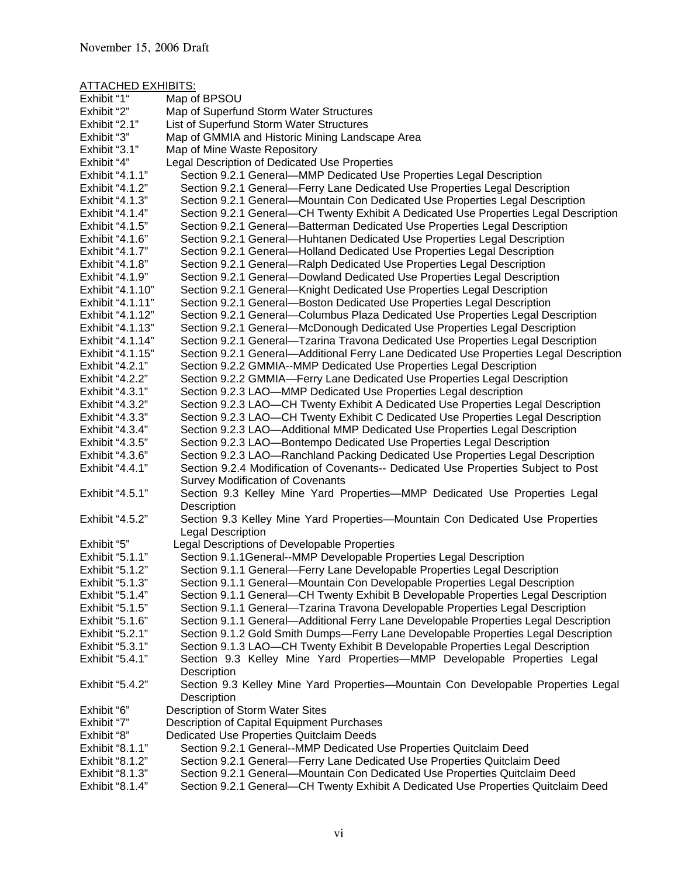#### ATTACHED EXHIBITS:

| Exhibit "1"      | Map of BPSOU                                                                           |
|------------------|----------------------------------------------------------------------------------------|
| Exhibit "2"      | Map of Superfund Storm Water Structures                                                |
| Exhibit "2.1"    | List of Superfund Storm Water Structures                                               |
| Exhibit "3"      | Map of GMMIA and Historic Mining Landscape Area                                        |
| Exhibit "3.1"    | Map of Mine Waste Repository                                                           |
| Exhibit "4"      | Legal Description of Dedicated Use Properties                                          |
| Exhibit "4.1.1"  | Section 9.2.1 General-MMP Dedicated Use Properties Legal Description                   |
| Exhibit "4.1.2"  | Section 9.2.1 General-Ferry Lane Dedicated Use Properties Legal Description            |
| Exhibit "4.1.3"  | Section 9.2.1 General—Mountain Con Dedicated Use Properties Legal Description          |
| Exhibit "4.1.4"  | Section 9.2.1 General—CH Twenty Exhibit A Dedicated Use Properties Legal Description   |
| Exhibit "4.1.5"  | Section 9.2.1 General-Batterman Dedicated Use Properties Legal Description             |
| Exhibit "4.1.6"  | Section 9.2.1 General-Huhtanen Dedicated Use Properties Legal Description              |
| Exhibit "4.1.7"  | Section 9.2.1 General-Holland Dedicated Use Properties Legal Description               |
| Exhibit "4.1.8"  | Section 9.2.1 General-Ralph Dedicated Use Properties Legal Description                 |
| Exhibit "4.1.9"  | Section 9.2.1 General-Dowland Dedicated Use Properties Legal Description               |
| Exhibit "4.1.10" | Section 9.2.1 General-Knight Dedicated Use Properties Legal Description                |
| Exhibit "4.1.11" | Section 9.2.1 General-Boston Dedicated Use Properties Legal Description                |
| Exhibit "4.1.12" | Section 9.2.1 General-Columbus Plaza Dedicated Use Properties Legal Description        |
| Exhibit "4.1.13" | Section 9.2.1 General—McDonough Dedicated Use Properties Legal Description             |
| Exhibit "4.1.14" | Section 9.2.1 General-Tzarina Travona Dedicated Use Properties Legal Description       |
| Exhibit "4.1.15" | Section 9.2.1 General—Additional Ferry Lane Dedicated Use Properties Legal Description |
| Exhibit "4.2.1"  | Section 9.2.2 GMMIA--MMP Dedicated Use Properties Legal Description                    |
| Exhibit "4.2.2"  | Section 9.2.2 GMMIA-Ferry Lane Dedicated Use Properties Legal Description              |
| Exhibit "4.3.1"  | Section 9.2.3 LAO-MMP Dedicated Use Properties Legal description                       |
| Exhibit "4.3.2"  | Section 9.2.3 LAO—CH Twenty Exhibit A Dedicated Use Properties Legal Description       |
| Exhibit "4.3.3"  | Section 9.2.3 LAO—CH Twenty Exhibit C Dedicated Use Properties Legal Description       |
| Exhibit "4.3.4"  | Section 9.2.3 LAO-Additional MMP Dedicated Use Properties Legal Description            |
| Exhibit "4.3.5"  | Section 9.2.3 LAO-Bontempo Dedicated Use Properties Legal Description                  |
| Exhibit "4.3.6"  | Section 9.2.3 LAO-Ranchland Packing Dedicated Use Properties Legal Description         |
| Exhibit "4.4.1"  | Section 9.2.4 Modification of Covenants-- Dedicated Use Properties Subject to Post     |
|                  | <b>Survey Modification of Covenants</b>                                                |
| Exhibit "4.5.1"  | Section 9.3 Kelley Mine Yard Properties-MMP Dedicated Use Properties Legal             |
|                  | Description                                                                            |
| Exhibit "4.5.2"  | Section 9.3 Kelley Mine Yard Properties-Mountain Con Dedicated Use Properties          |
|                  | <b>Legal Description</b>                                                               |
| Exhibit "5"      | Legal Descriptions of Developable Properties                                           |
| Exhibit "5.1.1"  | Section 9.1.1 General--MMP Developable Properties Legal Description                    |
| Exhibit "5.1.2"  | Section 9.1.1 General-Ferry Lane Developable Properties Legal Description              |
| Exhibit "5.1.3"  | Section 9.1.1 General-Mountain Con Developable Properties Legal Description            |
| Exhibit "5.1.4"  | Section 9.1.1 General-CH Twenty Exhibit B Developable Properties Legal Description     |
| Exhibit "5.1.5"  | Section 9.1.1 General-Tzarina Travona Developable Properties Legal Description         |
| Exhibit "5.1.6"  | Section 9.1.1 General-Additional Ferry Lane Developable Properties Legal Description   |
| Exhibit "5.2.1"  | Section 9.1.2 Gold Smith Dumps-Ferry Lane Developable Properties Legal Description     |
| Exhibit "5.3.1"  | Section 9.1.3 LAO—CH Twenty Exhibit B Developable Properties Legal Description         |
| Exhibit "5.4.1"  | Section 9.3 Kelley Mine Yard Properties-MMP Developable Properties Legal               |
|                  | Description                                                                            |
| Exhibit "5.4.2"  | Section 9.3 Kelley Mine Yard Properties—Mountain Con Developable Properties Legal      |
|                  | Description                                                                            |
| Exhibit "6"      | Description of Storm Water Sites                                                       |
| Exhibit "7"      | <b>Description of Capital Equipment Purchases</b>                                      |
| Exhibit "8"      | Dedicated Use Properties Quitclaim Deeds                                               |
| Exhibit "8.1.1"  | Section 9.2.1 General--MMP Dedicated Use Properties Quitclaim Deed                     |
| Exhibit "8.1.2"  | Section 9.2.1 General-Ferry Lane Dedicated Use Properties Quitclaim Deed               |
| Exhibit "8.1.3"  | Section 9.2.1 General-Mountain Con Dedicated Use Properties Quitclaim Deed             |
| Exhibit "8.1.4"  | Section 9.2.1 General-CH Twenty Exhibit A Dedicated Use Properties Quitclaim Deed      |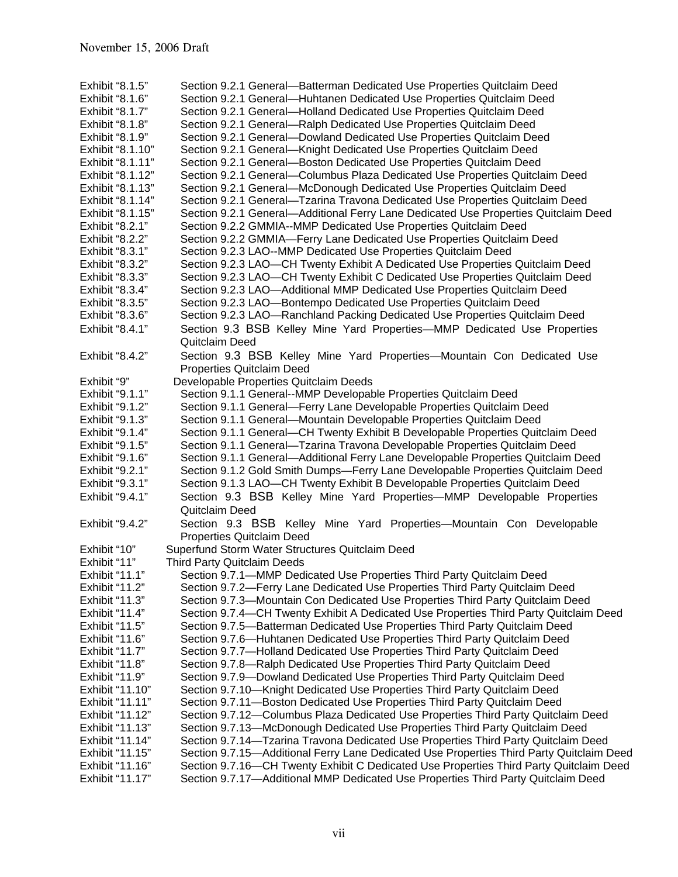| Exhibit "8.1.5"  | Section 9.2.1 General-Batterman Dedicated Use Properties Quitclaim Deed                  |
|------------------|------------------------------------------------------------------------------------------|
| Exhibit "8.1.6"  | Section 9.2.1 General-Huhtanen Dedicated Use Properties Quitclaim Deed                   |
| Exhibit "8.1.7"  | Section 9.2.1 General-Holland Dedicated Use Properties Quitclaim Deed                    |
| Exhibit "8.1.8"  | Section 9.2.1 General-Ralph Dedicated Use Properties Quitclaim Deed                      |
| Exhibit "8.1.9"  | Section 9.2.1 General-Dowland Dedicated Use Properties Quitclaim Deed                    |
| Exhibit "8.1.10" | Section 9.2.1 General-Knight Dedicated Use Properties Quitclaim Deed                     |
| Exhibit "8.1.11" | Section 9.2.1 General-Boston Dedicated Use Properties Quitclaim Deed                     |
| Exhibit "8.1.12" | Section 9.2.1 General-Columbus Plaza Dedicated Use Properties Quitclaim Deed             |
| Exhibit "8.1.13" | Section 9.2.1 General-McDonough Dedicated Use Properties Quitclaim Deed                  |
| Exhibit "8.1.14" | Section 9.2.1 General-Tzarina Travona Dedicated Use Properties Quitclaim Deed            |
| Exhibit "8.1.15" | Section 9.2.1 General—Additional Ferry Lane Dedicated Use Properties Quitclaim Deed      |
| Exhibit "8.2.1"  | Section 9.2.2 GMMIA--MMP Dedicated Use Properties Quitclaim Deed                         |
| Exhibit "8.2.2"  | Section 9.2.2 GMMIA-Ferry Lane Dedicated Use Properties Quitclaim Deed                   |
| Exhibit "8.3.1"  | Section 9.2.3 LAO--MMP Dedicated Use Properties Quitclaim Deed                           |
| Exhibit "8.3.2"  | Section 9.2.3 LAO-CH Twenty Exhibit A Dedicated Use Properties Quitclaim Deed            |
| Exhibit "8.3.3"  | Section 9.2.3 LAO-CH Twenty Exhibit C Dedicated Use Properties Quitclaim Deed            |
| Exhibit "8.3.4"  | Section 9.2.3 LAO-Additional MMP Dedicated Use Properties Quitclaim Deed                 |
| Exhibit "8.3.5"  | Section 9.2.3 LAO-Bontempo Dedicated Use Properties Quitclaim Deed                       |
| Exhibit "8.3.6"  | Section 9.2.3 LAO-Ranchland Packing Dedicated Use Properties Quitclaim Deed              |
| Exhibit "8.4.1"  | Section 9.3 BSB Kelley Mine Yard Properties—MMP Dedicated Use Properties                 |
|                  | Quitclaim Deed                                                                           |
| Exhibit "8.4.2"  | Section 9.3 BSB Kelley Mine Yard Properties-Mountain Con Dedicated Use                   |
|                  | Properties Quitclaim Deed                                                                |
| Exhibit "9"      | Developable Properties Quitclaim Deeds                                                   |
| Exhibit "9.1.1"  | Section 9.1.1 General--MMP Developable Properties Quitclaim Deed                         |
| Exhibit "9.1.2"  | Section 9.1.1 General-Ferry Lane Developable Properties Quitclaim Deed                   |
| Exhibit "9.1.3"  | Section 9.1.1 General-Mountain Developable Properties Quitclaim Deed                     |
| Exhibit "9.1.4"  | Section 9.1.1 General-CH Twenty Exhibit B Developable Properties Quitclaim Deed          |
| Exhibit "9.1.5"  | Section 9.1.1 General-Tzarina Travona Developable Properties Quitclaim Deed              |
| Exhibit "9.1.6"  | Section 9.1.1 General—Additional Ferry Lane Developable Properties Quitclaim Deed        |
| Exhibit "9.2.1"  | Section 9.1.2 Gold Smith Dumps—Ferry Lane Developable Properties Quitclaim Deed          |
| Exhibit "9.3.1"  | Section 9.1.3 LAO-CH Twenty Exhibit B Developable Properties Quitclaim Deed              |
| Exhibit "9.4.1"  | Section 9.3 BSB Kelley Mine Yard Properties—MMP Developable Properties                   |
|                  | Quitclaim Deed                                                                           |
| Exhibit "9.4.2"  | Section 9.3 BSB Kelley Mine Yard Properties—Mountain Con Developable                     |
|                  | Properties Quitclaim Deed                                                                |
| Exhibit "10"     | Superfund Storm Water Structures Quitclaim Deed                                          |
| Exhibit "11"     | Third Party Quitclaim Deeds                                                              |
| Exhibit "11.1"   | Section 9.7.1-MMP Dedicated Use Properties Third Party Quitclaim Deed                    |
| Exhibit "11.2"   | Section 9.7.2-Ferry Lane Dedicated Use Properties Third Party Quitclaim Deed             |
| Exhibit "11.3"   | Section 9.7.3-Mountain Con Dedicated Use Properties Third Party Quitclaim Deed           |
| Exhibit "11.4"   | Section 9.7.4—CH Twenty Exhibit A Dedicated Use Properties Third Party Quitclaim Deed    |
| Exhibit "11.5"   | Section 9.7.5—Batterman Dedicated Use Properties Third Party Quitclaim Deed              |
| Exhibit "11.6"   | Section 9.7.6—Huhtanen Dedicated Use Properties Third Party Quitclaim Deed               |
| Exhibit "11.7"   | Section 9.7.7-Holland Dedicated Use Properties Third Party Quitclaim Deed                |
| Exhibit "11.8"   | Section 9.7.8-Ralph Dedicated Use Properties Third Party Quitclaim Deed                  |
| Exhibit "11.9"   | Section 9.7.9-Dowland Dedicated Use Properties Third Party Quitclaim Deed                |
| Exhibit "11.10"  | Section 9.7.10-Knight Dedicated Use Properties Third Party Quitclaim Deed                |
| Exhibit "11.11"  | Section 9.7.11-Boston Dedicated Use Properties Third Party Quitclaim Deed                |
| Exhibit "11.12"  | Section 9.7.12-Columbus Plaza Dedicated Use Properties Third Party Quitclaim Deed        |
| Exhibit "11.13"  | Section 9.7.13-McDonough Dedicated Use Properties Third Party Quitclaim Deed             |
| Exhibit "11.14"  | Section 9.7.14—Tzarina Travona Dedicated Use Properties Third Party Quitclaim Deed       |
| Exhibit "11.15"  | Section 9.7.15—Additional Ferry Lane Dedicated Use Properties Third Party Quitclaim Deed |
| Exhibit "11.16"  | Section 9.7.16—CH Twenty Exhibit C Dedicated Use Properties Third Party Quitclaim Deed   |
| Exhibit "11.17"  | Section 9.7.17-Additional MMP Dedicated Use Properties Third Party Quitclaim Deed        |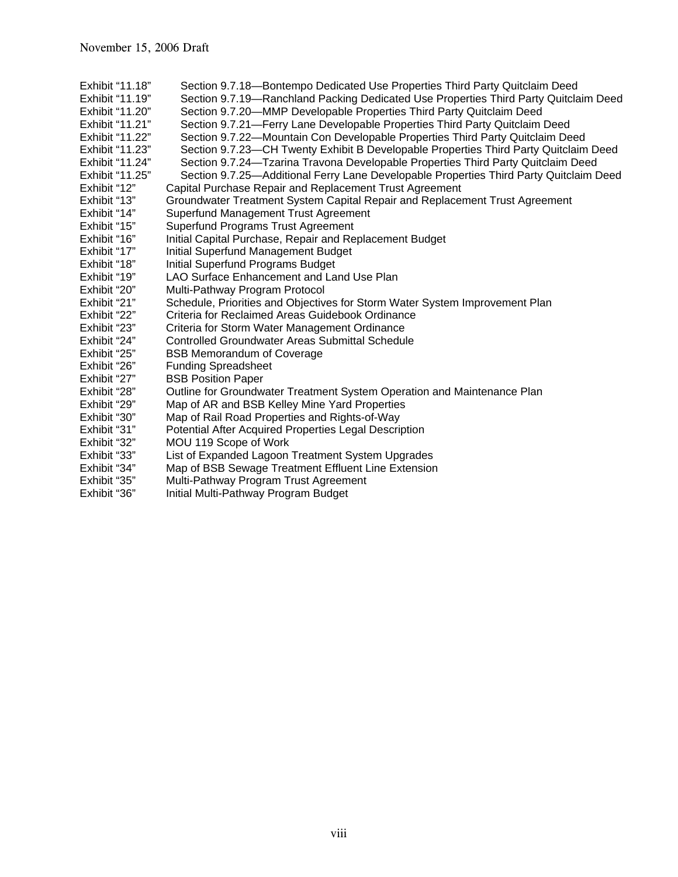- Exhibit "11.18" Section 9.7.18—Bontempo Dedicated Use Properties Third Party Quitclaim Deed
- Exhibit "11.19" Section 9.7.19—Ranchland Packing Dedicated Use Properties Third Party Quitclaim Deed
- Exhibit "11.20" Section 9.7.20—MMP Developable Properties Third Party Quitclaim Deed
- Exhibit "11.21" Section 9.7.21—Ferry Lane Developable Properties Third Party Quitclaim Deed
- Exhibit "11.22" Section 9.7.22—Mountain Con Developable Properties Third Party Quitclaim Deed
- Exhibit "11.23" Section 9.7.23—CH Twenty Exhibit B Developable Properties Third Party Quitclaim Deed
- Exhibit "11.24" Section 9.7.24—Tzarina Travona Developable Properties Third Party Quitclaim Deed
- Exhibit "11.25" Section 9.7.25—Additional Ferry Lane Developable Properties Third Party Quitclaim Deed
- Exhibit "12" Capital Purchase Repair and Replacement Trust Agreement
- Exhibit "13" Groundwater Treatment System Capital Repair and Replacement Trust Agreement
- Exhibit "14" Superfund Management Trust Agreement
- Exhibit "15" Superfund Programs Trust Agreement
- Exhibit "16" Initial Capital Purchase, Repair and Replacement Budget
- Exhibit "17" Initial Superfund Management Budget
- Exhibit "18" Initial Superfund Programs Budget
- Exhibit "19" LAO Surface Enhancement and Land Use Plan
- Exhibit "20" Multi-Pathway Program Protocol
- Exhibit "21" Schedule, Priorities and Objectives for Storm Water System Improvement Plan
- Exhibit "22" Criteria for Reclaimed Areas Guidebook Ordinance<br>Exhibit "23" Criteria for Storm Water Management Ordinance
- Criteria for Storm Water Management Ordinance
- Exhibit "24" Controlled Groundwater Areas Submittal Schedule
- Exhibit "25" BSB Memorandum of Coverage
- Exhibit "26" Funding Spreadsheet<br>Exhibit "27" BSB Position Paper
- Exhibit "27" BSB Position Paper<br>Exhibit "28" Outline for Groundw
- Outline for Groundwater Treatment System Operation and Maintenance Plan
- Exhibit "29" Map of AR and BSB Kelley Mine Yard Properties
- Exhibit "30" Map of Rail Road Properties and Rights-of-Way
- Exhibit "31" Potential After Acquired Properties Legal Description
- Exhibit "32" MOU 119 Scope of Work<br>Exhibit "33" List of Expanded Lagoon
- List of Expanded Lagoon Treatment System Upgrades
- Exhibit "34" Map of BSB Sewage Treatment Effluent Line Extension
- Exhibit "35" Multi-Pathway Program Trust Agreement
- Exhibit "36" Initial Multi-Pathway Program Budget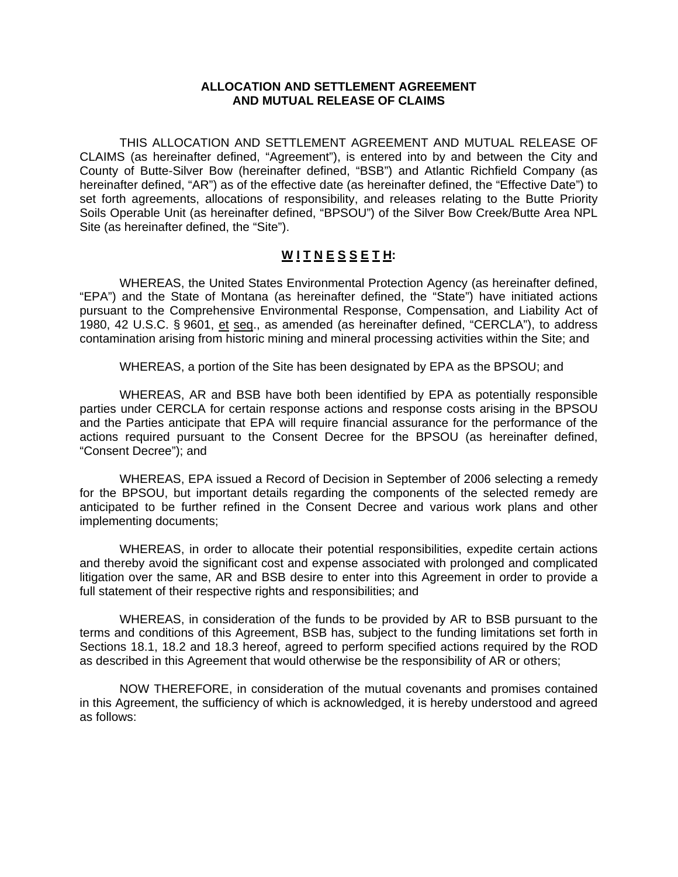#### **ALLOCATION AND SETTLEMENT AGREEMENT AND MUTUAL RELEASE OF CLAIMS**

 THIS ALLOCATION AND SETTLEMENT AGREEMENT AND MUTUAL RELEASE OF CLAIMS (as hereinafter defined, "Agreement"), is entered into by and between the City and County of Butte-Silver Bow (hereinafter defined, "BSB") and Atlantic Richfield Company (as hereinafter defined, "AR") as of the effective date (as hereinafter defined, the "Effective Date") to set forth agreements, allocations of responsibility, and releases relating to the Butte Priority Soils Operable Unit (as hereinafter defined, "BPSOU") of the Silver Bow Creek/Butte Area NPL Site (as hereinafter defined, the "Site").

### **W I T N E S S E T H:**

 WHEREAS, the United States Environmental Protection Agency (as hereinafter defined, "EPA") and the State of Montana (as hereinafter defined, the "State") have initiated actions pursuant to the Comprehensive Environmental Response, Compensation, and Liability Act of 1980, 42 U.S.C. § 9601, et seq., as amended (as hereinafter defined, "CERCLA"), to address contamination arising from historic mining and mineral processing activities within the Site; and

WHEREAS, a portion of the Site has been designated by EPA as the BPSOU; and

 WHEREAS, AR and BSB have both been identified by EPA as potentially responsible parties under CERCLA for certain response actions and response costs arising in the BPSOU and the Parties anticipate that EPA will require financial assurance for the performance of the actions required pursuant to the Consent Decree for the BPSOU (as hereinafter defined, "Consent Decree"); and

 WHEREAS, EPA issued a Record of Decision in September of 2006 selecting a remedy for the BPSOU, but important details regarding the components of the selected remedy are anticipated to be further refined in the Consent Decree and various work plans and other implementing documents;

 WHEREAS, in order to allocate their potential responsibilities, expedite certain actions and thereby avoid the significant cost and expense associated with prolonged and complicated litigation over the same, AR and BSB desire to enter into this Agreement in order to provide a full statement of their respective rights and responsibilities; and

 WHEREAS, in consideration of the funds to be provided by AR to BSB pursuant to the terms and conditions of this Agreement, BSB has, subject to the funding limitations set forth in Sections 18.1, 18.2 and 18.3 hereof, agreed to perform specified actions required by the ROD as described in this Agreement that would otherwise be the responsibility of AR or others;

 NOW THEREFORE, in consideration of the mutual covenants and promises contained in this Agreement, the sufficiency of which is acknowledged, it is hereby understood and agreed as follows: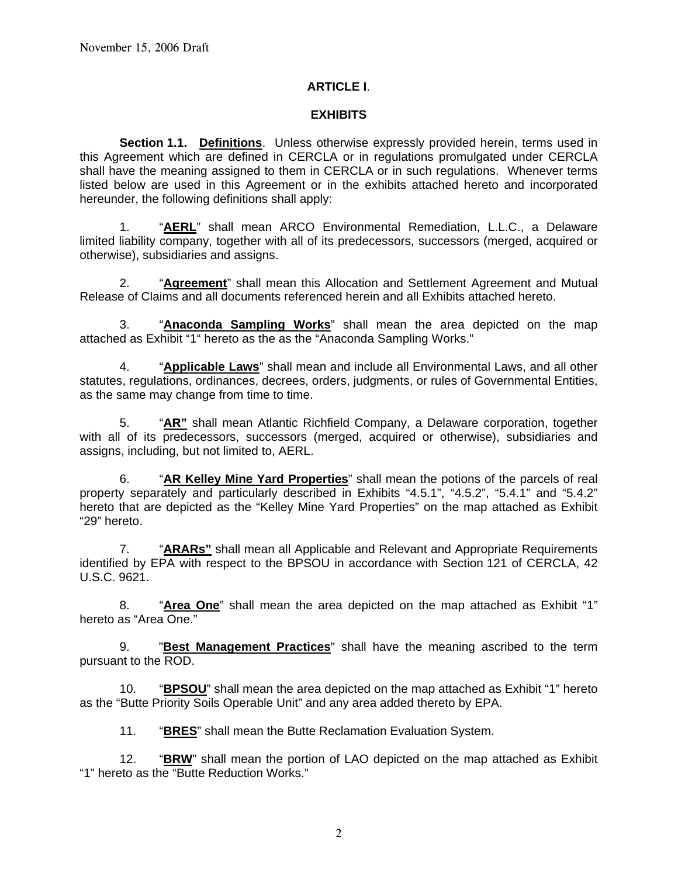### **ARTICLE I**.

#### **EXHIBITS**

**Section 1.1. Definitions**. Unless otherwise expressly provided herein, terms used in this Agreement which are defined in CERCLA or in regulations promulgated under CERCLA shall have the meaning assigned to them in CERCLA or in such regulations. Whenever terms listed below are used in this Agreement or in the exhibits attached hereto and incorporated hereunder, the following definitions shall apply:

 1. "**AERL**" shall mean ARCO Environmental Remediation, L.L.C., a Delaware limited liability company, together with all of its predecessors, successors (merged, acquired or otherwise), subsidiaries and assigns.

 2. "**Agreement**" shall mean this Allocation and Settlement Agreement and Mutual Release of Claims and all documents referenced herein and all Exhibits attached hereto.

 3. "**Anaconda Sampling Works**" shall mean the area depicted on the map attached as Exhibit "1" hereto as the as the "Anaconda Sampling Works."

 4. "**Applicable Laws**" shall mean and include all Environmental Laws, and all other statutes, regulations, ordinances, decrees, orders, judgments, or rules of Governmental Entities, as the same may change from time to time.

 5. "**AR"** shall mean Atlantic Richfield Company, a Delaware corporation, together with all of its predecessors, successors (merged, acquired or otherwise), subsidiaries and assigns, including, but not limited to, AERL.

 6. "**AR Kelley Mine Yard Properties**" shall mean the potions of the parcels of real property separately and particularly described in Exhibits "4.5.1", "4.5.2", "5.4.1" and "5.4.2" hereto that are depicted as the "Kelley Mine Yard Properties" on the map attached as Exhibit "29" hereto.

 7. "**ARARs"** shall mean all Applicable and Relevant and Appropriate Requirements identified by EPA with respect to the BPSOU in accordance with Section 121 of CERCLA, 42 U.S.C. 9621.

 8. "**Area One**" shall mean the area depicted on the map attached as Exhibit "1" hereto as "Area One."

9. "**Best Management Practices**" shall have the meaning ascribed to the term pursuant to the ROD.

 10. "**BPSOU**" shall mean the area depicted on the map attached as Exhibit "1" hereto as the "Butte Priority Soils Operable Unit" and any area added thereto by EPA.

11. "**BRES**" shall mean the Butte Reclamation Evaluation System.

 12. "**BRW**" shall mean the portion of LAO depicted on the map attached as Exhibit "1" hereto as the "Butte Reduction Works."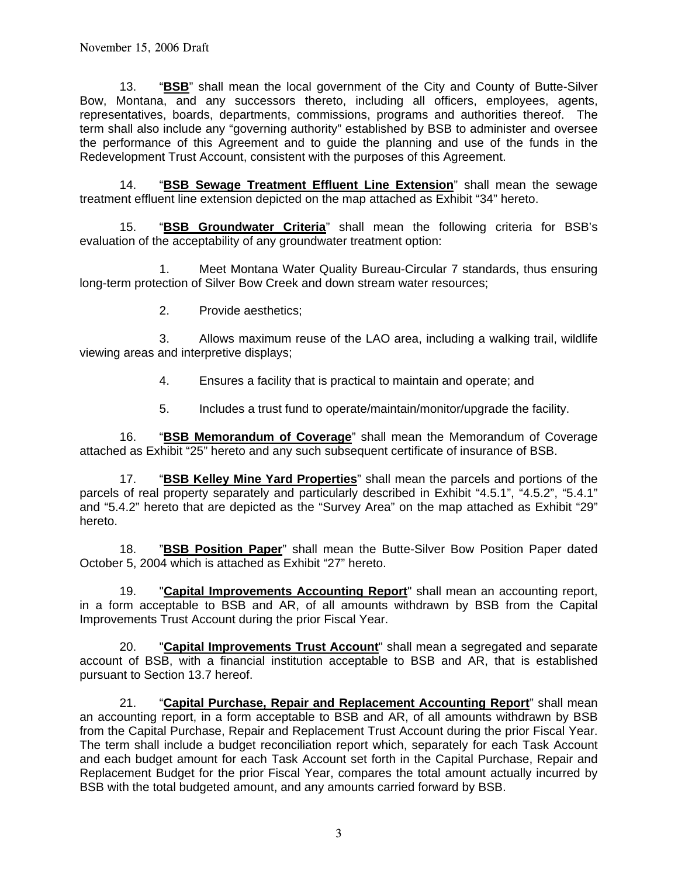13. "**BSB**" shall mean the local government of the City and County of Butte-Silver Bow, Montana, and any successors thereto, including all officers, employees, agents, representatives, boards, departments, commissions, programs and authorities thereof. The term shall also include any "governing authority" established by BSB to administer and oversee the performance of this Agreement and to guide the planning and use of the funds in the Redevelopment Trust Account, consistent with the purposes of this Agreement.

 14. "**BSB Sewage Treatment Effluent Line Extension**" shall mean the sewage treatment effluent line extension depicted on the map attached as Exhibit "34" hereto.

 15. "**BSB Groundwater Criteria**" shall mean the following criteria for BSB's evaluation of the acceptability of any groundwater treatment option:

 1. Meet Montana Water Quality Bureau-Circular 7 standards, thus ensuring long-term protection of Silver Bow Creek and down stream water resources;

2. Provide aesthetics;

 3. Allows maximum reuse of the LAO area, including a walking trail, wildlife viewing areas and interpretive displays;

- 4. Ensures a facility that is practical to maintain and operate; and
- 5. Includes a trust fund to operate/maintain/monitor/upgrade the facility.

 16. "**BSB Memorandum of Coverage**" shall mean the Memorandum of Coverage attached as Exhibit "25" hereto and any such subsequent certificate of insurance of BSB.

 17. "**BSB Kelley Mine Yard Properties**" shall mean the parcels and portions of the parcels of real property separately and particularly described in Exhibit "4.5.1", "4.5.2", "5.4.1" and "5.4.2" hereto that are depicted as the "Survey Area" on the map attached as Exhibit "29" hereto.

 18. "**BSB Position Paper**" shall mean the Butte-Silver Bow Position Paper dated October 5, 2004 which is attached as Exhibit "27" hereto.

19. "**Capital Improvements Accounting Report**" shall mean an accounting report, in a form acceptable to BSB and AR, of all amounts withdrawn by BSB from the Capital Improvements Trust Account during the prior Fiscal Year.

 20. "**Capital Improvements Trust Account**" shall mean a segregated and separate account of BSB, with a financial institution acceptable to BSB and AR, that is established pursuant to Section 13.7 hereof.

 21. "**Capital Purchase, Repair and Replacement Accounting Report**" shall mean an accounting report, in a form acceptable to BSB and AR, of all amounts withdrawn by BSB from the Capital Purchase, Repair and Replacement Trust Account during the prior Fiscal Year. The term shall include a budget reconciliation report which, separately for each Task Account and each budget amount for each Task Account set forth in the Capital Purchase, Repair and Replacement Budget for the prior Fiscal Year, compares the total amount actually incurred by BSB with the total budgeted amount, and any amounts carried forward by BSB.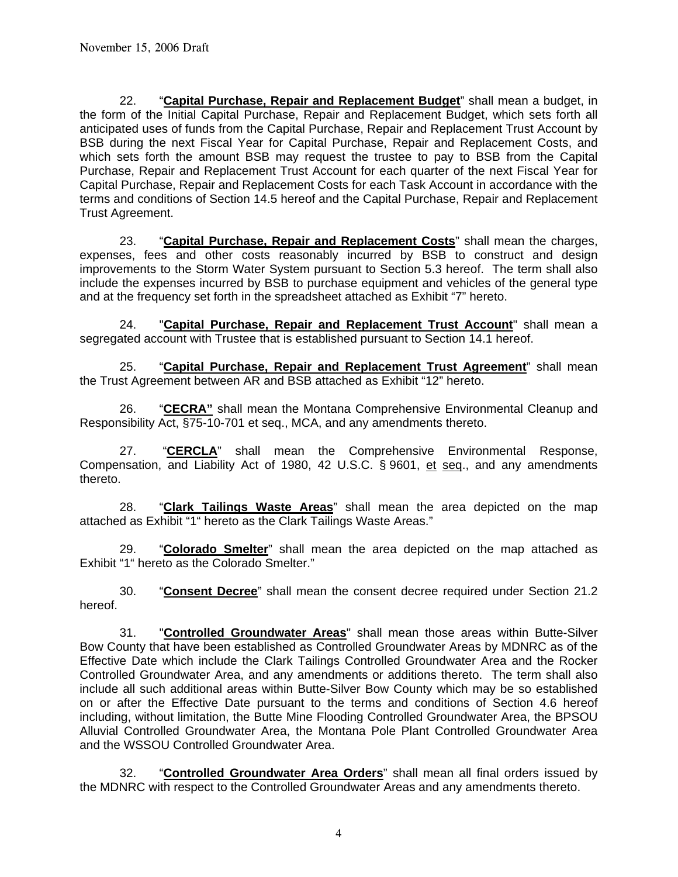22. "**Capital Purchase, Repair and Replacement Budget**" shall mean a budget, in the form of the Initial Capital Purchase, Repair and Replacement Budget, which sets forth all anticipated uses of funds from the Capital Purchase, Repair and Replacement Trust Account by BSB during the next Fiscal Year for Capital Purchase, Repair and Replacement Costs, and which sets forth the amount BSB may request the trustee to pay to BSB from the Capital Purchase, Repair and Replacement Trust Account for each quarter of the next Fiscal Year for Capital Purchase, Repair and Replacement Costs for each Task Account in accordance with the terms and conditions of Section 14.5 hereof and the Capital Purchase, Repair and Replacement Trust Agreement.

 23. "**Capital Purchase, Repair and Replacement Costs**" shall mean the charges, expenses, fees and other costs reasonably incurred by BSB to construct and design improvements to the Storm Water System pursuant to Section 5.3 hereof. The term shall also include the expenses incurred by BSB to purchase equipment and vehicles of the general type and at the frequency set forth in the spreadsheet attached as Exhibit "7" hereto.

 24. "**Capital Purchase, Repair and Replacement Trust Account**" shall mean a segregated account with Trustee that is established pursuant to Section 14.1 hereof.

 25. "**Capital Purchase, Repair and Replacement Trust Agreement**" shall mean the Trust Agreement between AR and BSB attached as Exhibit "12" hereto.

 26. "**CECRA"** shall mean the Montana Comprehensive Environmental Cleanup and Responsibility Act, §75-10-701 et seq., MCA, and any amendments thereto.

 27. "**CERCLA**" shall mean the Comprehensive Environmental Response, Compensation, and Liability Act of 1980, 42 U.S.C. § 9601, et seq., and any amendments thereto.

 28. "**Clark Tailings Waste Areas**" shall mean the area depicted on the map attached as Exhibit "1" hereto as the Clark Tailings Waste Areas."

 29. "**Colorado Smelter**" shall mean the area depicted on the map attached as Exhibit "1" hereto as the Colorado Smelter."

 30. "**Consent Decree**" shall mean the consent decree required under Section 21.2 hereof.

 31. "**Controlled Groundwater Areas**" shall mean those areas within Butte-Silver Bow County that have been established as Controlled Groundwater Areas by MDNRC as of the Effective Date which include the Clark Tailings Controlled Groundwater Area and the Rocker Controlled Groundwater Area, and any amendments or additions thereto. The term shall also include all such additional areas within Butte-Silver Bow County which may be so established on or after the Effective Date pursuant to the terms and conditions of Section 4.6 hereof including, without limitation, the Butte Mine Flooding Controlled Groundwater Area, the BPSOU Alluvial Controlled Groundwater Area, the Montana Pole Plant Controlled Groundwater Area and the WSSOU Controlled Groundwater Area.

 32. "**Controlled Groundwater Area Orders**" shall mean all final orders issued by the MDNRC with respect to the Controlled Groundwater Areas and any amendments thereto.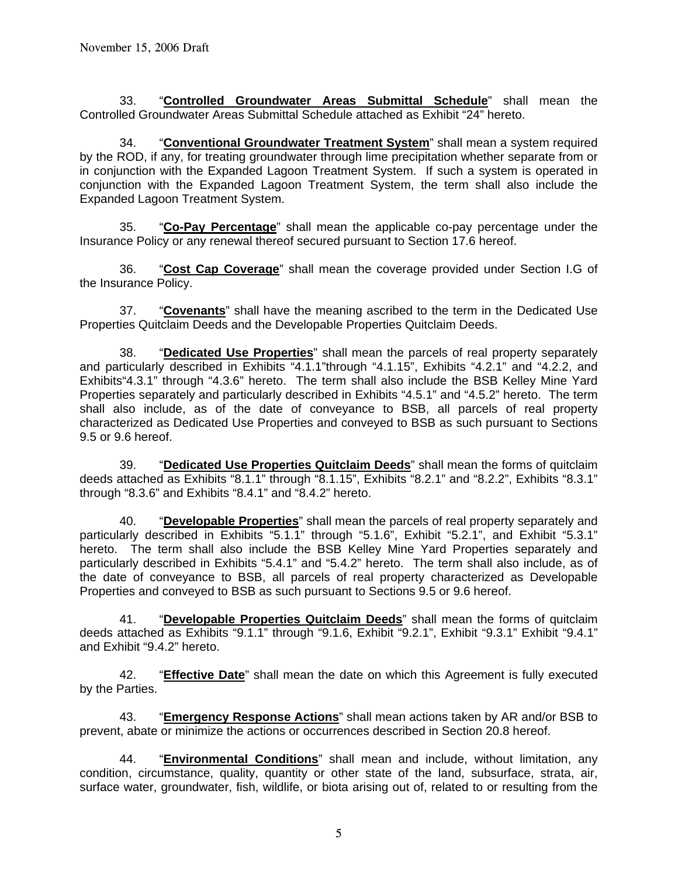33. "**Controlled Groundwater Areas Submittal Schedule**" shall mean the Controlled Groundwater Areas Submittal Schedule attached as Exhibit "24" hereto.

 34. "**Conventional Groundwater Treatment System**" shall mean a system required by the ROD, if any, for treating groundwater through lime precipitation whether separate from or in conjunction with the Expanded Lagoon Treatment System. If such a system is operated in conjunction with the Expanded Lagoon Treatment System, the term shall also include the Expanded Lagoon Treatment System.

 35. "**Co-Pay Percentage**" shall mean the applicable co-pay percentage under the Insurance Policy or any renewal thereof secured pursuant to Section 17.6 hereof.

 36. "**Cost Cap Coverage**" shall mean the coverage provided under Section I.G of the Insurance Policy.

 37. "**Covenants**" shall have the meaning ascribed to the term in the Dedicated Use Properties Quitclaim Deeds and the Developable Properties Quitclaim Deeds.

 38. "**Dedicated Use Properties**" shall mean the parcels of real property separately and particularly described in Exhibits "4.1.1"through "4.1.15", Exhibits "4.2.1" and "4.2.2, and Exhibits"4.3.1" through "4.3.6" hereto. The term shall also include the BSB Kelley Mine Yard Properties separately and particularly described in Exhibits "4.5.1" and "4.5.2" hereto. The term shall also include, as of the date of conveyance to BSB, all parcels of real property characterized as Dedicated Use Properties and conveyed to BSB as such pursuant to Sections 9.5 or 9.6 hereof.

 39. "**Dedicated Use Properties Quitclaim Deeds**" shall mean the forms of quitclaim deeds attached as Exhibits "8.1.1" through "8.1.15", Exhibits "8.2.1" and "8.2.2", Exhibits "8.3.1" through "8.3.6" and Exhibits "8.4.1" and "8.4.2" hereto.

 40. "**Developable Properties**" shall mean the parcels of real property separately and particularly described in Exhibits "5.1.1" through "5.1.6", Exhibit "5.2.1", and Exhibit "5.3.1" hereto. The term shall also include the BSB Kelley Mine Yard Properties separately and particularly described in Exhibits "5.4.1" and "5.4.2" hereto. The term shall also include, as of the date of conveyance to BSB, all parcels of real property characterized as Developable Properties and conveyed to BSB as such pursuant to Sections 9.5 or 9.6 hereof.

 41. "**Developable Properties Quitclaim Deeds**" shall mean the forms of quitclaim deeds attached as Exhibits "9.1.1" through "9.1.6, Exhibit "9.2.1", Exhibit "9.3.1" Exhibit "9.4.1" and Exhibit "9.4.2" hereto.

 42. "**Effective Date**" shall mean the date on which this Agreement is fully executed by the Parties.

 43. "**Emergency Response Actions**" shall mean actions taken by AR and/or BSB to prevent, abate or minimize the actions or occurrences described in Section 20.8 hereof.

 44. "**Environmental Conditions**" shall mean and include, without limitation, any condition, circumstance, quality, quantity or other state of the land, subsurface, strata, air, surface water, groundwater, fish, wildlife, or biota arising out of, related to or resulting from the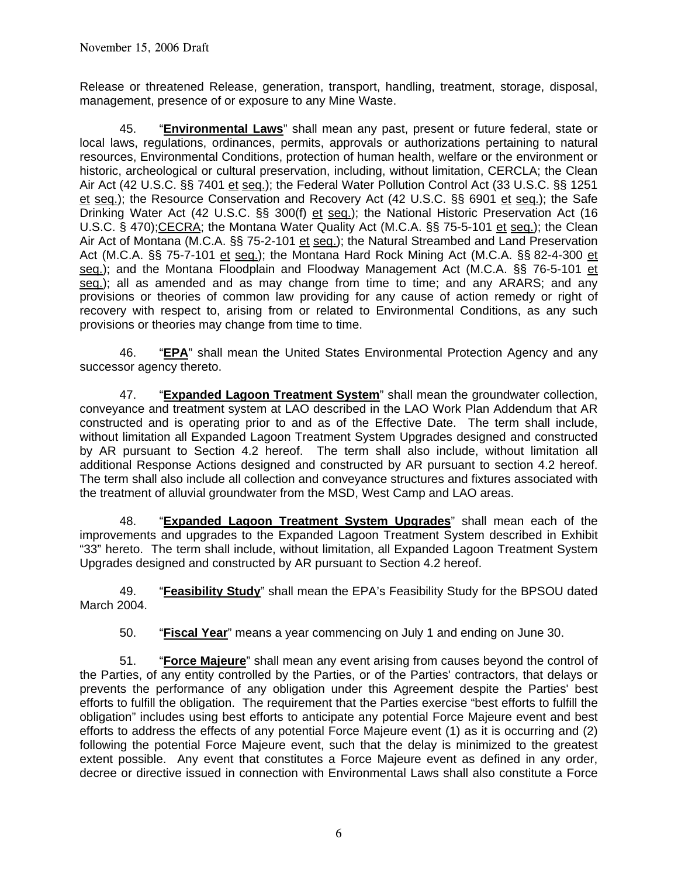Release or threatened Release, generation, transport, handling, treatment, storage, disposal, management, presence of or exposure to any Mine Waste.

 45. "**Environmental Laws**" shall mean any past, present or future federal, state or local laws, regulations, ordinances, permits, approvals or authorizations pertaining to natural resources, Environmental Conditions, protection of human health, welfare or the environment or historic, archeological or cultural preservation, including, without limitation, CERCLA; the Clean Air Act (42 U.S.C. §§ 7401 et seq.); the Federal Water Pollution Control Act (33 U.S.C. §§ 1251 et seq.); the Resource Conservation and Recovery Act (42 U.S.C. §§ 6901 et seq.); the Safe Drinking Water Act (42 U.S.C. §§ 300(f) et seq.); the National Historic Preservation Act (16 U.S.C. § 470);CECRA; the Montana Water Quality Act (M.C.A. §§ 75-5-101 et seq.); the Clean Air Act of Montana (M.C.A. §§ 75-2-101 et seq.); the Natural Streambed and Land Preservation Act (M.C.A. §§ 75-7-101 et seq.); the Montana Hard Rock Mining Act (M.C.A. §§ 82-4-300 et seq.); and the Montana Floodplain and Floodway Management Act (M.C.A. §§ 76-5-101 et seq.); all as amended and as may change from time to time; and any ARARS; and any provisions or theories of common law providing for any cause of action remedy or right of recovery with respect to, arising from or related to Environmental Conditions, as any such provisions or theories may change from time to time.

 46. "**EPA**" shall mean the United States Environmental Protection Agency and any successor agency thereto.

 47. "**Expanded Lagoon Treatment System**" shall mean the groundwater collection, conveyance and treatment system at LAO described in the LAO Work Plan Addendum that AR constructed and is operating prior to and as of the Effective Date. The term shall include, without limitation all Expanded Lagoon Treatment System Upgrades designed and constructed by AR pursuant to Section 4.2 hereof. The term shall also include, without limitation all additional Response Actions designed and constructed by AR pursuant to section 4.2 hereof. The term shall also include all collection and conveyance structures and fixtures associated with the treatment of alluvial groundwater from the MSD, West Camp and LAO areas.

 48. "**Expanded Lagoon Treatment System Upgrades**" shall mean each of the improvements and upgrades to the Expanded Lagoon Treatment System described in Exhibit "33" hereto. The term shall include, without limitation, all Expanded Lagoon Treatment System Upgrades designed and constructed by AR pursuant to Section 4.2 hereof.

 49. "**Feasibility Study**" shall mean the EPA's Feasibility Study for the BPSOU dated March 2004.

50. "**Fiscal Year**" means a year commencing on July 1 and ending on June 30.

 51. "**Force Majeure**" shall mean any event arising from causes beyond the control of the Parties, of any entity controlled by the Parties, or of the Parties' contractors, that delays or prevents the performance of any obligation under this Agreement despite the Parties' best efforts to fulfill the obligation. The requirement that the Parties exercise "best efforts to fulfill the obligation" includes using best efforts to anticipate any potential Force Majeure event and best efforts to address the effects of any potential Force Majeure event (1) as it is occurring and (2) following the potential Force Majeure event, such that the delay is minimized to the greatest extent possible. Any event that constitutes a Force Majeure event as defined in any order, decree or directive issued in connection with Environmental Laws shall also constitute a Force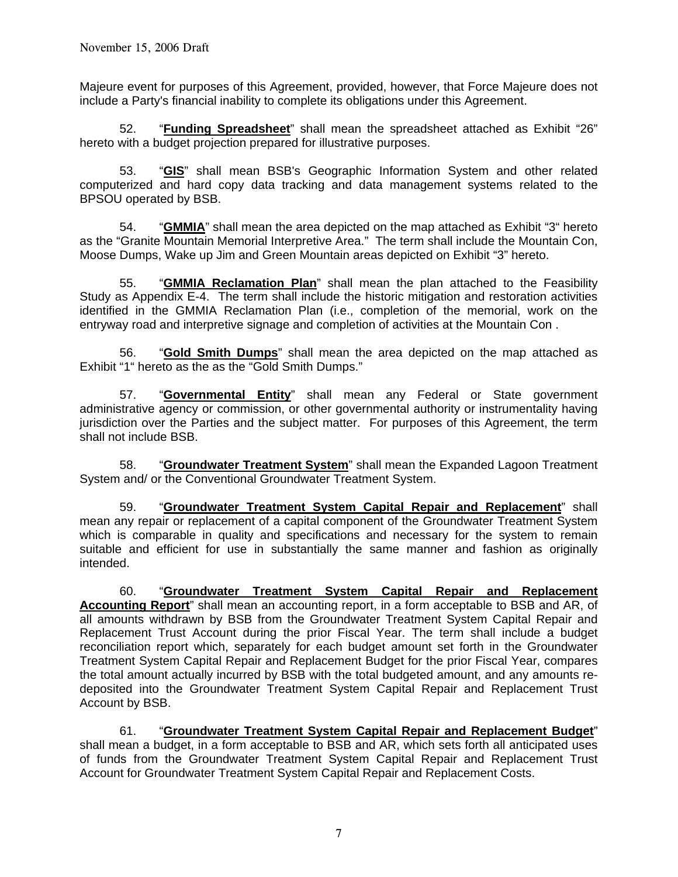Majeure event for purposes of this Agreement, provided, however, that Force Majeure does not include a Party's financial inability to complete its obligations under this Agreement.

 52. "**Funding Spreadsheet**" shall mean the spreadsheet attached as Exhibit "26" hereto with a budget projection prepared for illustrative purposes.

 53. "**GIS**" shall mean BSB's Geographic Information System and other related computerized and hard copy data tracking and data management systems related to the BPSOU operated by BSB.

54. "**GMMIA**" shall mean the area depicted on the map attached as Exhibit "3" hereto as the "Granite Mountain Memorial Interpretive Area." The term shall include the Mountain Con, Moose Dumps, Wake up Jim and Green Mountain areas depicted on Exhibit "3" hereto.

 55. "**GMMIA Reclamation Plan**" shall mean the plan attached to the Feasibility Study as Appendix E-4. The term shall include the historic mitigation and restoration activities identified in the GMMIA Reclamation Plan (i.e., completion of the memorial, work on the entryway road and interpretive signage and completion of activities at the Mountain Con .

 56. "**Gold Smith Dumps**" shall mean the area depicted on the map attached as Exhibit "1" hereto as the as the "Gold Smith Dumps."

 57. "**Governmental Entity**" shall mean any Federal or State government administrative agency or commission, or other governmental authority or instrumentality having jurisdiction over the Parties and the subject matter. For purposes of this Agreement, the term shall not include BSB.

 58. "**Groundwater Treatment System**" shall mean the Expanded Lagoon Treatment System and/ or the Conventional Groundwater Treatment System.

 59. "**Groundwater Treatment System Capital Repair and Replacement**" shall mean any repair or replacement of a capital component of the Groundwater Treatment System which is comparable in quality and specifications and necessary for the system to remain suitable and efficient for use in substantially the same manner and fashion as originally intended.

 60. "**Groundwater Treatment System Capital Repair and Replacement Accounting Report**" shall mean an accounting report, in a form acceptable to BSB and AR, of all amounts withdrawn by BSB from the Groundwater Treatment System Capital Repair and Replacement Trust Account during the prior Fiscal Year. The term shall include a budget reconciliation report which, separately for each budget amount set forth in the Groundwater Treatment System Capital Repair and Replacement Budget for the prior Fiscal Year, compares the total amount actually incurred by BSB with the total budgeted amount, and any amounts redeposited into the Groundwater Treatment System Capital Repair and Replacement Trust Account by BSB.

 61. "**Groundwater Treatment System Capital Repair and Replacement Budget**" shall mean a budget, in a form acceptable to BSB and AR, which sets forth all anticipated uses of funds from the Groundwater Treatment System Capital Repair and Replacement Trust Account for Groundwater Treatment System Capital Repair and Replacement Costs.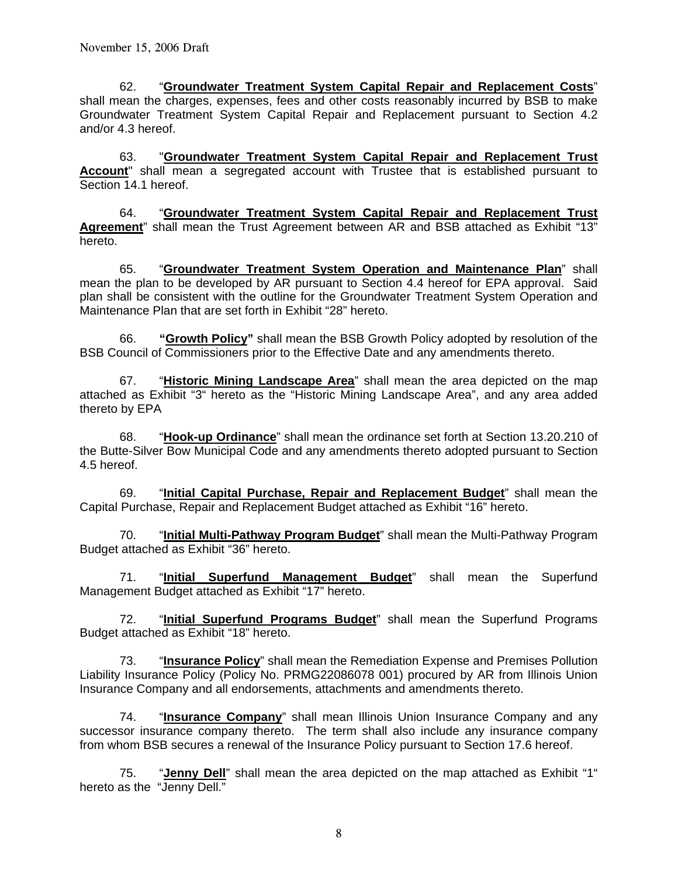62. "**Groundwater Treatment System Capital Repair and Replacement Costs**" shall mean the charges, expenses, fees and other costs reasonably incurred by BSB to make Groundwater Treatment System Capital Repair and Replacement pursuant to Section 4.2 and/or 4.3 hereof.

 63. "**Groundwater Treatment System Capital Repair and Replacement Trust Account**" shall mean a segregated account with Trustee that is established pursuant to Section 14.1 hereof.

 64. "**Groundwater Treatment System Capital Repair and Replacement Trust Agreement**" shall mean the Trust Agreement between AR and BSB attached as Exhibit "13" hereto.

 65. "**Groundwater Treatment System Operation and Maintenance Plan**" shall mean the plan to be developed by AR pursuant to Section 4.4 hereof for EPA approval. Said plan shall be consistent with the outline for the Groundwater Treatment System Operation and Maintenance Plan that are set forth in Exhibit "28" hereto.

 66. **"Growth Policy"** shall mean the BSB Growth Policy adopted by resolution of the BSB Council of Commissioners prior to the Effective Date and any amendments thereto.

 67. "**Historic Mining Landscape Area**" shall mean the area depicted on the map attached as Exhibit "3" hereto as the "Historic Mining Landscape Area", and any area added thereto by EPA

 68. "**Hook-up Ordinance**" shall mean the ordinance set forth at Section 13.20.210 of the Butte-Silver Bow Municipal Code and any amendments thereto adopted pursuant to Section 4.5 hereof.

 69. "**Initial Capital Purchase, Repair and Replacement Budget**" shall mean the Capital Purchase, Repair and Replacement Budget attached as Exhibit "16" hereto.

 70. "**Initial Multi-Pathway Program Budget**" shall mean the Multi-Pathway Program Budget attached as Exhibit "36" hereto.

 71. "**Initial Superfund Management Budget**" shall mean the Superfund Management Budget attached as Exhibit "17" hereto.

 72. "**Initial Superfund Programs Budget**" shall mean the Superfund Programs Budget attached as Exhibit "18" hereto.

 73. "**Insurance Policy**" shall mean the Remediation Expense and Premises Pollution Liability Insurance Policy (Policy No. PRMG22086078 001) procured by AR from Illinois Union Insurance Company and all endorsements, attachments and amendments thereto.

 74. "**Insurance Company**" shall mean Illinois Union Insurance Company and any successor insurance company thereto. The term shall also include any insurance company from whom BSB secures a renewal of the Insurance Policy pursuant to Section 17.6 hereof.

 75. "**Jenny Dell**" shall mean the area depicted on the map attached as Exhibit "1" hereto as the "Jenny Dell."

8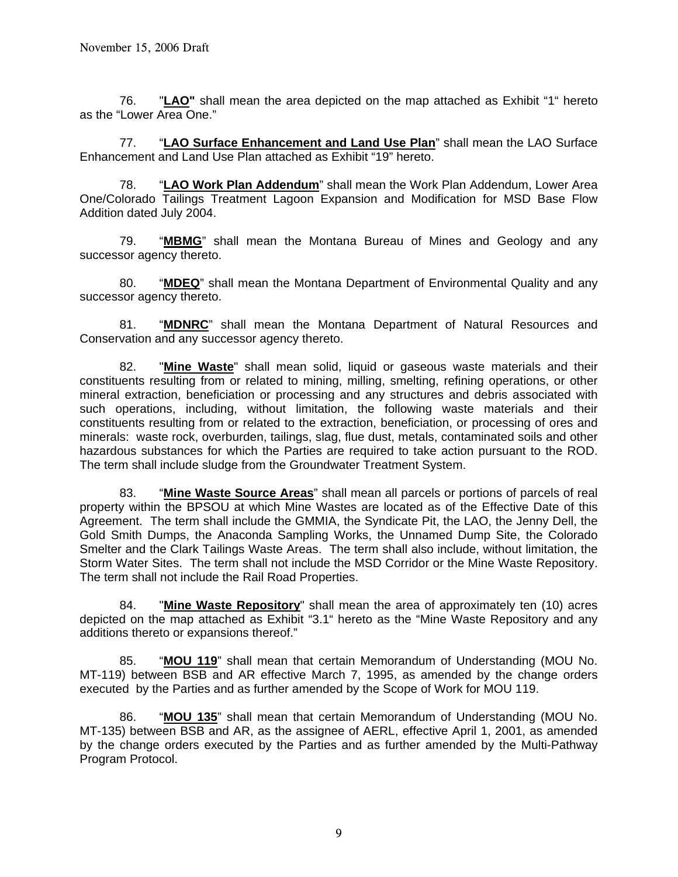76. "**LAO"** shall mean the area depicted on the map attached as Exhibit "1" hereto as the "Lower Area One."

 77. "**LAO Surface Enhancement and Land Use Plan**" shall mean the LAO Surface Enhancement and Land Use Plan attached as Exhibit "19" hereto.

 78. "**LAO Work Plan Addendum**" shall mean the Work Plan Addendum, Lower Area One/Colorado Tailings Treatment Lagoon Expansion and Modification for MSD Base Flow Addition dated July 2004.

 79. "**MBMG**" shall mean the Montana Bureau of Mines and Geology and any successor agency thereto.

 80. "**MDEQ**" shall mean the Montana Department of Environmental Quality and any successor agency thereto.

 81. "**MDNRC**" shall mean the Montana Department of Natural Resources and Conservation and any successor agency thereto.

 82. "**Mine Waste**" shall mean solid, liquid or gaseous waste materials and their constituents resulting from or related to mining, milling, smelting, refining operations, or other mineral extraction, beneficiation or processing and any structures and debris associated with such operations, including, without limitation, the following waste materials and their constituents resulting from or related to the extraction, beneficiation, or processing of ores and minerals: waste rock, overburden, tailings, slag, flue dust, metals, contaminated soils and other hazardous substances for which the Parties are required to take action pursuant to the ROD. The term shall include sludge from the Groundwater Treatment System.

 83. "**Mine Waste Source Areas**" shall mean all parcels or portions of parcels of real property within the BPSOU at which Mine Wastes are located as of the Effective Date of this Agreement. The term shall include the GMMIA, the Syndicate Pit, the LAO, the Jenny Dell, the Gold Smith Dumps, the Anaconda Sampling Works, the Unnamed Dump Site, the Colorado Smelter and the Clark Tailings Waste Areas.The term shall also include, without limitation, the Storm Water Sites. The term shall not include the MSD Corridor or the Mine Waste Repository. The term shall not include the Rail Road Properties.

 84. "**Mine Waste Repository**" shall mean the area of approximately ten (10) acres depicted on the map attached as Exhibit "3.1" hereto as the "Mine Waste Repository and any additions thereto or expansions thereof."

 85. "**MOU 119**" shall mean that certain Memorandum of Understanding (MOU No. MT-119) between BSB and AR effective March 7, 1995, as amended by the change orders executed by the Parties and as further amended by the Scope of Work for MOU 119.

 86. "**MOU 135**" shall mean that certain Memorandum of Understanding (MOU No. MT-135) between BSB and AR, as the assignee of AERL, effective April 1, 2001, as amended by the change orders executed by the Parties and as further amended by the Multi-Pathway Program Protocol.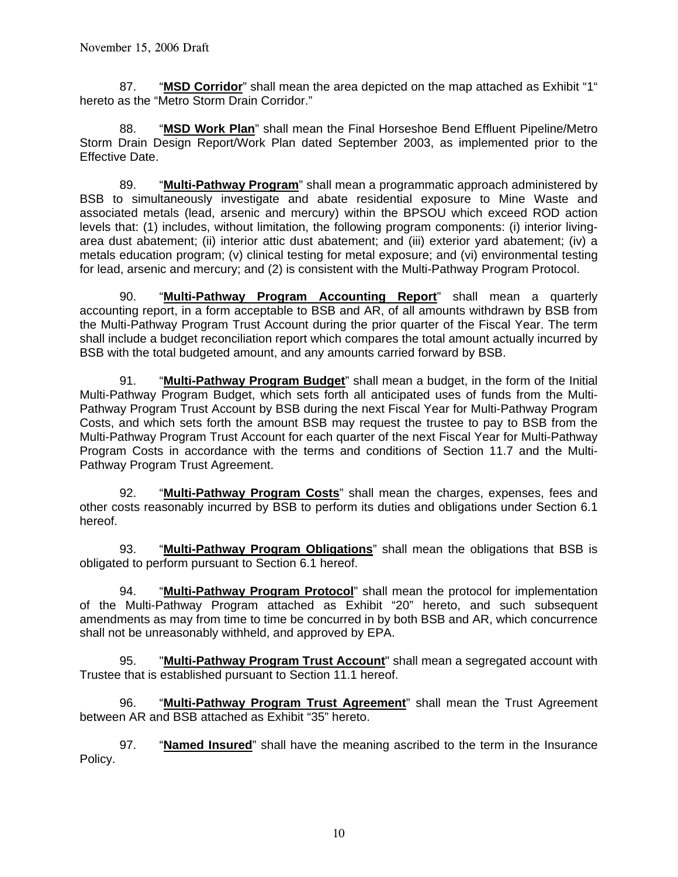87. "**MSD Corridor**" shall mean the area depicted on the map attached as Exhibit "1" hereto as the "Metro Storm Drain Corridor."

 88. "**MSD Work Plan**" shall mean the Final Horseshoe Bend Effluent Pipeline/Metro Storm Drain Design Report/Work Plan dated September 2003, as implemented prior to the Effective Date.

 89. "**Multi-Pathway Program**" shall mean a programmatic approach administered by BSB to simultaneously investigate and abate residential exposure to Mine Waste and associated metals (lead, arsenic and mercury) within the BPSOU which exceed ROD action levels that: (1) includes, without limitation, the following program components: (i) interior livingarea dust abatement; (ii) interior attic dust abatement; and (iii) exterior yard abatement; (iv) a metals education program; (v) clinical testing for metal exposure; and (vi) environmental testing for lead, arsenic and mercury; and (2) is consistent with the Multi-Pathway Program Protocol.

 90. "**Multi-Pathway Program Accounting Report**" shall mean a quarterly accounting report, in a form acceptable to BSB and AR, of all amounts withdrawn by BSB from the Multi-Pathway Program Trust Account during the prior quarter of the Fiscal Year. The term shall include a budget reconciliation report which compares the total amount actually incurred by BSB with the total budgeted amount, and any amounts carried forward by BSB.

 91. "**Multi-Pathway Program Budget**" shall mean a budget, in the form of the Initial Multi-Pathway Program Budget, which sets forth all anticipated uses of funds from the Multi-Pathway Program Trust Account by BSB during the next Fiscal Year for Multi-Pathway Program Costs, and which sets forth the amount BSB may request the trustee to pay to BSB from the Multi-Pathway Program Trust Account for each quarter of the next Fiscal Year for Multi-Pathway Program Costs in accordance with the terms and conditions of Section 11.7 and the Multi-Pathway Program Trust Agreement.

 92. "**Multi-Pathway Program Costs**" shall mean the charges, expenses, fees and other costs reasonably incurred by BSB to perform its duties and obligations under Section 6.1 hereof.

 93. "**Multi-Pathway Program Obligations**" shall mean the obligations that BSB is obligated to perform pursuant to Section 6.1 hereof.

 94. "**Multi-Pathway Program Protocol**" shall mean the protocol for implementation of the Multi-Pathway Program attached as Exhibit "20" hereto, and such subsequent amendments as may from time to time be concurred in by both BSB and AR, which concurrence shall not be unreasonably withheld, and approved by EPA.

 95. "**Multi-Pathway Program Trust Account**" shall mean a segregated account with Trustee that is established pursuant to Section 11.1 hereof.

 96. "**Multi-Pathway Program Trust Agreement**" shall mean the Trust Agreement between AR and BSB attached as Exhibit "35" hereto.

 97. "**Named Insured**" shall have the meaning ascribed to the term in the Insurance Policy.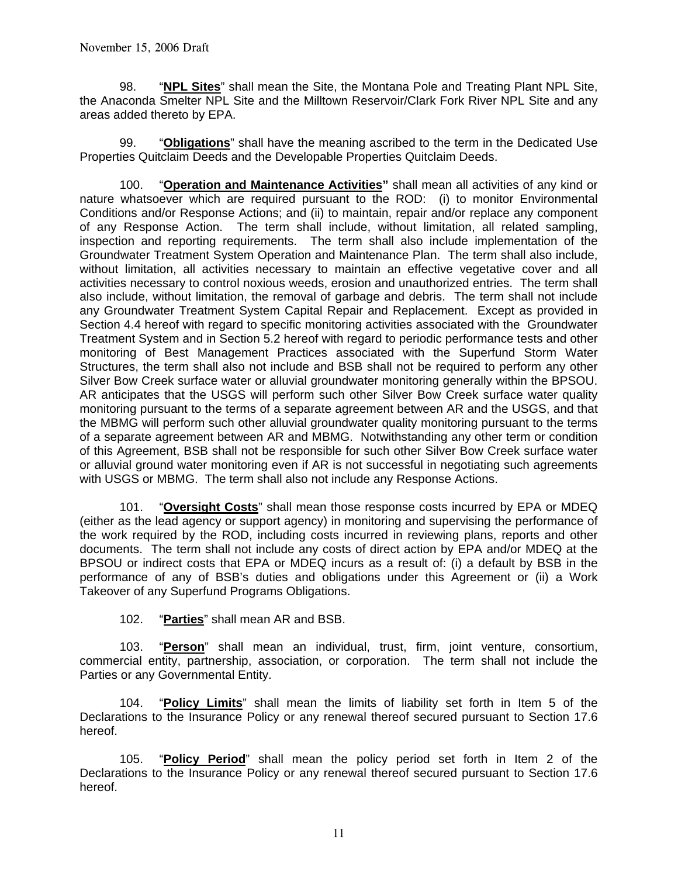98. "**NPL Sites**" shall mean the Site, the Montana Pole and Treating Plant NPL Site, the Anaconda Smelter NPL Site and the Milltown Reservoir/Clark Fork River NPL Site and any areas added thereto by EPA.

 99. "**Obligations**" shall have the meaning ascribed to the term in the Dedicated Use Properties Quitclaim Deeds and the Developable Properties Quitclaim Deeds.

 100. "**Operation and Maintenance Activities"** shall mean all activities of any kind or nature whatsoever which are required pursuant to the ROD: (i) to monitor Environmental Conditions and/or Response Actions; and (ii) to maintain, repair and/or replace any component of any Response Action. The term shall include, without limitation, all related sampling, inspection and reporting requirements. The term shall also include implementation of the Groundwater Treatment System Operation and Maintenance Plan. The term shall also include, without limitation, all activities necessary to maintain an effective vegetative cover and all activities necessary to control noxious weeds, erosion and unauthorized entries. The term shall also include, without limitation, the removal of garbage and debris. The term shall not include any Groundwater Treatment System Capital Repair and Replacement. Except as provided in Section 4.4 hereof with regard to specific monitoring activities associated with the Groundwater Treatment System and in Section 5.2 hereof with regard to periodic performance tests and other monitoring of Best Management Practices associated with the Superfund Storm Water Structures, the term shall also not include and BSB shall not be required to perform any other Silver Bow Creek surface water or alluvial groundwater monitoring generally within the BPSOU. AR anticipates that the USGS will perform such other Silver Bow Creek surface water quality monitoring pursuant to the terms of a separate agreement between AR and the USGS, and that the MBMG will perform such other alluvial groundwater quality monitoring pursuant to the terms of a separate agreement between AR and MBMG. Notwithstanding any other term or condition of this Agreement, BSB shall not be responsible for such other Silver Bow Creek surface water or alluvial ground water monitoring even if AR is not successful in negotiating such agreements with USGS or MBMG. The term shall also not include any Response Actions.

101. "**Oversight Costs**" shall mean those response costs incurred by EPA or MDEQ (either as the lead agency or support agency) in monitoring and supervising the performance of the work required by the ROD, including costs incurred in reviewing plans, reports and other documents. The term shall not include any costs of direct action by EPA and/or MDEQ at the BPSOU or indirect costs that EPA or MDEQ incurs as a result of: (i) a default by BSB in the performance of any of BSB's duties and obligations under this Agreement or (ii) a Work Takeover of any Superfund Programs Obligations.

102. "**Parties**" shall mean AR and BSB.

 103. "**Person**" shall mean an individual, trust, firm, joint venture, consortium, commercial entity, partnership, association, or corporation. The term shall not include the Parties or any Governmental Entity.

 104. "**Policy Limits**" shall mean the limits of liability set forth in Item 5 of the Declarations to the Insurance Policy or any renewal thereof secured pursuant to Section 17.6 hereof.

 105. "**Policy Period**" shall mean the policy period set forth in Item 2 of the Declarations to the Insurance Policy or any renewal thereof secured pursuant to Section 17.6 hereof.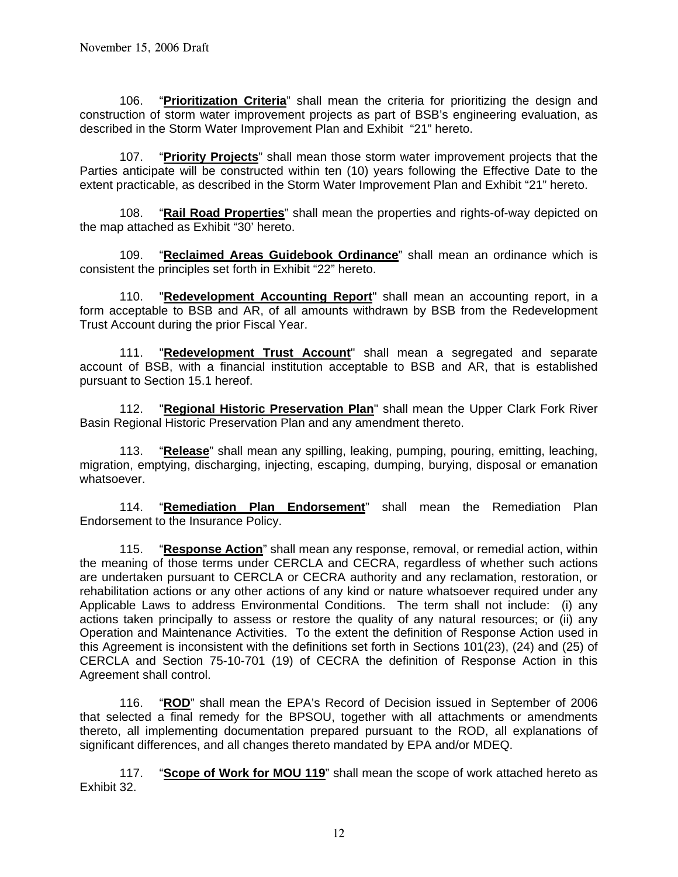106. "**Prioritization Criteria**" shall mean the criteria for prioritizing the design and construction of storm water improvement projects as part of BSB's engineering evaluation, as described in the Storm Water Improvement Plan and Exhibit "21" hereto.

 107. "**Priority Projects**" shall mean those storm water improvement projects that the Parties anticipate will be constructed within ten (10) years following the Effective Date to the extent practicable, as described in the Storm Water Improvement Plan and Exhibit "21" hereto.

 108. "**Rail Road Properties**" shall mean the properties and rights-of-way depicted on the map attached as Exhibit "30' hereto.

 109. "**Reclaimed Areas Guidebook Ordinance**" shall mean an ordinance which is consistent the principles set forth in Exhibit "22" hereto.

 110. "**Redevelopment Accounting Report**" shall mean an accounting report, in a form acceptable to BSB and AR, of all amounts withdrawn by BSB from the Redevelopment Trust Account during the prior Fiscal Year.

 111. "**Redevelopment Trust Account**" shall mean a segregated and separate account of BSB, with a financial institution acceptable to BSB and AR, that is established pursuant to Section 15.1 hereof.

 112. "**Regional Historic Preservation Plan**" shall mean the Upper Clark Fork River Basin Regional Historic Preservation Plan and any amendment thereto.

 113. "**Release**" shall mean any spilling, leaking, pumping, pouring, emitting, leaching, migration, emptying, discharging, injecting, escaping, dumping, burying, disposal or emanation whatsoever.

 114. "**Remediation Plan Endorsement**" shall mean the Remediation Plan Endorsement to the Insurance Policy.

 115. "**Response Action**" shall mean any response, removal, or remedial action, within the meaning of those terms under CERCLA and CECRA, regardless of whether such actions are undertaken pursuant to CERCLA or CECRA authority and any reclamation, restoration, or rehabilitation actions or any other actions of any kind or nature whatsoever required under any Applicable Laws to address Environmental Conditions. The term shall not include: (i) any actions taken principally to assess or restore the quality of any natural resources; or (ii) any Operation and Maintenance Activities. To the extent the definition of Response Action used in this Agreement is inconsistent with the definitions set forth in Sections 101(23), (24) and (25) of CERCLA and Section 75-10-701 (19) of CECRA the definition of Response Action in this Agreement shall control.

 116. "**ROD**" shall mean the EPA's Record of Decision issued in September of 2006 that selected a final remedy for the BPSOU, together with all attachments or amendments thereto, all implementing documentation prepared pursuant to the ROD, all explanations of significant differences, and all changes thereto mandated by EPA and/or MDEQ.

 117. "**Scope of Work for MOU 119**" shall mean the scope of work attached hereto as Exhibit 32.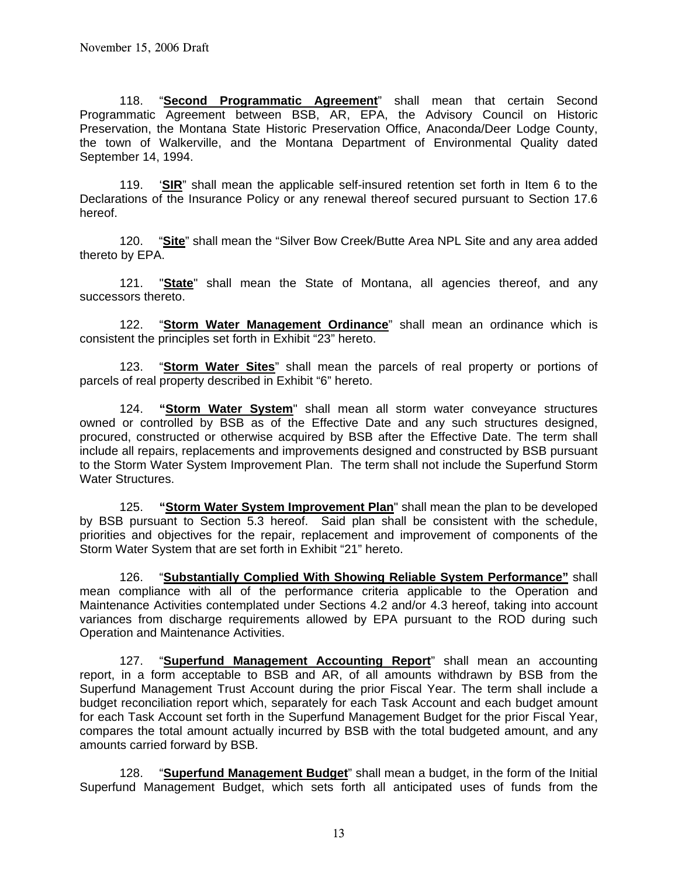118. "**Second Programmatic Agreement**" shall mean that certain Second Programmatic Agreement between BSB, AR, EPA, the Advisory Council on Historic Preservation, the Montana State Historic Preservation Office, Anaconda/Deer Lodge County, the town of Walkerville, and the Montana Department of Environmental Quality dated September 14, 1994.

 119. '**SIR**" shall mean the applicable self-insured retention set forth in Item 6 to the Declarations of the Insurance Policy or any renewal thereof secured pursuant to Section 17.6 hereof.

 120. "**Site**" shall mean the "Silver Bow Creek/Butte Area NPL Site and any area added thereto by EPA.

 121. "**State**" shall mean the State of Montana, all agencies thereof, and any successors thereto.

 122. "**Storm Water Management Ordinance**" shall mean an ordinance which is consistent the principles set forth in Exhibit "23" hereto.

 123. "**Storm Water Sites**" shall mean the parcels of real property or portions of parcels of real property described in Exhibit "6" hereto.

 124. **"Storm Water System**" shall mean all storm water conveyance structures owned or controlled by BSB as of the Effective Date and any such structures designed, procured, constructed or otherwise acquired by BSB after the Effective Date. The term shall include all repairs, replacements and improvements designed and constructed by BSB pursuant to the Storm Water System Improvement Plan. The term shall not include the Superfund Storm Water Structures.

 125. **"Storm Water System Improvement Plan**" shall mean the plan to be developed by BSB pursuant to Section 5.3 hereof. Said plan shall be consistent with the schedule, priorities and objectives for the repair, replacement and improvement of components of the Storm Water System that are set forth in Exhibit "21" hereto.

 126. "**Substantially Complied With Showing Reliable System Performance"** shall mean compliance with all of the performance criteria applicable to the Operation and Maintenance Activities contemplated under Sections 4.2 and/or 4.3 hereof, taking into account variances from discharge requirements allowed by EPA pursuant to the ROD during such Operation and Maintenance Activities.

 127. "**Superfund Management Accounting Report**" shall mean an accounting report, in a form acceptable to BSB and AR, of all amounts withdrawn by BSB from the Superfund Management Trust Account during the prior Fiscal Year. The term shall include a budget reconciliation report which, separately for each Task Account and each budget amount for each Task Account set forth in the Superfund Management Budget for the prior Fiscal Year, compares the total amount actually incurred by BSB with the total budgeted amount, and any amounts carried forward by BSB.

 128. "**Superfund Management Budget**" shall mean a budget, in the form of the Initial Superfund Management Budget, which sets forth all anticipated uses of funds from the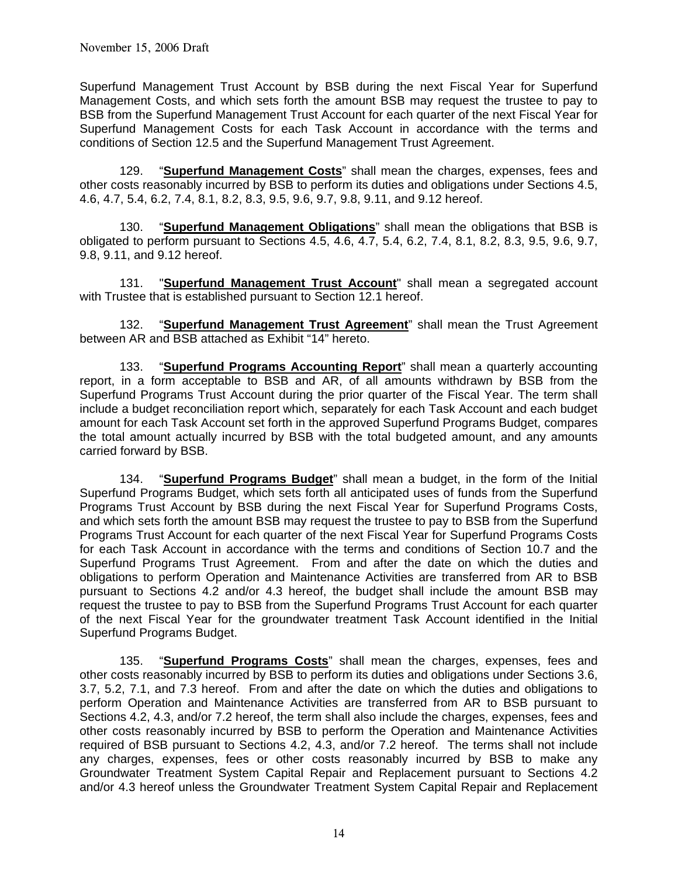Superfund Management Trust Account by BSB during the next Fiscal Year for Superfund Management Costs, and which sets forth the amount BSB may request the trustee to pay to BSB from the Superfund Management Trust Account for each quarter of the next Fiscal Year for Superfund Management Costs for each Task Account in accordance with the terms and conditions of Section 12.5 and the Superfund Management Trust Agreement.

 129. "**Superfund Management Costs**" shall mean the charges, expenses, fees and other costs reasonably incurred by BSB to perform its duties and obligations under Sections 4.5, 4.6, 4.7, 5.4, 6.2, 7.4, 8.1, 8.2, 8.3, 9.5, 9.6, 9.7, 9.8, 9.11, and 9.12 hereof.

 130. "**Superfund Management Obligations**" shall mean the obligations that BSB is obligated to perform pursuant to Sections 4.5, 4.6, 4.7, 5.4, 6.2, 7.4, 8.1, 8.2, 8.3, 9.5, 9.6, 9.7, 9.8, 9.11, and 9.12 hereof.

 131. "**Superfund Management Trust Account**" shall mean a segregated account with Trustee that is established pursuant to Section 12.1 hereof.

 132. "**Superfund Management Trust Agreement**" shall mean the Trust Agreement between AR and BSB attached as Exhibit "14" hereto.

 133. "**Superfund Programs Accounting Report**" shall mean a quarterly accounting report, in a form acceptable to BSB and AR, of all amounts withdrawn by BSB from the Superfund Programs Trust Account during the prior quarter of the Fiscal Year. The term shall include a budget reconciliation report which, separately for each Task Account and each budget amount for each Task Account set forth in the approved Superfund Programs Budget, compares the total amount actually incurred by BSB with the total budgeted amount, and any amounts carried forward by BSB.

 134. "**Superfund Programs Budget**" shall mean a budget, in the form of the Initial Superfund Programs Budget, which sets forth all anticipated uses of funds from the Superfund Programs Trust Account by BSB during the next Fiscal Year for Superfund Programs Costs, and which sets forth the amount BSB may request the trustee to pay to BSB from the Superfund Programs Trust Account for each quarter of the next Fiscal Year for Superfund Programs Costs for each Task Account in accordance with the terms and conditions of Section 10.7 and the Superfund Programs Trust Agreement. From and after the date on which the duties and obligations to perform Operation and Maintenance Activities are transferred from AR to BSB pursuant to Sections 4.2 and/or 4.3 hereof, the budget shall include the amount BSB may request the trustee to pay to BSB from the Superfund Programs Trust Account for each quarter of the next Fiscal Year for the groundwater treatment Task Account identified in the Initial Superfund Programs Budget.

 135. "**Superfund Programs Costs**" shall mean the charges, expenses, fees and other costs reasonably incurred by BSB to perform its duties and obligations under Sections 3.6, 3.7, 5.2, 7.1, and 7.3 hereof. From and after the date on which the duties and obligations to perform Operation and Maintenance Activities are transferred from AR to BSB pursuant to Sections 4.2, 4.3, and/or 7.2 hereof, the term shall also include the charges, expenses, fees and other costs reasonably incurred by BSB to perform the Operation and Maintenance Activities required of BSB pursuant to Sections 4.2, 4.3, and/or 7.2 hereof. The terms shall not include any charges, expenses, fees or other costs reasonably incurred by BSB to make any Groundwater Treatment System Capital Repair and Replacement pursuant to Sections 4.2 and/or 4.3 hereof unless the Groundwater Treatment System Capital Repair and Replacement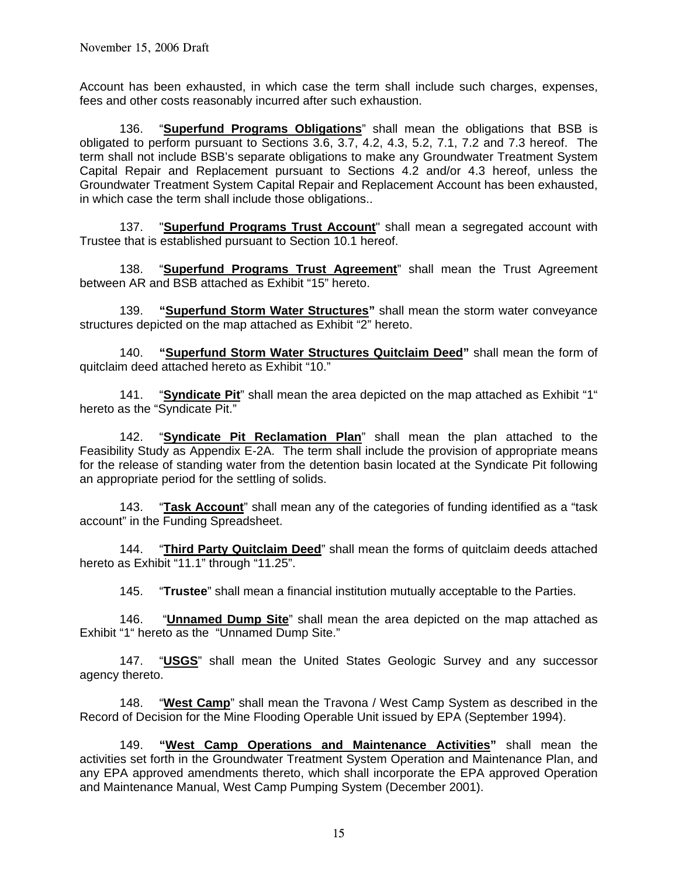Account has been exhausted, in which case the term shall include such charges, expenses, fees and other costs reasonably incurred after such exhaustion.

 136. "**Superfund Programs Obligations**" shall mean the obligations that BSB is obligated to perform pursuant to Sections 3.6, 3.7, 4.2, 4.3, 5.2, 7.1, 7.2 and 7.3 hereof. The term shall not include BSB's separate obligations to make any Groundwater Treatment System Capital Repair and Replacement pursuant to Sections 4.2 and/or 4.3 hereof, unless the Groundwater Treatment System Capital Repair and Replacement Account has been exhausted, in which case the term shall include those obligations..

 137. "**Superfund Programs Trust Account**" shall mean a segregated account with Trustee that is established pursuant to Section 10.1 hereof.

 138. "**Superfund Programs Trust Agreement**" shall mean the Trust Agreement between AR and BSB attached as Exhibit "15" hereto.

 139. **"Superfund Storm Water Structures"** shall mean the storm water conveyance structures depicted on the map attached as Exhibit "2" hereto.

 140. **"Superfund Storm Water Structures Quitclaim Deed"** shall mean the form of quitclaim deed attached hereto as Exhibit "10."

141. "**Syndicate Pit**" shall mean the area depicted on the map attached as Exhibit "1" hereto as the "Syndicate Pit."

 142. "**Syndicate Pit Reclamation Plan**" shall mean the plan attached to the Feasibility Study as Appendix E-2A. The term shall include the provision of appropriate means for the release of standing water from the detention basin located at the Syndicate Pit following an appropriate period for the settling of solids.

 143. "**Task Account**" shall mean any of the categories of funding identified as a "task account" in the Funding Spreadsheet.

 144. "**Third Party Quitclaim Deed**" shall mean the forms of quitclaim deeds attached hereto as Exhibit "11.1" through "11.25".

145. "**Trustee**" shall mean a financial institution mutually acceptable to the Parties.

 146. "**Unnamed Dump Site**" shall mean the area depicted on the map attached as Exhibit "1" hereto as the "Unnamed Dump Site."

 147. "**USGS**" shall mean the United States Geologic Survey and any successor agency thereto.

 148. "**West Camp**" shall mean the Travona / West Camp System as described in the Record of Decision for the Mine Flooding Operable Unit issued by EPA (September 1994).

 149. **"West Camp Operations and Maintenance Activities"** shall mean the activities set forth in the Groundwater Treatment System Operation and Maintenance Plan, and any EPA approved amendments thereto, which shall incorporate the EPA approved Operation and Maintenance Manual, West Camp Pumping System (December 2001).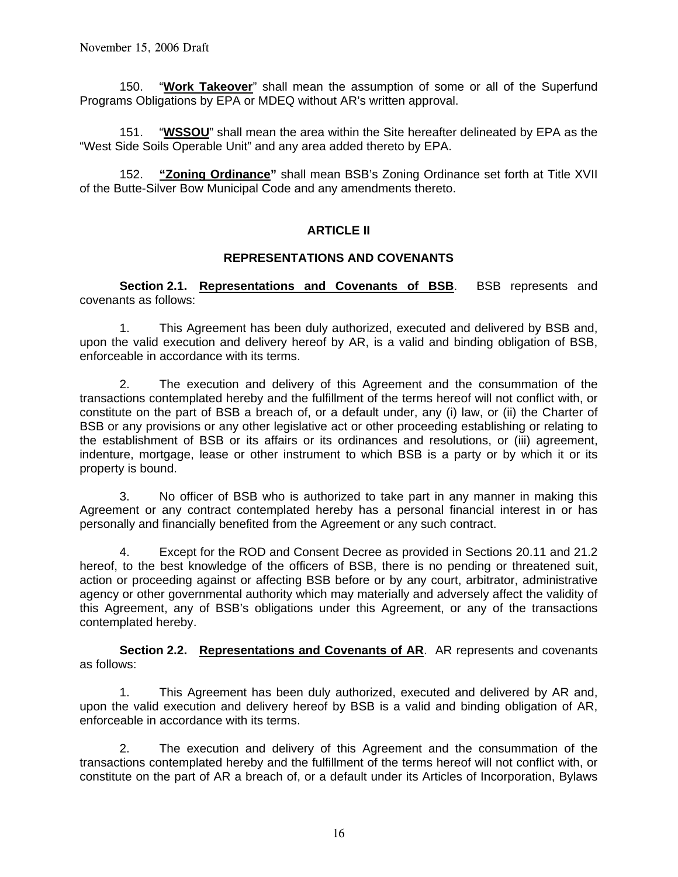150. "**Work Takeover**" shall mean the assumption of some or all of the Superfund Programs Obligations by EPA or MDEQ without AR's written approval.

 151. "**WSSOU**" shall mean the area within the Site hereafter delineated by EPA as the "West Side Soils Operable Unit" and any area added thereto by EPA.

 152. **"Zoning Ordinance"** shall mean BSB's Zoning Ordinance set forth at Title XVII of the Butte-Silver Bow Municipal Code and any amendments thereto.

### **ARTICLE II**

### **REPRESENTATIONS AND COVENANTS**

Section 2.1. Representations and Covenants of BSB. BSB represents and covenants as follows:

 1. This Agreement has been duly authorized, executed and delivered by BSB and, upon the valid execution and delivery hereof by AR, is a valid and binding obligation of BSB, enforceable in accordance with its terms.

 2. The execution and delivery of this Agreement and the consummation of the transactions contemplated hereby and the fulfillment of the terms hereof will not conflict with, or constitute on the part of BSB a breach of, or a default under, any (i) law, or (ii) the Charter of BSB or any provisions or any other legislative act or other proceeding establishing or relating to the establishment of BSB or its affairs or its ordinances and resolutions, or (iii) agreement, indenture, mortgage, lease or other instrument to which BSB is a party or by which it or its property is bound.

 3. No officer of BSB who is authorized to take part in any manner in making this Agreement or any contract contemplated hereby has a personal financial interest in or has personally and financially benefited from the Agreement or any such contract.

 4. Except for the ROD and Consent Decree as provided in Sections 20.11 and 21.2 hereof, to the best knowledge of the officers of BSB, there is no pending or threatened suit, action or proceeding against or affecting BSB before or by any court, arbitrator, administrative agency or other governmental authority which may materially and adversely affect the validity of this Agreement, any of BSB's obligations under this Agreement, or any of the transactions contemplated hereby.

**Section 2.2. Representations and Covenants of AR.** AR represents and covenants as follows:

 1. This Agreement has been duly authorized, executed and delivered by AR and, upon the valid execution and delivery hereof by BSB is a valid and binding obligation of AR, enforceable in accordance with its terms.

 2. The execution and delivery of this Agreement and the consummation of the transactions contemplated hereby and the fulfillment of the terms hereof will not conflict with, or constitute on the part of AR a breach of, or a default under its Articles of Incorporation, Bylaws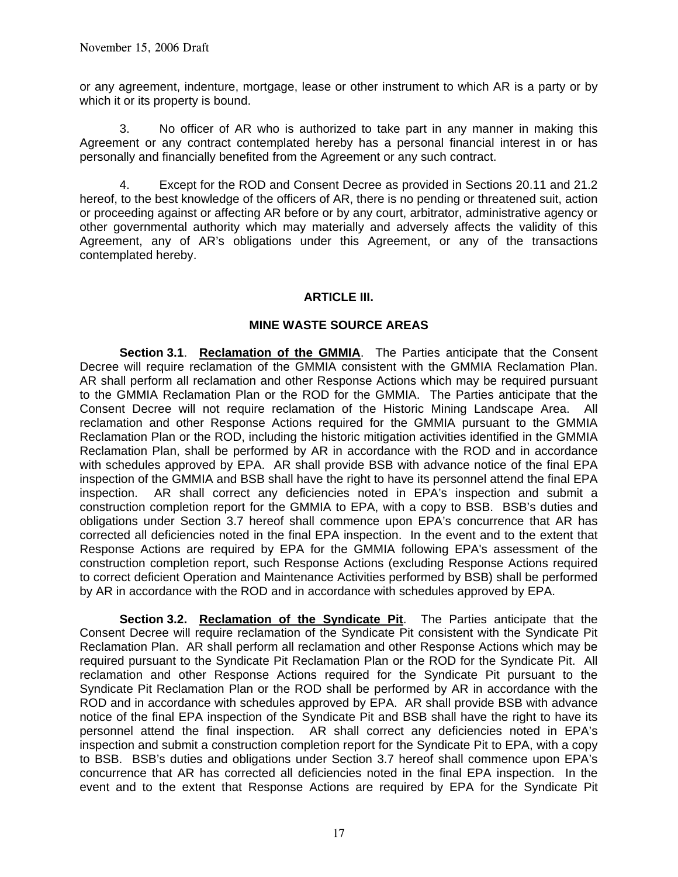or any agreement, indenture, mortgage, lease or other instrument to which AR is a party or by which it or its property is bound.

 3. No officer of AR who is authorized to take part in any manner in making this Agreement or any contract contemplated hereby has a personal financial interest in or has personally and financially benefited from the Agreement or any such contract.

 4. Except for the ROD and Consent Decree as provided in Sections 20.11 and 21.2 hereof, to the best knowledge of the officers of AR, there is no pending or threatened suit, action or proceeding against or affecting AR before or by any court, arbitrator, administrative agency or other governmental authority which may materially and adversely affects the validity of this Agreement, any of AR's obligations under this Agreement, or any of the transactions contemplated hereby.

### **ARTICLE III.**

### **MINE WASTE SOURCE AREAS**

**Section 3.1**. **Reclamation of the GMMIA**. The Parties anticipate that the Consent Decree will require reclamation of the GMMIA consistent with the GMMIA Reclamation Plan. AR shall perform all reclamation and other Response Actions which may be required pursuant to the GMMIA Reclamation Plan or the ROD for the GMMIA. The Parties anticipate that the Consent Decree will not require reclamation of the Historic Mining Landscape Area. All reclamation and other Response Actions required for the GMMIA pursuant to the GMMIA Reclamation Plan or the ROD, including the historic mitigation activities identified in the GMMIA Reclamation Plan, shall be performed by AR in accordance with the ROD and in accordance with schedules approved by EPA. AR shall provide BSB with advance notice of the final EPA inspection of the GMMIA and BSB shall have the right to have its personnel attend the final EPA inspection. AR shall correct any deficiencies noted in EPA's inspection and submit a construction completion report for the GMMIA to EPA, with a copy to BSB. BSB's duties and obligations under Section 3.7 hereof shall commence upon EPA's concurrence that AR has corrected all deficiencies noted in the final EPA inspection. In the event and to the extent that Response Actions are required by EPA for the GMMIA following EPA's assessment of the construction completion report, such Response Actions (excluding Response Actions required to correct deficient Operation and Maintenance Activities performed by BSB) shall be performed by AR in accordance with the ROD and in accordance with schedules approved by EPA.

**Section 3.2. Reclamation of the Syndicate Pit**. The Parties anticipate that the Consent Decree will require reclamation of the Syndicate Pit consistent with the Syndicate Pit Reclamation Plan. AR shall perform all reclamation and other Response Actions which may be required pursuant to the Syndicate Pit Reclamation Plan or the ROD for the Syndicate Pit. All reclamation and other Response Actions required for the Syndicate Pit pursuant to the Syndicate Pit Reclamation Plan or the ROD shall be performed by AR in accordance with the ROD and in accordance with schedules approved by EPA. AR shall provide BSB with advance notice of the final EPA inspection of the Syndicate Pit and BSB shall have the right to have its personnel attend the final inspection. AR shall correct any deficiencies noted in EPA's inspection and submit a construction completion report for the Syndicate Pit to EPA, with a copy to BSB. BSB's duties and obligations under Section 3.7 hereof shall commence upon EPA's concurrence that AR has corrected all deficiencies noted in the final EPA inspection. In the event and to the extent that Response Actions are required by EPA for the Syndicate Pit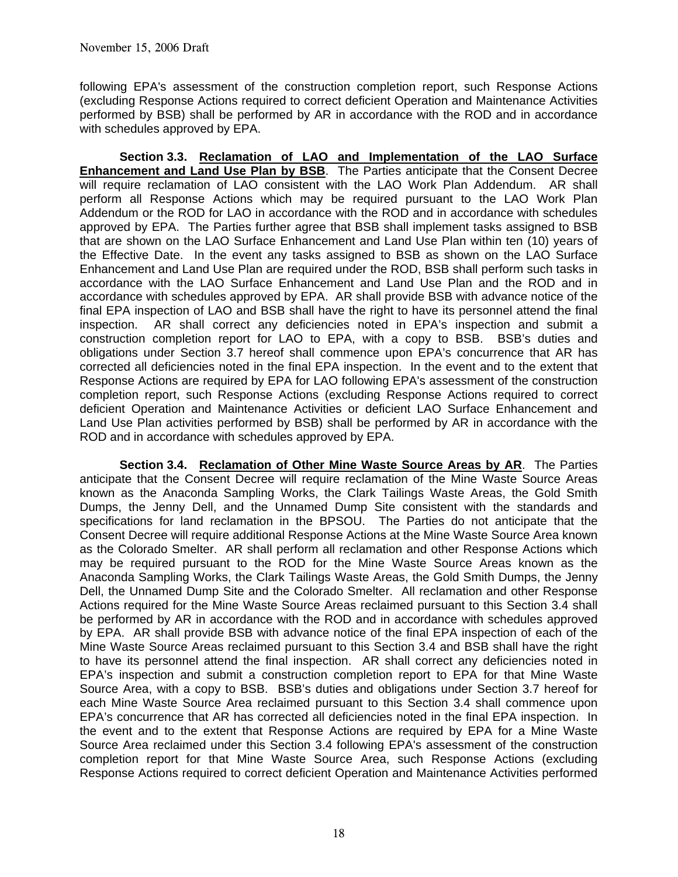following EPA's assessment of the construction completion report, such Response Actions (excluding Response Actions required to correct deficient Operation and Maintenance Activities performed by BSB) shall be performed by AR in accordance with the ROD and in accordance with schedules approved by EPA.

 **Section 3.3. Reclamation of LAO and Implementation of the LAO Surface Enhancement and Land Use Plan by BSB**. The Parties anticipate that the Consent Decree will require reclamation of LAO consistent with the LAO Work Plan Addendum. AR shall perform all Response Actions which may be required pursuant to the LAO Work Plan Addendum or the ROD for LAO in accordance with the ROD and in accordance with schedules approved by EPA. The Parties further agree that BSB shall implement tasks assigned to BSB that are shown on the LAO Surface Enhancement and Land Use Plan within ten (10) years of the Effective Date. In the event any tasks assigned to BSB as shown on the LAO Surface Enhancement and Land Use Plan are required under the ROD, BSB shall perform such tasks in accordance with the LAO Surface Enhancement and Land Use Plan and the ROD and in accordance with schedules approved by EPA. AR shall provide BSB with advance notice of the final EPA inspection of LAO and BSB shall have the right to have its personnel attend the final inspection. AR shall correct any deficiencies noted in EPA's inspection and submit a construction completion report for LAO to EPA, with a copy to BSB. BSB's duties and obligations under Section 3.7 hereof shall commence upon EPA's concurrence that AR has corrected all deficiencies noted in the final EPA inspection. In the event and to the extent that Response Actions are required by EPA for LAO following EPA's assessment of the construction completion report, such Response Actions (excluding Response Actions required to correct deficient Operation and Maintenance Activities or deficient LAO Surface Enhancement and Land Use Plan activities performed by BSB) shall be performed by AR in accordance with the ROD and in accordance with schedules approved by EPA.

**Section 3.4. Reclamation of Other Mine Waste Source Areas by AR**. The Parties anticipate that the Consent Decree will require reclamation of the Mine Waste Source Areas known as the Anaconda Sampling Works, the Clark Tailings Waste Areas, the Gold Smith Dumps, the Jenny Dell, and the Unnamed Dump Site consistent with the standards and specifications for land reclamation in the BPSOU. The Parties do not anticipate that the Consent Decree will require additional Response Actions at the Mine Waste Source Area known as the Colorado Smelter. AR shall perform all reclamation and other Response Actions which may be required pursuant to the ROD for the Mine Waste Source Areas known as the Anaconda Sampling Works, the Clark Tailings Waste Areas, the Gold Smith Dumps, the Jenny Dell, the Unnamed Dump Site and the Colorado Smelter. All reclamation and other Response Actions required for the Mine Waste Source Areas reclaimed pursuant to this Section 3.4 shall be performed by AR in accordance with the ROD and in accordance with schedules approved by EPA. AR shall provide BSB with advance notice of the final EPA inspection of each of the Mine Waste Source Areas reclaimed pursuant to this Section 3.4 and BSB shall have the right to have its personnel attend the final inspection. AR shall correct any deficiencies noted in EPA's inspection and submit a construction completion report to EPA for that Mine Waste Source Area, with a copy to BSB. BSB's duties and obligations under Section 3.7 hereof for each Mine Waste Source Area reclaimed pursuant to this Section 3.4 shall commence upon EPA's concurrence that AR has corrected all deficiencies noted in the final EPA inspection. In the event and to the extent that Response Actions are required by EPA for a Mine Waste Source Area reclaimed under this Section 3.4 following EPA's assessment of the construction completion report for that Mine Waste Source Area, such Response Actions (excluding Response Actions required to correct deficient Operation and Maintenance Activities performed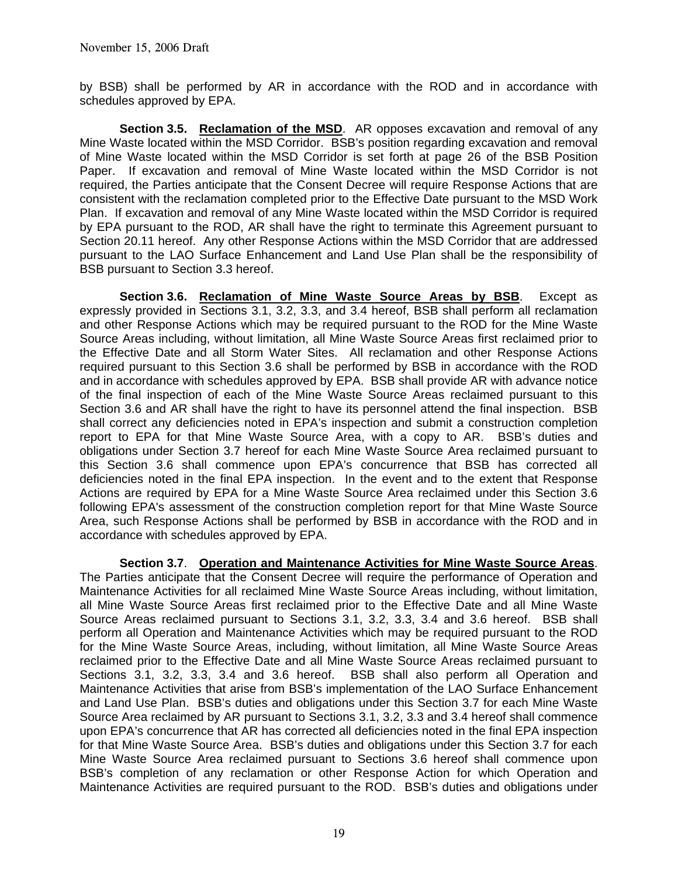by BSB) shall be performed by AR in accordance with the ROD and in accordance with schedules approved by EPA.

**Section 3.5. Reclamation of the MSD**. AR opposes excavation and removal of any Mine Waste located within the MSD Corridor. BSB's position regarding excavation and removal of Mine Waste located within the MSD Corridor is set forth at page 26 of the BSB Position Paper. If excavation and removal of Mine Waste located within the MSD Corridor is not required, the Parties anticipate that the Consent Decree will require Response Actions that are consistent with the reclamation completed prior to the Effective Date pursuant to the MSD Work Plan. If excavation and removal of any Mine Waste located within the MSD Corridor is required by EPA pursuant to the ROD, AR shall have the right to terminate this Agreement pursuant to Section 20.11 hereof. Any other Response Actions within the MSD Corridor that are addressed pursuant to the LAO Surface Enhancement and Land Use Plan shall be the responsibility of BSB pursuant to Section 3.3 hereof.

**Section 3.6. Reclamation of Mine Waste Source Areas by BSB**. Except as expressly provided in Sections 3.1, 3.2, 3.3, and 3.4 hereof, BSB shall perform all reclamation and other Response Actions which may be required pursuant to the ROD for the Mine Waste Source Areas including, without limitation, all Mine Waste Source Areas first reclaimed prior to the Effective Date and all Storm Water Sites. All reclamation and other Response Actions required pursuant to this Section 3.6 shall be performed by BSB in accordance with the ROD and in accordance with schedules approved by EPA. BSB shall provide AR with advance notice of the final inspection of each of the Mine Waste Source Areas reclaimed pursuant to this Section 3.6 and AR shall have the right to have its personnel attend the final inspection. BSB shall correct any deficiencies noted in EPA's inspection and submit a construction completion report to EPA for that Mine Waste Source Area, with a copy to AR. BSB's duties and obligations under Section 3.7 hereof for each Mine Waste Source Area reclaimed pursuant to this Section 3.6 shall commence upon EPA's concurrence that BSB has corrected all deficiencies noted in the final EPA inspection. In the event and to the extent that Response Actions are required by EPA for a Mine Waste Source Area reclaimed under this Section 3.6 following EPA's assessment of the construction completion report for that Mine Waste Source Area, such Response Actions shall be performed by BSB in accordance with the ROD and in accordance with schedules approved by EPA.

**Section 3.7**. **Operation and Maintenance Activities for Mine Waste Source Areas**. The Parties anticipate that the Consent Decree will require the performance of Operation and Maintenance Activities for all reclaimed Mine Waste Source Areas including, without limitation, all Mine Waste Source Areas first reclaimed prior to the Effective Date and all Mine Waste Source Areas reclaimed pursuant to Sections 3.1, 3.2, 3.3, 3.4 and 3.6 hereof. BSB shall perform all Operation and Maintenance Activities which may be required pursuant to the ROD for the Mine Waste Source Areas, including, without limitation, all Mine Waste Source Areas reclaimed prior to the Effective Date and all Mine Waste Source Areas reclaimed pursuant to Sections 3.1, 3.2, 3.3, 3.4 and 3.6 hereof. BSB shall also perform all Operation and Maintenance Activities that arise from BSB's implementation of the LAO Surface Enhancement and Land Use Plan. BSB's duties and obligations under this Section 3.7 for each Mine Waste Source Area reclaimed by AR pursuant to Sections 3.1, 3.2, 3.3 and 3.4 hereof shall commence upon EPA's concurrence that AR has corrected all deficiencies noted in the final EPA inspection for that Mine Waste Source Area. BSB's duties and obligations under this Section 3.7 for each Mine Waste Source Area reclaimed pursuant to Sections 3.6 hereof shall commence upon BSB's completion of any reclamation or other Response Action for which Operation and Maintenance Activities are required pursuant to the ROD. BSB's duties and obligations under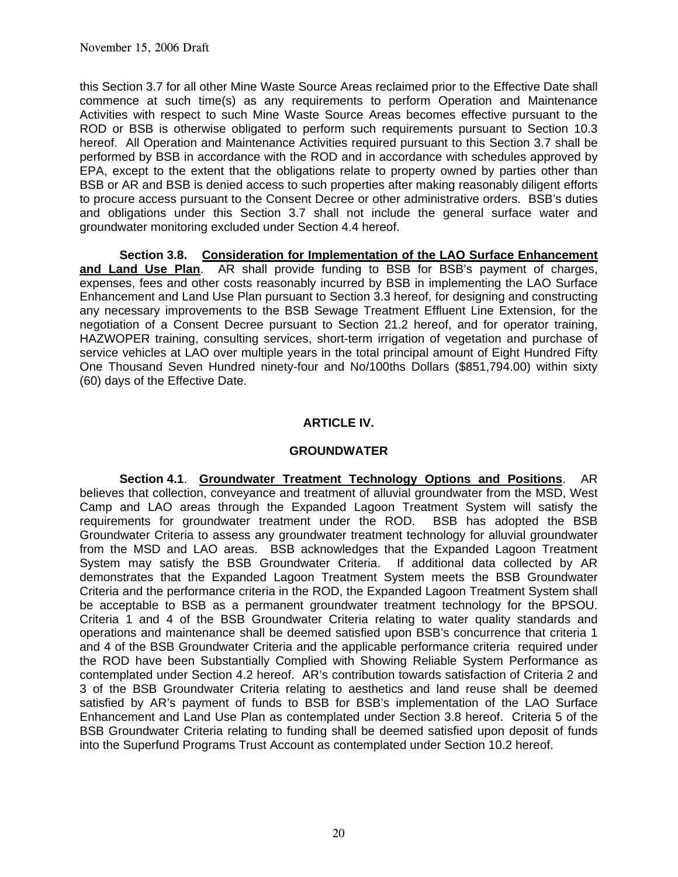this Section 3.7 for all other Mine Waste Source Areas reclaimed prior to the Effective Date shall commence at such time(s) as any requirements to perform Operation and Maintenance Activities with respect to such Mine Waste Source Areas becomes effective pursuant to the ROD or BSB is otherwise obligated to perform such requirements pursuant to Section 10.3 hereof. All Operation and Maintenance Activities required pursuant to this Section 3.7 shall be performed by BSB in accordance with the ROD and in accordance with schedules approved by EPA, except to the extent that the obligations relate to property owned by parties other than BSB or AR and BSB is denied access to such properties after making reasonably diligent efforts to procure access pursuant to the Consent Decree or other administrative orders. BSB's duties and obligations under this Section 3.7 shall not include the general surface water and groundwater monitoring excluded under Section 4.4 hereof.

 **Section 3.8. Consideration for Implementation of the LAO Surface Enhancement and Land Use Plan**. AR shall provide funding to BSB for BSB's payment of charges, expenses, fees and other costs reasonably incurred by BSB in implementing the LAO Surface Enhancement and Land Use Plan pursuant to Section 3.3 hereof, for designing and constructing any necessary improvements to the BSB Sewage Treatment Effluent Line Extension, for the negotiation of a Consent Decree pursuant to Section 21.2 hereof, and for operator training, HAZWOPER training, consulting services, short-term irrigation of vegetation and purchase of service vehicles at LAO over multiple years in the total principal amount of Eight Hundred Fifty One Thousand Seven Hundred ninety-four and No/100ths Dollars (\$851,794.00) within sixty (60) days of the Effective Date.

## **ARTICLE IV.**

## **GROUNDWATER**

**Section 4.1**. **Groundwater Treatment Technology Options and Positions**. AR believes that collection, conveyance and treatment of alluvial groundwater from the MSD, West Camp and LAO areas through the Expanded Lagoon Treatment System will satisfy the requirements for groundwater treatment under the ROD. BSB has adopted the BSB Groundwater Criteria to assess any groundwater treatment technology for alluvial groundwater from the MSD and LAO areas. BSB acknowledges that the Expanded Lagoon Treatment System may satisfy the BSB Groundwater Criteria. If additional data collected by AR demonstrates that the Expanded Lagoon Treatment System meets the BSB Groundwater Criteria and the performance criteria in the ROD, the Expanded Lagoon Treatment System shall be acceptable to BSB as a permanent groundwater treatment technology for the BPSOU. Criteria 1 and 4 of the BSB Groundwater Criteria relating to water quality standards and operations and maintenance shall be deemed satisfied upon BSB's concurrence that criteria 1 and 4 of the BSB Groundwater Criteria and the applicable performance criteria required under the ROD have been Substantially Complied with Showing Reliable System Performance as contemplated under Section 4.2 hereof. AR's contribution towards satisfaction of Criteria 2 and 3 of the BSB Groundwater Criteria relating to aesthetics and land reuse shall be deemed satisfied by AR's payment of funds to BSB for BSB's implementation of the LAO Surface Enhancement and Land Use Plan as contemplated under Section 3.8 hereof. Criteria 5 of the BSB Groundwater Criteria relating to funding shall be deemed satisfied upon deposit of funds into the Superfund Programs Trust Account as contemplated under Section 10.2 hereof.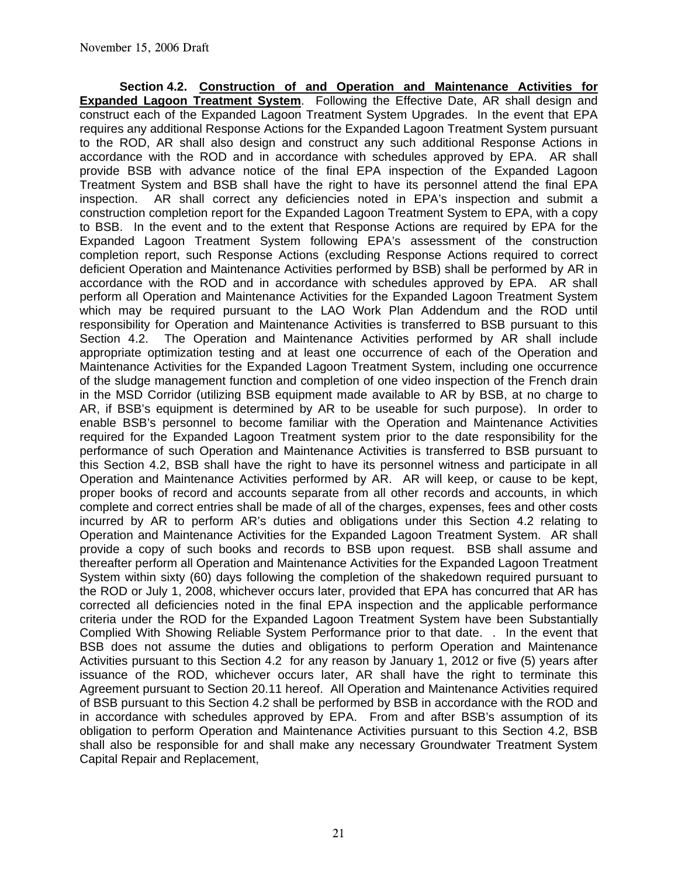**Section 4.2. Construction of and Operation and Maintenance Activities for Expanded Lagoon Treatment System**. Following the Effective Date, AR shall design and construct each of the Expanded Lagoon Treatment System Upgrades. In the event that EPA requires any additional Response Actions for the Expanded Lagoon Treatment System pursuant to the ROD, AR shall also design and construct any such additional Response Actions in accordance with the ROD and in accordance with schedules approved by EPA. AR shall provide BSB with advance notice of the final EPA inspection of the Expanded Lagoon Treatment System and BSB shall have the right to have its personnel attend the final EPA inspection. AR shall correct any deficiencies noted in EPA's inspection and submit a construction completion report for the Expanded Lagoon Treatment System to EPA, with a copy to BSB. In the event and to the extent that Response Actions are required by EPA for the Expanded Lagoon Treatment System following EPA's assessment of the construction completion report, such Response Actions (excluding Response Actions required to correct deficient Operation and Maintenance Activities performed by BSB) shall be performed by AR in accordance with the ROD and in accordance with schedules approved by EPA. AR shall perform all Operation and Maintenance Activities for the Expanded Lagoon Treatment System which may be required pursuant to the LAO Work Plan Addendum and the ROD until responsibility for Operation and Maintenance Activities is transferred to BSB pursuant to this Section 4.2. The Operation and Maintenance Activities performed by AR shall include appropriate optimization testing and at least one occurrence of each of the Operation and Maintenance Activities for the Expanded Lagoon Treatment System, including one occurrence of the sludge management function and completion of one video inspection of the French drain in the MSD Corridor (utilizing BSB equipment made available to AR by BSB, at no charge to AR, if BSB's equipment is determined by AR to be useable for such purpose). In order to enable BSB's personnel to become familiar with the Operation and Maintenance Activities required for the Expanded Lagoon Treatment system prior to the date responsibility for the performance of such Operation and Maintenance Activities is transferred to BSB pursuant to this Section 4.2, BSB shall have the right to have its personnel witness and participate in all Operation and Maintenance Activities performed by AR. AR will keep, or cause to be kept, proper books of record and accounts separate from all other records and accounts, in which complete and correct entries shall be made of all of the charges, expenses, fees and other costs incurred by AR to perform AR's duties and obligations under this Section 4.2 relating to Operation and Maintenance Activities for the Expanded Lagoon Treatment System. AR shall provide a copy of such books and records to BSB upon request. BSB shall assume and thereafter perform all Operation and Maintenance Activities for the Expanded Lagoon Treatment System within sixty (60) days following the completion of the shakedown required pursuant to the ROD or July 1, 2008, whichever occurs later, provided that EPA has concurred that AR has corrected all deficiencies noted in the final EPA inspection and the applicable performance criteria under the ROD for the Expanded Lagoon Treatment System have been Substantially Complied With Showing Reliable System Performance prior to that date. . In the event that BSB does not assume the duties and obligations to perform Operation and Maintenance Activities pursuant to this Section 4.2 for any reason by January 1, 2012 or five (5) years after issuance of the ROD, whichever occurs later, AR shall have the right to terminate this Agreement pursuant to Section 20.11 hereof. All Operation and Maintenance Activities required of BSB pursuant to this Section 4.2 shall be performed by BSB in accordance with the ROD and in accordance with schedules approved by EPA. From and after BSB's assumption of its obligation to perform Operation and Maintenance Activities pursuant to this Section 4.2, BSB shall also be responsible for and shall make any necessary Groundwater Treatment System Capital Repair and Replacement,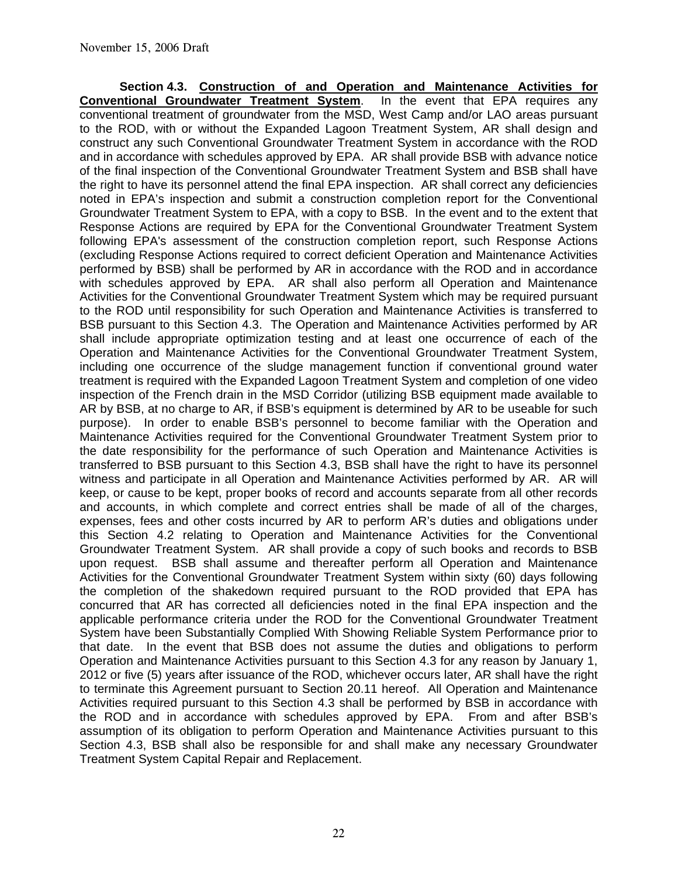**Section 4.3. Construction of and Operation and Maintenance Activities for Conventional Groundwater Treatment System**. In the event that EPA requires any conventional treatment of groundwater from the MSD, West Camp and/or LAO areas pursuant to the ROD, with or without the Expanded Lagoon Treatment System, AR shall design and construct any such Conventional Groundwater Treatment System in accordance with the ROD and in accordance with schedules approved by EPA. AR shall provide BSB with advance notice of the final inspection of the Conventional Groundwater Treatment System and BSB shall have the right to have its personnel attend the final EPA inspection. AR shall correct any deficiencies noted in EPA's inspection and submit a construction completion report for the Conventional Groundwater Treatment System to EPA, with a copy to BSB. In the event and to the extent that Response Actions are required by EPA for the Conventional Groundwater Treatment System following EPA's assessment of the construction completion report, such Response Actions (excluding Response Actions required to correct deficient Operation and Maintenance Activities performed by BSB) shall be performed by AR in accordance with the ROD and in accordance with schedules approved by EPA. AR shall also perform all Operation and Maintenance Activities for the Conventional Groundwater Treatment System which may be required pursuant to the ROD until responsibility for such Operation and Maintenance Activities is transferred to BSB pursuant to this Section 4.3. The Operation and Maintenance Activities performed by AR shall include appropriate optimization testing and at least one occurrence of each of the Operation and Maintenance Activities for the Conventional Groundwater Treatment System, including one occurrence of the sludge management function if conventional ground water treatment is required with the Expanded Lagoon Treatment System and completion of one video inspection of the French drain in the MSD Corridor (utilizing BSB equipment made available to AR by BSB, at no charge to AR, if BSB's equipment is determined by AR to be useable for such purpose). In order to enable BSB's personnel to become familiar with the Operation and Maintenance Activities required for the Conventional Groundwater Treatment System prior to the date responsibility for the performance of such Operation and Maintenance Activities is transferred to BSB pursuant to this Section 4.3, BSB shall have the right to have its personnel witness and participate in all Operation and Maintenance Activities performed by AR. AR will keep, or cause to be kept, proper books of record and accounts separate from all other records and accounts, in which complete and correct entries shall be made of all of the charges, expenses, fees and other costs incurred by AR to perform AR's duties and obligations under this Section 4.2 relating to Operation and Maintenance Activities for the Conventional Groundwater Treatment System. AR shall provide a copy of such books and records to BSB upon request. BSB shall assume and thereafter perform all Operation and Maintenance Activities for the Conventional Groundwater Treatment System within sixty (60) days following the completion of the shakedown required pursuant to the ROD provided that EPA has concurred that AR has corrected all deficiencies noted in the final EPA inspection and the applicable performance criteria under the ROD for the Conventional Groundwater Treatment System have been Substantially Complied With Showing Reliable System Performance prior to that date. In the event that BSB does not assume the duties and obligations to perform Operation and Maintenance Activities pursuant to this Section 4.3 for any reason by January 1, 2012 or five (5) years after issuance of the ROD, whichever occurs later, AR shall have the right to terminate this Agreement pursuant to Section 20.11 hereof. All Operation and Maintenance Activities required pursuant to this Section 4.3 shall be performed by BSB in accordance with the ROD and in accordance with schedules approved by EPA. From and after BSB's assumption of its obligation to perform Operation and Maintenance Activities pursuant to this Section 4.3, BSB shall also be responsible for and shall make any necessary Groundwater Treatment System Capital Repair and Replacement.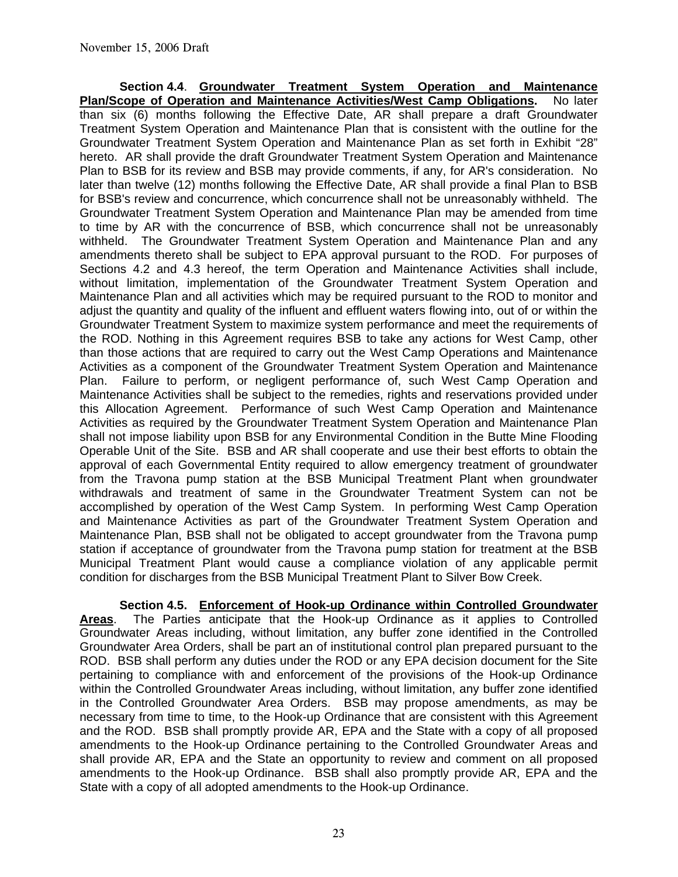**Section 4.4**. **Groundwater Treatment System Operation and Maintenance Plan/Scope of Operation and Maintenance Activities/West Camp Obligations.** No later than six (6) months following the Effective Date, AR shall prepare a draft Groundwater Treatment System Operation and Maintenance Plan that is consistent with the outline for the Groundwater Treatment System Operation and Maintenance Plan as set forth in Exhibit "28" hereto. AR shall provide the draft Groundwater Treatment System Operation and Maintenance Plan to BSB for its review and BSB may provide comments, if any, for AR's consideration. No later than twelve (12) months following the Effective Date, AR shall provide a final Plan to BSB for BSB's review and concurrence, which concurrence shall not be unreasonably withheld. The Groundwater Treatment System Operation and Maintenance Plan may be amended from time to time by AR with the concurrence of BSB, which concurrence shall not be unreasonably withheld. The Groundwater Treatment System Operation and Maintenance Plan and any amendments thereto shall be subject to EPA approval pursuant to the ROD. For purposes of Sections 4.2 and 4.3 hereof, the term Operation and Maintenance Activities shall include, without limitation, implementation of the Groundwater Treatment System Operation and Maintenance Plan and all activities which may be required pursuant to the ROD to monitor and adjust the quantity and quality of the influent and effluent waters flowing into, out of or within the Groundwater Treatment System to maximize system performance and meet the requirements of the ROD. Nothing in this Agreement requires BSB to take any actions for West Camp, other than those actions that are required to carry out the West Camp Operations and Maintenance Activities as a component of the Groundwater Treatment System Operation and Maintenance Plan. Failure to perform, or negligent performance of, such West Camp Operation and Maintenance Activities shall be subject to the remedies, rights and reservations provided under this Allocation Agreement. Performance of such West Camp Operation and Maintenance Activities as required by the Groundwater Treatment System Operation and Maintenance Plan shall not impose liability upon BSB for any Environmental Condition in the Butte Mine Flooding Operable Unit of the Site. BSB and AR shall cooperate and use their best efforts to obtain the approval of each Governmental Entity required to allow emergency treatment of groundwater from the Travona pump station at the BSB Municipal Treatment Plant when groundwater withdrawals and treatment of same in the Groundwater Treatment System can not be accomplished by operation of the West Camp System. In performing West Camp Operation and Maintenance Activities as part of the Groundwater Treatment System Operation and Maintenance Plan, BSB shall not be obligated to accept groundwater from the Travona pump station if acceptance of groundwater from the Travona pump station for treatment at the BSB Municipal Treatment Plant would cause a compliance violation of any applicable permit condition for discharges from the BSB Municipal Treatment Plant to Silver Bow Creek.

**Section 4.5. Enforcement of Hook-up Ordinance within Controlled Groundwater Areas.** The Parties anticipate that the Hook-up Ordinance as it applies to Controlled **Areas**. The Parties anticipate that the Hook-up Ordinance as it applies to Controlled Groundwater Areas including, without limitation, any buffer zone identified in the Controlled Groundwater Area Orders, shall be part an of institutional control plan prepared pursuant to the ROD. BSB shall perform any duties under the ROD or any EPA decision document for the Site pertaining to compliance with and enforcement of the provisions of the Hook-up Ordinance within the Controlled Groundwater Areas including, without limitation, any buffer zone identified in the Controlled Groundwater Area Orders. BSB may propose amendments, as may be necessary from time to time, to the Hook-up Ordinance that are consistent with this Agreement and the ROD. BSB shall promptly provide AR, EPA and the State with a copy of all proposed amendments to the Hook-up Ordinance pertaining to the Controlled Groundwater Areas and shall provide AR, EPA and the State an opportunity to review and comment on all proposed amendments to the Hook-up Ordinance. BSB shall also promptly provide AR, EPA and the State with a copy of all adopted amendments to the Hook-up Ordinance.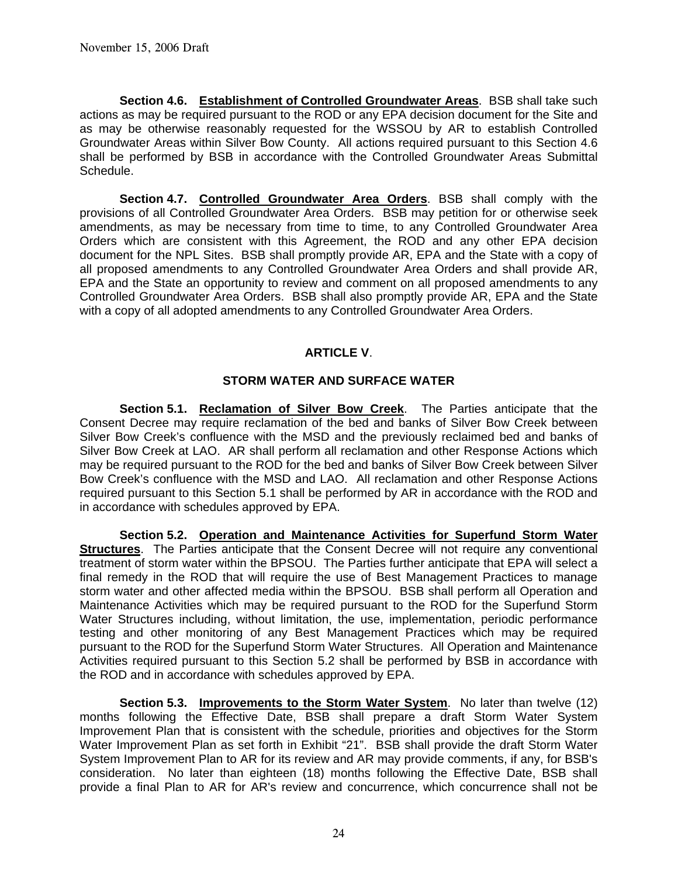**Section 4.6. Establishment of Controlled Groundwater Areas**. BSB shall take such actions as may be required pursuant to the ROD or any EPA decision document for the Site and as may be otherwise reasonably requested for the WSSOU by AR to establish Controlled Groundwater Areas within Silver Bow County. All actions required pursuant to this Section 4.6 shall be performed by BSB in accordance with the Controlled Groundwater Areas Submittal Schedule.

**Section 4.7. Controlled Groundwater Area Orders**. BSB shall comply with the provisions of all Controlled Groundwater Area Orders. BSB may petition for or otherwise seek amendments, as may be necessary from time to time, to any Controlled Groundwater Area Orders which are consistent with this Agreement, the ROD and any other EPA decision document for the NPL Sites. BSB shall promptly provide AR, EPA and the State with a copy of all proposed amendments to any Controlled Groundwater Area Orders and shall provide AR, EPA and the State an opportunity to review and comment on all proposed amendments to any Controlled Groundwater Area Orders. BSB shall also promptly provide AR, EPA and the State with a copy of all adopted amendments to any Controlled Groundwater Area Orders.

## **ARTICLE V**.

## **STORM WATER AND SURFACE WATER**

 **Section 5.1. Reclamation of Silver Bow Creek**. The Parties anticipate that the Consent Decree may require reclamation of the bed and banks of Silver Bow Creek between Silver Bow Creek's confluence with the MSD and the previously reclaimed bed and banks of Silver Bow Creek at LAO. AR shall perform all reclamation and other Response Actions which may be required pursuant to the ROD for the bed and banks of Silver Bow Creek between Silver Bow Creek's confluence with the MSD and LAO. All reclamation and other Response Actions required pursuant to this Section 5.1 shall be performed by AR in accordance with the ROD and in accordance with schedules approved by EPA.

**Section 5.2. Operation and Maintenance Activities for Superfund Storm Water Structures**. The Parties anticipate that the Consent Decree will not require any conventional treatment of storm water within the BPSOU. The Parties further anticipate that EPA will select a final remedy in the ROD that will require the use of Best Management Practices to manage storm water and other affected media within the BPSOU. BSB shall perform all Operation and Maintenance Activities which may be required pursuant to the ROD for the Superfund Storm Water Structures including, without limitation, the use, implementation, periodic performance testing and other monitoring of any Best Management Practices which may be required pursuant to the ROD for the Superfund Storm Water Structures. All Operation and Maintenance Activities required pursuant to this Section 5.2 shall be performed by BSB in accordance with the ROD and in accordance with schedules approved by EPA.

**Section 5.3. Improvements to the Storm Water System**. No later than twelve (12) months following the Effective Date, BSB shall prepare a draft Storm Water System Improvement Plan that is consistent with the schedule, priorities and objectives for the Storm Water Improvement Plan as set forth in Exhibit "21". BSB shall provide the draft Storm Water System Improvement Plan to AR for its review and AR may provide comments, if any, for BSB's consideration. No later than eighteen (18) months following the Effective Date, BSB shall provide a final Plan to AR for AR's review and concurrence, which concurrence shall not be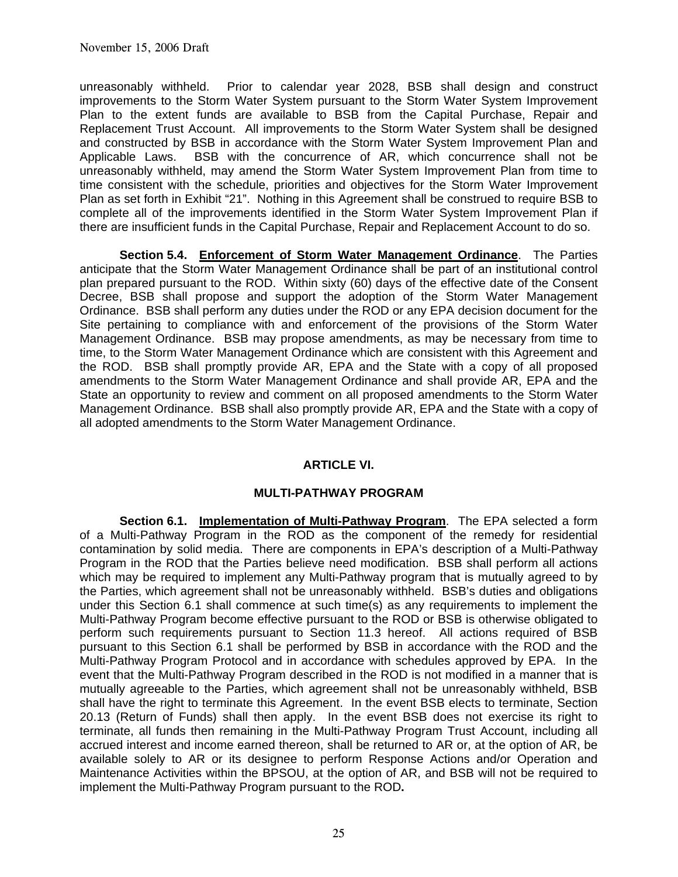unreasonably withheld. Prior to calendar year 2028, BSB shall design and construct improvements to the Storm Water System pursuant to the Storm Water System Improvement Plan to the extent funds are available to BSB from the Capital Purchase, Repair and Replacement Trust Account. All improvements to the Storm Water System shall be designed and constructed by BSB in accordance with the Storm Water System Improvement Plan and Applicable Laws. BSB with the concurrence of AR, which concurrence shall not be unreasonably withheld, may amend the Storm Water System Improvement Plan from time to time consistent with the schedule, priorities and objectives for the Storm Water Improvement Plan as set forth in Exhibit "21". Nothing in this Agreement shall be construed to require BSB to complete all of the improvements identified in the Storm Water System Improvement Plan if there are insufficient funds in the Capital Purchase, Repair and Replacement Account to do so.

**Section 5.4. Enforcement of Storm Water Management Ordinance**. The Parties anticipate that the Storm Water Management Ordinance shall be part of an institutional control plan prepared pursuant to the ROD. Within sixty (60) days of the effective date of the Consent Decree, BSB shall propose and support the adoption of the Storm Water Management Ordinance. BSB shall perform any duties under the ROD or any EPA decision document for the Site pertaining to compliance with and enforcement of the provisions of the Storm Water Management Ordinance. BSB may propose amendments, as may be necessary from time to time, to the Storm Water Management Ordinance which are consistent with this Agreement and the ROD. BSB shall promptly provide AR, EPA and the State with a copy of all proposed amendments to the Storm Water Management Ordinance and shall provide AR, EPA and the State an opportunity to review and comment on all proposed amendments to the Storm Water Management Ordinance. BSB shall also promptly provide AR, EPA and the State with a copy of all adopted amendments to the Storm Water Management Ordinance.

### **ARTICLE VI.**

### **MULTI-PATHWAY PROGRAM**

**Section 6.1. Implementation of Multi-Pathway Program**. The EPA selected a form of a Multi-Pathway Program in the ROD as the component of the remedy for residential contamination by solid media. There are components in EPA's description of a Multi-Pathway Program in the ROD that the Parties believe need modification. BSB shall perform all actions which may be required to implement any Multi-Pathway program that is mutually agreed to by the Parties, which agreement shall not be unreasonably withheld. BSB's duties and obligations under this Section 6.1 shall commence at such time(s) as any requirements to implement the Multi-Pathway Program become effective pursuant to the ROD or BSB is otherwise obligated to perform such requirements pursuant to Section 11.3 hereof. All actions required of BSB pursuant to this Section 6.1 shall be performed by BSB in accordance with the ROD and the Multi-Pathway Program Protocol and in accordance with schedules approved by EPA. In the event that the Multi-Pathway Program described in the ROD is not modified in a manner that is mutually agreeable to the Parties, which agreement shall not be unreasonably withheld, BSB shall have the right to terminate this Agreement. In the event BSB elects to terminate, Section 20.13 (Return of Funds) shall then apply. In the event BSB does not exercise its right to terminate, all funds then remaining in the Multi-Pathway Program Trust Account, including all accrued interest and income earned thereon, shall be returned to AR or, at the option of AR, be available solely to AR or its designee to perform Response Actions and/or Operation and Maintenance Activities within the BPSOU, at the option of AR, and BSB will not be required to implement the Multi-Pathway Program pursuant to the ROD**.**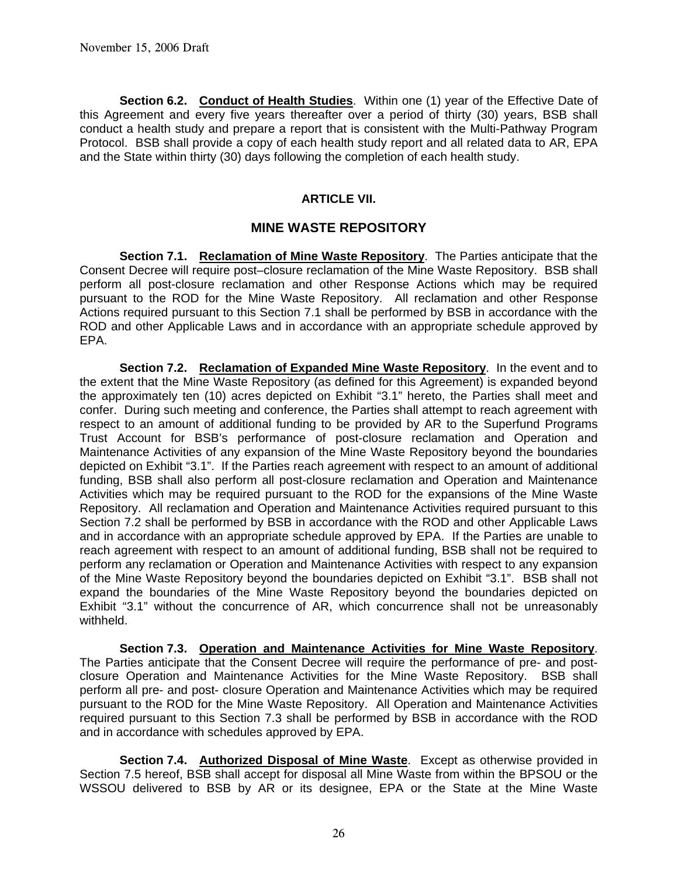**Section 6.2. Conduct of Health Studies**. Within one (1) year of the Effective Date of this Agreement and every five years thereafter over a period of thirty (30) years, BSB shall conduct a health study and prepare a report that is consistent with the Multi-Pathway Program Protocol. BSB shall provide a copy of each health study report and all related data to AR, EPA and the State within thirty (30) days following the completion of each health study.

### **ARTICLE VII.**

### **MINE WASTE REPOSITORY**

**Section 7.1. Reclamation of Mine Waste Repository**. The Parties anticipate that the Consent Decree will require post–closure reclamation of the Mine Waste Repository. BSB shall perform all post-closure reclamation and other Response Actions which may be required pursuant to the ROD for the Mine Waste Repository. All reclamation and other Response Actions required pursuant to this Section 7.1 shall be performed by BSB in accordance with the ROD and other Applicable Laws and in accordance with an appropriate schedule approved by EPA.

**Section 7.2. Reclamation of Expanded Mine Waste Repository**. In the event and to the extent that the Mine Waste Repository (as defined for this Agreement) is expanded beyond the approximately ten (10) acres depicted on Exhibit "3.1" hereto, the Parties shall meet and confer. During such meeting and conference, the Parties shall attempt to reach agreement with respect to an amount of additional funding to be provided by AR to the Superfund Programs Trust Account for BSB's performance of post-closure reclamation and Operation and Maintenance Activities of any expansion of the Mine Waste Repository beyond the boundaries depicted on Exhibit "3.1". If the Parties reach agreement with respect to an amount of additional funding, BSB shall also perform all post-closure reclamation and Operation and Maintenance Activities which may be required pursuant to the ROD for the expansions of the Mine Waste Repository. All reclamation and Operation and Maintenance Activities required pursuant to this Section 7.2 shall be performed by BSB in accordance with the ROD and other Applicable Laws and in accordance with an appropriate schedule approved by EPA. If the Parties are unable to reach agreement with respect to an amount of additional funding, BSB shall not be required to perform any reclamation or Operation and Maintenance Activities with respect to any expansion of the Mine Waste Repository beyond the boundaries depicted on Exhibit "3.1". BSB shall not expand the boundaries of the Mine Waste Repository beyond the boundaries depicted on Exhibit "3.1" without the concurrence of AR, which concurrence shall not be unreasonably withheld.

**Section 7.3. Operation and Maintenance Activities for Mine Waste Repository**. The Parties anticipate that the Consent Decree will require the performance of pre- and postclosure Operation and Maintenance Activities for the Mine Waste Repository. BSB shall perform all pre- and post- closure Operation and Maintenance Activities which may be required pursuant to the ROD for the Mine Waste Repository. All Operation and Maintenance Activities required pursuant to this Section 7.3 shall be performed by BSB in accordance with the ROD and in accordance with schedules approved by EPA.

**Section 7.4. Authorized Disposal of Mine Waste**. Except as otherwise provided in Section 7.5 hereof, BSB shall accept for disposal all Mine Waste from within the BPSOU or the WSSOU delivered to BSB by AR or its designee, EPA or the State at the Mine Waste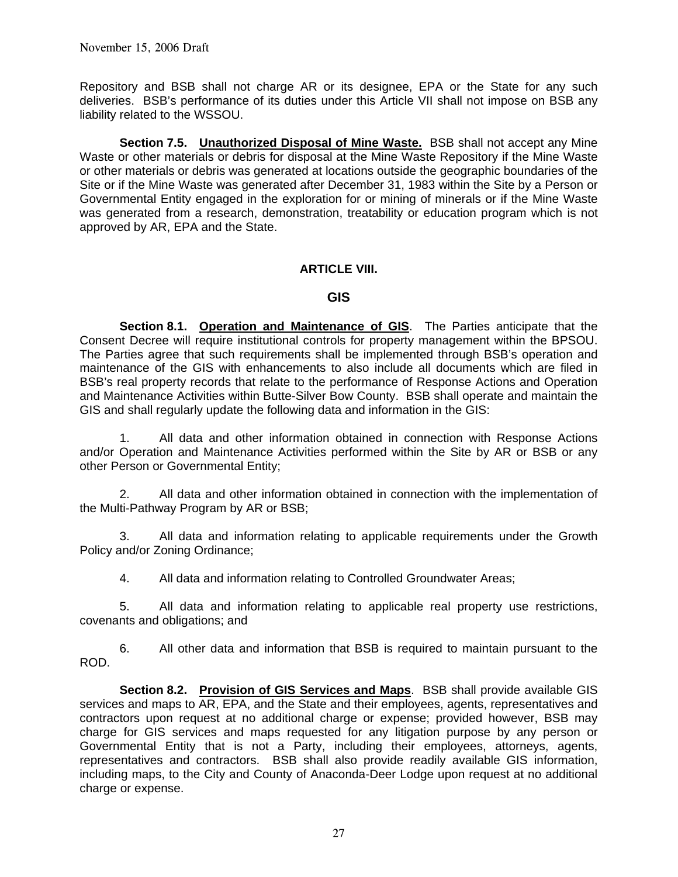Repository and BSB shall not charge AR or its designee, EPA or the State for any such deliveries. BSB's performance of its duties under this Article VII shall not impose on BSB any liability related to the WSSOU.

**Section 7.5. Unauthorized Disposal of Mine Waste.** BSB shall not accept any Mine Waste or other materials or debris for disposal at the Mine Waste Repository if the Mine Waste or other materials or debris was generated at locations outside the geographic boundaries of the Site or if the Mine Waste was generated after December 31, 1983 within the Site by a Person or Governmental Entity engaged in the exploration for or mining of minerals or if the Mine Waste was generated from a research, demonstration, treatability or education program which is not approved by AR, EPA and the State.

### **ARTICLE VIII.**

### **GIS**

 **Section 8.1. Operation and Maintenance of GIS**. The Parties anticipate that the Consent Decree will require institutional controls for property management within the BPSOU. The Parties agree that such requirements shall be implemented through BSB's operation and maintenance of the GIS with enhancements to also include all documents which are filed in BSB's real property records that relate to the performance of Response Actions and Operation and Maintenance Activities within Butte-Silver Bow County. BSB shall operate and maintain the GIS and shall regularly update the following data and information in the GIS:

 1. All data and other information obtained in connection with Response Actions and/or Operation and Maintenance Activities performed within the Site by AR or BSB or any other Person or Governmental Entity;

 2. All data and other information obtained in connection with the implementation of the Multi-Pathway Program by AR or BSB;

 3. All data and information relating to applicable requirements under the Growth Policy and/or Zoning Ordinance;

4. All data and information relating to Controlled Groundwater Areas;

 5. All data and information relating to applicable real property use restrictions, covenants and obligations; and

 6. All other data and information that BSB is required to maintain pursuant to the ROD.

**Section 8.2. Provision of GIS Services and Maps**. BSB shall provide available GIS services and maps to AR, EPA, and the State and their employees, agents, representatives and contractors upon request at no additional charge or expense; provided however, BSB may charge for GIS services and maps requested for any litigation purpose by any person or Governmental Entity that is not a Party, including their employees, attorneys, agents, representatives and contractors. BSB shall also provide readily available GIS information, including maps, to the City and County of Anaconda-Deer Lodge upon request at no additional charge or expense.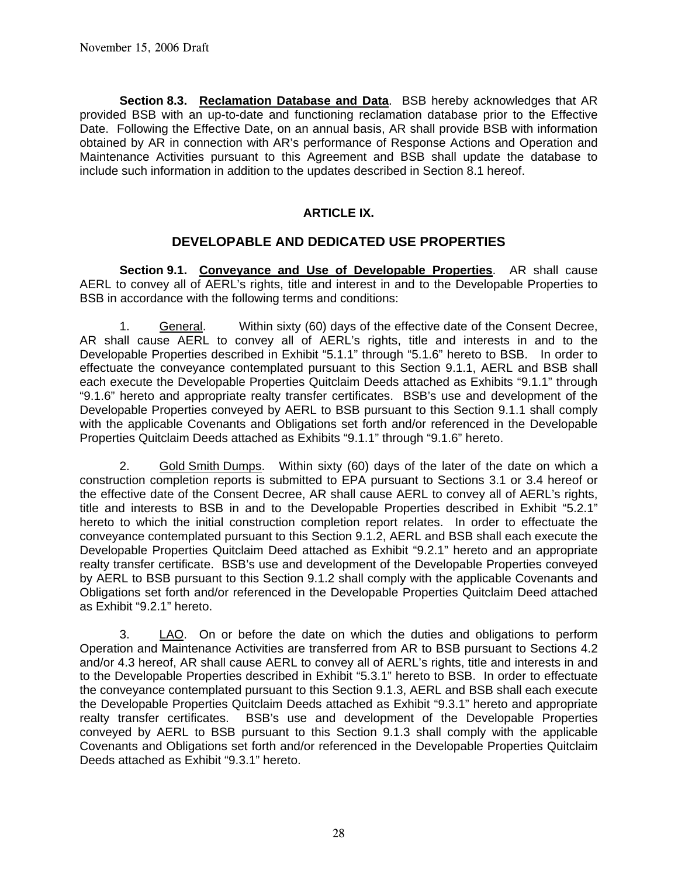**Section 8.3. Reclamation Database and Data**. BSB hereby acknowledges that AR provided BSB with an up-to-date and functioning reclamation database prior to the Effective Date. Following the Effective Date, on an annual basis, AR shall provide BSB with information obtained by AR in connection with AR's performance of Response Actions and Operation and Maintenance Activities pursuant to this Agreement and BSB shall update the database to include such information in addition to the updates described in Section 8.1 hereof.

# **ARTICLE IX.**

# **DEVELOPABLE AND DEDICATED USE PROPERTIES**

 **Section 9.1. Conveyance and Use of Developable Properties**. AR shall cause AERL to convey all of AERL's rights, title and interest in and to the Developable Properties to BSB in accordance with the following terms and conditions:

 1. General. Within sixty (60) days of the effective date of the Consent Decree, AR shall cause AERL to convey all of AERL's rights, title and interests in and to the Developable Properties described in Exhibit "5.1.1" through "5.1.6" hereto to BSB. In order to effectuate the conveyance contemplated pursuant to this Section 9.1.1, AERL and BSB shall each execute the Developable Properties Quitclaim Deeds attached as Exhibits "9.1.1" through "9.1.6" hereto and appropriate realty transfer certificates. BSB's use and development of the Developable Properties conveyed by AERL to BSB pursuant to this Section 9.1.1 shall comply with the applicable Covenants and Obligations set forth and/or referenced in the Developable Properties Quitclaim Deeds attached as Exhibits "9.1.1" through "9.1.6" hereto.

 2. Gold Smith Dumps. Within sixty (60) days of the later of the date on which a construction completion reports is submitted to EPA pursuant to Sections 3.1 or 3.4 hereof or the effective date of the Consent Decree, AR shall cause AERL to convey all of AERL's rights, title and interests to BSB in and to the Developable Properties described in Exhibit "5.2.1" hereto to which the initial construction completion report relates. In order to effectuate the conveyance contemplated pursuant to this Section 9.1.2, AERL and BSB shall each execute the Developable Properties Quitclaim Deed attached as Exhibit "9.2.1" hereto and an appropriate realty transfer certificate. BSB's use and development of the Developable Properties conveyed by AERL to BSB pursuant to this Section 9.1.2 shall comply with the applicable Covenants and Obligations set forth and/or referenced in the Developable Properties Quitclaim Deed attached as Exhibit "9.2.1" hereto.

 3. LAO. On or before the date on which the duties and obligations to perform Operation and Maintenance Activities are transferred from AR to BSB pursuant to Sections 4.2 and/or 4.3 hereof, AR shall cause AERL to convey all of AERL's rights, title and interests in and to the Developable Properties described in Exhibit "5.3.1" hereto to BSB. In order to effectuate the conveyance contemplated pursuant to this Section 9.1.3, AERL and BSB shall each execute the Developable Properties Quitclaim Deeds attached as Exhibit "9.3.1" hereto and appropriate realty transfer certificates. BSB's use and development of the Developable Properties conveyed by AERL to BSB pursuant to this Section 9.1.3 shall comply with the applicable Covenants and Obligations set forth and/or referenced in the Developable Properties Quitclaim Deeds attached as Exhibit "9.3.1" hereto.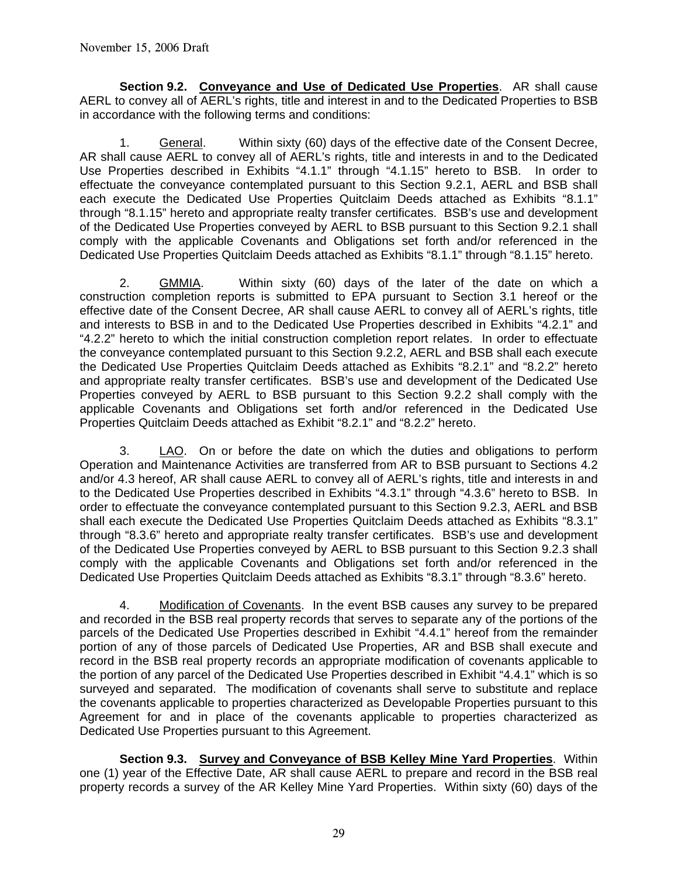**Section 9.2. Conveyance and Use of Dedicated Use Properties**. AR shall cause AERL to convey all of AERL's rights, title and interest in and to the Dedicated Properties to BSB in accordance with the following terms and conditions:

 1. General. Within sixty (60) days of the effective date of the Consent Decree, AR shall cause AERL to convey all of AERL's rights, title and interests in and to the Dedicated Use Properties described in Exhibits "4.1.1" through "4.1.15" hereto to BSB. In order to effectuate the conveyance contemplated pursuant to this Section 9.2.1, AERL and BSB shall each execute the Dedicated Use Properties Quitclaim Deeds attached as Exhibits "8.1.1" through "8.1.15" hereto and appropriate realty transfer certificates. BSB's use and development of the Dedicated Use Properties conveyed by AERL to BSB pursuant to this Section 9.2.1 shall comply with the applicable Covenants and Obligations set forth and/or referenced in the Dedicated Use Properties Quitclaim Deeds attached as Exhibits "8.1.1" through "8.1.15" hereto.

 2. GMMIA. Within sixty (60) days of the later of the date on which a construction completion reports is submitted to EPA pursuant to Section 3.1 hereof or the effective date of the Consent Decree, AR shall cause AERL to convey all of AERL's rights, title and interests to BSB in and to the Dedicated Use Properties described in Exhibits "4.2.1" and "4.2.2" hereto to which the initial construction completion report relates. In order to effectuate the conveyance contemplated pursuant to this Section 9.2.2, AERL and BSB shall each execute the Dedicated Use Properties Quitclaim Deeds attached as Exhibits "8.2.1" and "8.2.2" hereto and appropriate realty transfer certificates. BSB's use and development of the Dedicated Use Properties conveyed by AERL to BSB pursuant to this Section 9.2.2 shall comply with the applicable Covenants and Obligations set forth and/or referenced in the Dedicated Use Properties Quitclaim Deeds attached as Exhibit "8.2.1" and "8.2.2" hereto.

3. LAO. On or before the date on which the duties and obligations to perform Operation and Maintenance Activities are transferred from AR to BSB pursuant to Sections 4.2 and/or 4.3 hereof, AR shall cause AERL to convey all of AERL's rights, title and interests in and to the Dedicated Use Properties described in Exhibits "4.3.1" through "4.3.6" hereto to BSB. In order to effectuate the conveyance contemplated pursuant to this Section 9.2.3, AERL and BSB shall each execute the Dedicated Use Properties Quitclaim Deeds attached as Exhibits "8.3.1" through "8.3.6" hereto and appropriate realty transfer certificates. BSB's use and development of the Dedicated Use Properties conveyed by AERL to BSB pursuant to this Section 9.2.3 shall comply with the applicable Covenants and Obligations set forth and/or referenced in the Dedicated Use Properties Quitclaim Deeds attached as Exhibits "8.3.1" through "8.3.6" hereto.

 4. Modification of Covenants. In the event BSB causes any survey to be prepared and recorded in the BSB real property records that serves to separate any of the portions of the parcels of the Dedicated Use Properties described in Exhibit "4.4.1" hereof from the remainder portion of any of those parcels of Dedicated Use Properties, AR and BSB shall execute and record in the BSB real property records an appropriate modification of covenants applicable to the portion of any parcel of the Dedicated Use Properties described in Exhibit "4.4.1" which is so surveyed and separated. The modification of covenants shall serve to substitute and replace the covenants applicable to properties characterized as Developable Properties pursuant to this Agreement for and in place of the covenants applicable to properties characterized as Dedicated Use Properties pursuant to this Agreement.

**Section 9.3. Survey and Conveyance of BSB Kelley Mine Yard Properties**. Within one (1) year of the Effective Date, AR shall cause AERL to prepare and record in the BSB real property records a survey of the AR Kelley Mine Yard Properties. Within sixty (60) days of the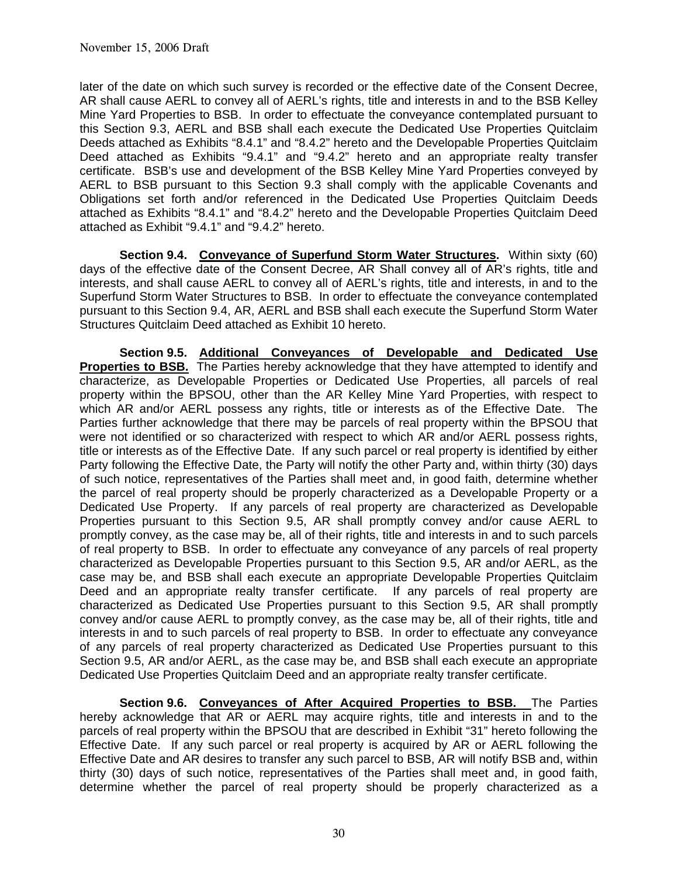later of the date on which such survey is recorded or the effective date of the Consent Decree, AR shall cause AERL to convey all of AERL's rights, title and interests in and to the BSB Kelley Mine Yard Properties to BSB. In order to effectuate the conveyance contemplated pursuant to this Section 9.3, AERL and BSB shall each execute the Dedicated Use Properties Quitclaim Deeds attached as Exhibits "8.4.1" and "8.4.2" hereto and the Developable Properties Quitclaim Deed attached as Exhibits "9.4.1" and "9.4.2" hereto and an appropriate realty transfer certificate. BSB's use and development of the BSB Kelley Mine Yard Properties conveyed by AERL to BSB pursuant to this Section 9.3 shall comply with the applicable Covenants and Obligations set forth and/or referenced in the Dedicated Use Properties Quitclaim Deeds attached as Exhibits "8.4.1" and "8.4.2" hereto and the Developable Properties Quitclaim Deed attached as Exhibit "9.4.1" and "9.4.2" hereto.

**Section 9.4. Conveyance of Superfund Storm Water Structures.** Within sixty (60) days of the effective date of the Consent Decree, AR Shall convey all of AR's rights, title and interests, and shall cause AERL to convey all of AERL's rights, title and interests, in and to the Superfund Storm Water Structures to BSB. In order to effectuate the conveyance contemplated pursuant to this Section 9.4, AR, AERL and BSB shall each execute the Superfund Storm Water Structures Quitclaim Deed attached as Exhibit 10 hereto.

**Section 9.5. Additional Conveyances of Developable and Dedicated Use Properties to BSB.** The Parties hereby acknowledge that they have attempted to identify and characterize, as Developable Properties or Dedicated Use Properties, all parcels of real property within the BPSOU, other than the AR Kelley Mine Yard Properties, with respect to which AR and/or AERL possess any rights, title or interests as of the Effective Date. The Parties further acknowledge that there may be parcels of real property within the BPSOU that were not identified or so characterized with respect to which AR and/or AERL possess rights, title or interests as of the Effective Date. If any such parcel or real property is identified by either Party following the Effective Date, the Party will notify the other Party and, within thirty (30) days of such notice, representatives of the Parties shall meet and, in good faith, determine whether the parcel of real property should be properly characterized as a Developable Property or a Dedicated Use Property. If any parcels of real property are characterized as Developable Properties pursuant to this Section 9.5, AR shall promptly convey and/or cause AERL to promptly convey, as the case may be, all of their rights, title and interests in and to such parcels of real property to BSB. In order to effectuate any conveyance of any parcels of real property characterized as Developable Properties pursuant to this Section 9.5, AR and/or AERL, as the case may be, and BSB shall each execute an appropriate Developable Properties Quitclaim Deed and an appropriate realty transfer certificate. If any parcels of real property are characterized as Dedicated Use Properties pursuant to this Section 9.5, AR shall promptly convey and/or cause AERL to promptly convey, as the case may be, all of their rights, title and interests in and to such parcels of real property to BSB. In order to effectuate any conveyance of any parcels of real property characterized as Dedicated Use Properties pursuant to this Section 9.5, AR and/or AERL, as the case may be, and BSB shall each execute an appropriate Dedicated Use Properties Quitclaim Deed and an appropriate realty transfer certificate.

**Section 9.6. Conveyances of After Acquired Properties to BSB.** The Parties hereby acknowledge that AR or AERL may acquire rights, title and interests in and to the parcels of real property within the BPSOU that are described in Exhibit "31" hereto following the Effective Date. If any such parcel or real property is acquired by AR or AERL following the Effective Date and AR desires to transfer any such parcel to BSB, AR will notify BSB and, within thirty (30) days of such notice, representatives of the Parties shall meet and, in good faith, determine whether the parcel of real property should be properly characterized as a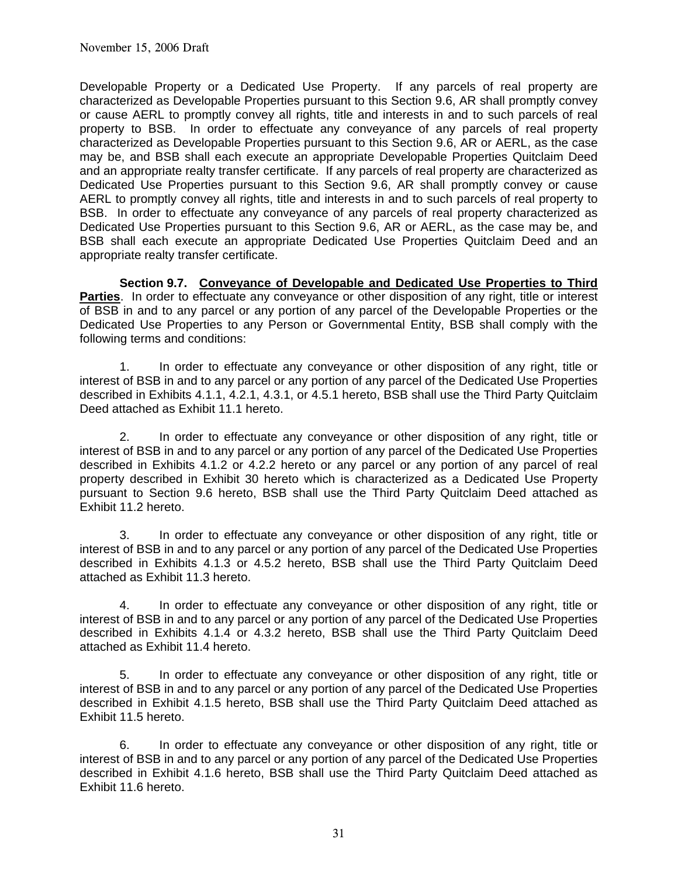Developable Property or a Dedicated Use Property. If any parcels of real property are characterized as Developable Properties pursuant to this Section 9.6, AR shall promptly convey or cause AERL to promptly convey all rights, title and interests in and to such parcels of real property to BSB. In order to effectuate any conveyance of any parcels of real property characterized as Developable Properties pursuant to this Section 9.6, AR or AERL, as the case may be, and BSB shall each execute an appropriate Developable Properties Quitclaim Deed and an appropriate realty transfer certificate. If any parcels of real property are characterized as Dedicated Use Properties pursuant to this Section 9.6, AR shall promptly convey or cause AERL to promptly convey all rights, title and interests in and to such parcels of real property to BSB. In order to effectuate any conveyance of any parcels of real property characterized as Dedicated Use Properties pursuant to this Section 9.6, AR or AERL, as the case may be, and BSB shall each execute an appropriate Dedicated Use Properties Quitclaim Deed and an appropriate realty transfer certificate.

**Section 9.7. Conveyance of Developable and Dedicated Use Properties to Third Parties**. In order to effectuate any conveyance or other disposition of any right, title or interest of BSB in and to any parcel or any portion of any parcel of the Developable Properties or the Dedicated Use Properties to any Person or Governmental Entity, BSB shall comply with the following terms and conditions:

 1. In order to effectuate any conveyance or other disposition of any right, title or interest of BSB in and to any parcel or any portion of any parcel of the Dedicated Use Properties described in Exhibits 4.1.1, 4.2.1, 4.3.1, or 4.5.1 hereto, BSB shall use the Third Party Quitclaim Deed attached as Exhibit 11.1 hereto.

 2. In order to effectuate any conveyance or other disposition of any right, title or interest of BSB in and to any parcel or any portion of any parcel of the Dedicated Use Properties described in Exhibits 4.1.2 or 4.2.2 hereto or any parcel or any portion of any parcel of real property described in Exhibit 30 hereto which is characterized as a Dedicated Use Property pursuant to Section 9.6 hereto, BSB shall use the Third Party Quitclaim Deed attached as Exhibit 11.2 hereto.

 3. In order to effectuate any conveyance or other disposition of any right, title or interest of BSB in and to any parcel or any portion of any parcel of the Dedicated Use Properties described in Exhibits 4.1.3 or 4.5.2 hereto, BSB shall use the Third Party Quitclaim Deed attached as Exhibit 11.3 hereto.

 4. In order to effectuate any conveyance or other disposition of any right, title or interest of BSB in and to any parcel or any portion of any parcel of the Dedicated Use Properties described in Exhibits 4.1.4 or 4.3.2 hereto, BSB shall use the Third Party Quitclaim Deed attached as Exhibit 11.4 hereto.

 5. In order to effectuate any conveyance or other disposition of any right, title or interest of BSB in and to any parcel or any portion of any parcel of the Dedicated Use Properties described in Exhibit 4.1.5 hereto, BSB shall use the Third Party Quitclaim Deed attached as Exhibit 11.5 hereto.

 6. In order to effectuate any conveyance or other disposition of any right, title or interest of BSB in and to any parcel or any portion of any parcel of the Dedicated Use Properties described in Exhibit 4.1.6 hereto, BSB shall use the Third Party Quitclaim Deed attached as Exhibit 11.6 hereto.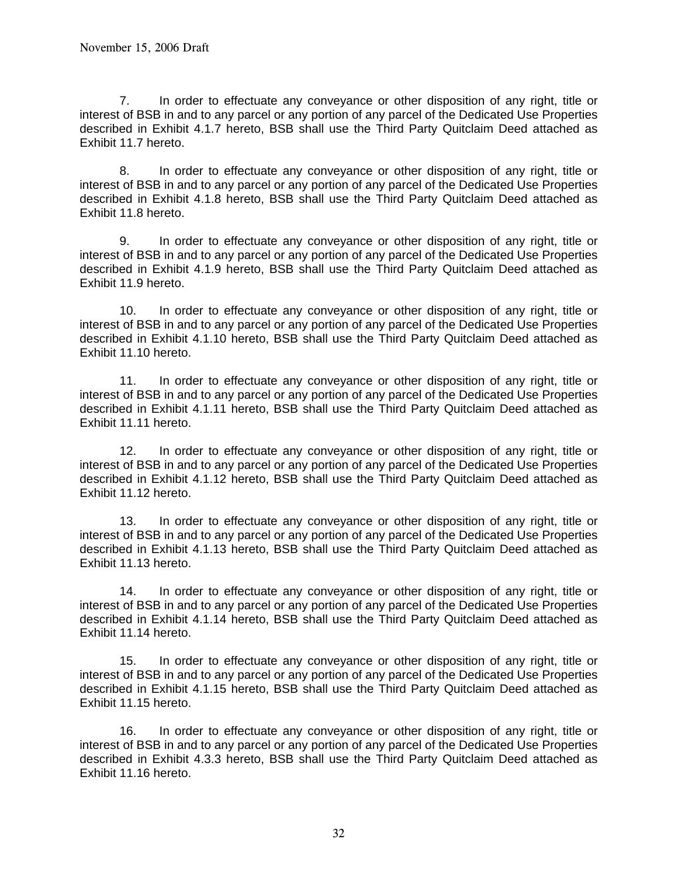7. In order to effectuate any conveyance or other disposition of any right, title or interest of BSB in and to any parcel or any portion of any parcel of the Dedicated Use Properties described in Exhibit 4.1.7 hereto, BSB shall use the Third Party Quitclaim Deed attached as Exhibit 11.7 hereto.

 8. In order to effectuate any conveyance or other disposition of any right, title or interest of BSB in and to any parcel or any portion of any parcel of the Dedicated Use Properties described in Exhibit 4.1.8 hereto, BSB shall use the Third Party Quitclaim Deed attached as Exhibit 11.8 hereto.

 9. In order to effectuate any conveyance or other disposition of any right, title or interest of BSB in and to any parcel or any portion of any parcel of the Dedicated Use Properties described in Exhibit 4.1.9 hereto, BSB shall use the Third Party Quitclaim Deed attached as Exhibit 11.9 hereto.

 10. In order to effectuate any conveyance or other disposition of any right, title or interest of BSB in and to any parcel or any portion of any parcel of the Dedicated Use Properties described in Exhibit 4.1.10 hereto, BSB shall use the Third Party Quitclaim Deed attached as Exhibit 11.10 hereto.

 11. In order to effectuate any conveyance or other disposition of any right, title or interest of BSB in and to any parcel or any portion of any parcel of the Dedicated Use Properties described in Exhibit 4.1.11 hereto, BSB shall use the Third Party Quitclaim Deed attached as Exhibit 11.11 hereto.

 12. In order to effectuate any conveyance or other disposition of any right, title or interest of BSB in and to any parcel or any portion of any parcel of the Dedicated Use Properties described in Exhibit 4.1.12 hereto, BSB shall use the Third Party Quitclaim Deed attached as Exhibit 11.12 hereto.

 13. In order to effectuate any conveyance or other disposition of any right, title or interest of BSB in and to any parcel or any portion of any parcel of the Dedicated Use Properties described in Exhibit 4.1.13 hereto, BSB shall use the Third Party Quitclaim Deed attached as Exhibit 11.13 hereto.

 14. In order to effectuate any conveyance or other disposition of any right, title or interest of BSB in and to any parcel or any portion of any parcel of the Dedicated Use Properties described in Exhibit 4.1.14 hereto, BSB shall use the Third Party Quitclaim Deed attached as Exhibit 11.14 hereto.

 15. In order to effectuate any conveyance or other disposition of any right, title or interest of BSB in and to any parcel or any portion of any parcel of the Dedicated Use Properties described in Exhibit 4.1.15 hereto, BSB shall use the Third Party Quitclaim Deed attached as Exhibit 11.15 hereto.

 16. In order to effectuate any conveyance or other disposition of any right, title or interest of BSB in and to any parcel or any portion of any parcel of the Dedicated Use Properties described in Exhibit 4.3.3 hereto, BSB shall use the Third Party Quitclaim Deed attached as Exhibit 11.16 hereto.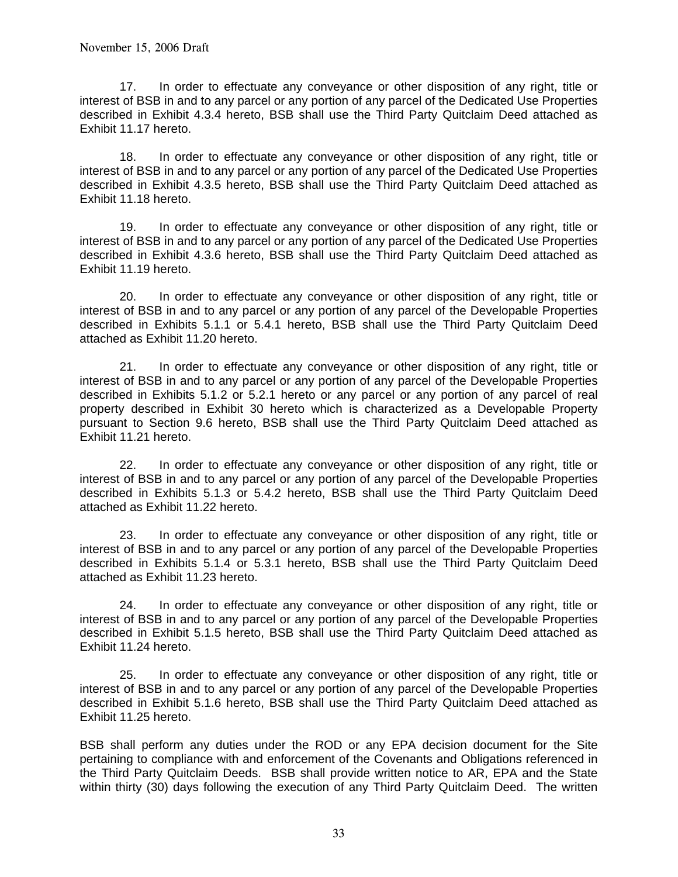17. In order to effectuate any conveyance or other disposition of any right, title or interest of BSB in and to any parcel or any portion of any parcel of the Dedicated Use Properties described in Exhibit 4.3.4 hereto, BSB shall use the Third Party Quitclaim Deed attached as Exhibit 11.17 hereto.

 18. In order to effectuate any conveyance or other disposition of any right, title or interest of BSB in and to any parcel or any portion of any parcel of the Dedicated Use Properties described in Exhibit 4.3.5 hereto, BSB shall use the Third Party Quitclaim Deed attached as Exhibit 11.18 hereto.

 19. In order to effectuate any conveyance or other disposition of any right, title or interest of BSB in and to any parcel or any portion of any parcel of the Dedicated Use Properties described in Exhibit 4.3.6 hereto, BSB shall use the Third Party Quitclaim Deed attached as Exhibit 11.19 hereto.

 20. In order to effectuate any conveyance or other disposition of any right, title or interest of BSB in and to any parcel or any portion of any parcel of the Developable Properties described in Exhibits 5.1.1 or 5.4.1 hereto, BSB shall use the Third Party Quitclaim Deed attached as Exhibit 11.20 hereto.

 21. In order to effectuate any conveyance or other disposition of any right, title or interest of BSB in and to any parcel or any portion of any parcel of the Developable Properties described in Exhibits 5.1.2 or 5.2.1 hereto or any parcel or any portion of any parcel of real property described in Exhibit 30 hereto which is characterized as a Developable Property pursuant to Section 9.6 hereto, BSB shall use the Third Party Quitclaim Deed attached as Exhibit 11.21 hereto.

 22. In order to effectuate any conveyance or other disposition of any right, title or interest of BSB in and to any parcel or any portion of any parcel of the Developable Properties described in Exhibits 5.1.3 or 5.4.2 hereto, BSB shall use the Third Party Quitclaim Deed attached as Exhibit 11.22 hereto.

 23. In order to effectuate any conveyance or other disposition of any right, title or interest of BSB in and to any parcel or any portion of any parcel of the Developable Properties described in Exhibits 5.1.4 or 5.3.1 hereto, BSB shall use the Third Party Quitclaim Deed attached as Exhibit 11.23 hereto.

 24. In order to effectuate any conveyance or other disposition of any right, title or interest of BSB in and to any parcel or any portion of any parcel of the Developable Properties described in Exhibit 5.1.5 hereto, BSB shall use the Third Party Quitclaim Deed attached as Exhibit 11.24 hereto.

 25. In order to effectuate any conveyance or other disposition of any right, title or interest of BSB in and to any parcel or any portion of any parcel of the Developable Properties described in Exhibit 5.1.6 hereto, BSB shall use the Third Party Quitclaim Deed attached as Exhibit 11.25 hereto.

BSB shall perform any duties under the ROD or any EPA decision document for the Site pertaining to compliance with and enforcement of the Covenants and Obligations referenced in the Third Party Quitclaim Deeds. BSB shall provide written notice to AR, EPA and the State within thirty (30) days following the execution of any Third Party Quitclaim Deed. The written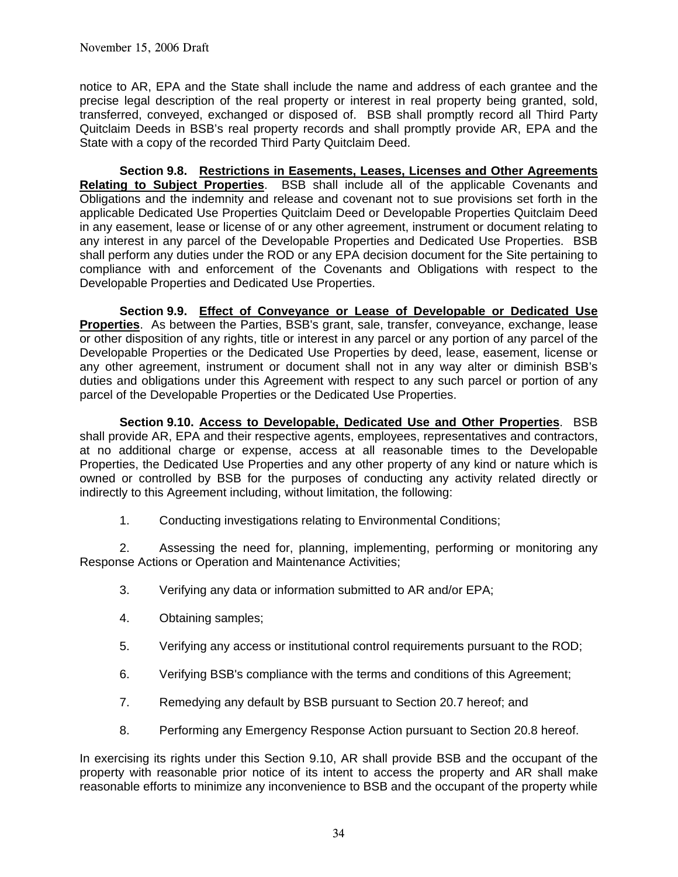notice to AR, EPA and the State shall include the name and address of each grantee and the precise legal description of the real property or interest in real property being granted, sold, transferred, conveyed, exchanged or disposed of. BSB shall promptly record all Third Party Quitclaim Deeds in BSB's real property records and shall promptly provide AR, EPA and the State with a copy of the recorded Third Party Quitclaim Deed.

**Section 9.8. Restrictions in Easements, Leases, Licenses and Other Agreements Relating to Subject Properties**. BSB shall include all of the applicable Covenants and Obligations and the indemnity and release and covenant not to sue provisions set forth in the applicable Dedicated Use Properties Quitclaim Deed or Developable Properties Quitclaim Deed in any easement, lease or license of or any other agreement, instrument or document relating to any interest in any parcel of the Developable Properties and Dedicated Use Properties. BSB shall perform any duties under the ROD or any EPA decision document for the Site pertaining to compliance with and enforcement of the Covenants and Obligations with respect to the Developable Properties and Dedicated Use Properties.

**Section 9.9. Effect of Conveyance or Lease of Developable or Dedicated Use Properties**. As between the Parties, BSB's grant, sale, transfer, conveyance, exchange, lease or other disposition of any rights, title or interest in any parcel or any portion of any parcel of the Developable Properties or the Dedicated Use Properties by deed, lease, easement, license or any other agreement, instrument or document shall not in any way alter or diminish BSB's duties and obligations under this Agreement with respect to any such parcel or portion of any parcel of the Developable Properties or the Dedicated Use Properties.

**Section 9.10. Access to Developable, Dedicated Use and Other Properties**. BSB shall provide AR, EPA and their respective agents, employees, representatives and contractors, at no additional charge or expense, access at all reasonable times to the Developable Properties, the Dedicated Use Properties and any other property of any kind or nature which is owned or controlled by BSB for the purposes of conducting any activity related directly or indirectly to this Agreement including, without limitation, the following:

1. Conducting investigations relating to Environmental Conditions;

 2. Assessing the need for, planning, implementing, performing or monitoring any Response Actions or Operation and Maintenance Activities;

- 3. Verifying any data or information submitted to AR and/or EPA;
- 4. Obtaining samples;
- 5. Verifying any access or institutional control requirements pursuant to the ROD;
- 6. Verifying BSB's compliance with the terms and conditions of this Agreement;
- 7. Remedying any default by BSB pursuant to Section 20.7 hereof; and
- 8. Performing any Emergency Response Action pursuant to Section 20.8 hereof.

In exercising its rights under this Section 9.10, AR shall provide BSB and the occupant of the property with reasonable prior notice of its intent to access the property and AR shall make reasonable efforts to minimize any inconvenience to BSB and the occupant of the property while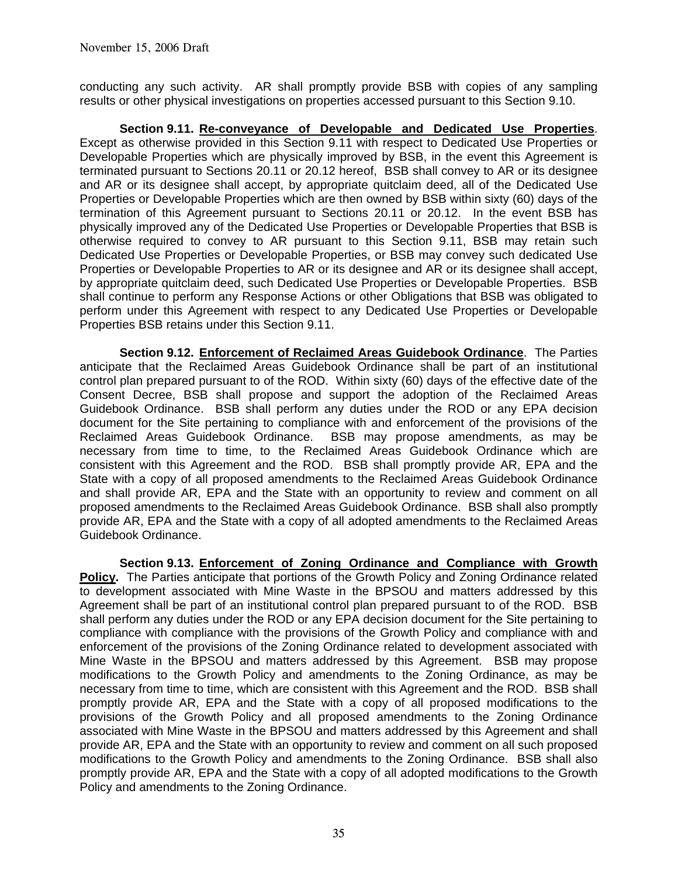conducting any such activity. AR shall promptly provide BSB with copies of any sampling results or other physical investigations on properties accessed pursuant to this Section 9.10.

**Section 9.11. Re-conveyance of Developable and Dedicated Use Properties**. Except as otherwise provided in this Section 9.11 with respect to Dedicated Use Properties or Developable Properties which are physically improved by BSB, in the event this Agreement is terminated pursuant to Sections 20.11 or 20.12 hereof, BSB shall convey to AR or its designee and AR or its designee shall accept, by appropriate quitclaim deed, all of the Dedicated Use Properties or Developable Properties which are then owned by BSB within sixty (60) days of the termination of this Agreement pursuant to Sections 20.11 or 20.12. In the event BSB has physically improved any of the Dedicated Use Properties or Developable Properties that BSB is otherwise required to convey to AR pursuant to this Section 9.11, BSB may retain such Dedicated Use Properties or Developable Properties, or BSB may convey such dedicated Use Properties or Developable Properties to AR or its designee and AR or its designee shall accept, by appropriate quitclaim deed, such Dedicated Use Properties or Developable Properties. BSB shall continue to perform any Response Actions or other Obligations that BSB was obligated to perform under this Agreement with respect to any Dedicated Use Properties or Developable Properties BSB retains under this Section 9.11.

 **Section 9.12. Enforcement of Reclaimed Areas Guidebook Ordinance**. The Parties anticipate that the Reclaimed Areas Guidebook Ordinance shall be part of an institutional control plan prepared pursuant to of the ROD. Within sixty (60) days of the effective date of the Consent Decree, BSB shall propose and support the adoption of the Reclaimed Areas Guidebook Ordinance. BSB shall perform any duties under the ROD or any EPA decision document for the Site pertaining to compliance with and enforcement of the provisions of the Reclaimed Areas Guidebook Ordinance. BSB may propose amendments, as may be necessary from time to time, to the Reclaimed Areas Guidebook Ordinance which are consistent with this Agreement and the ROD. BSB shall promptly provide AR, EPA and the State with a copy of all proposed amendments to the Reclaimed Areas Guidebook Ordinance and shall provide AR, EPA and the State with an opportunity to review and comment on all proposed amendments to the Reclaimed Areas Guidebook Ordinance. BSB shall also promptly provide AR, EPA and the State with a copy of all adopted amendments to the Reclaimed Areas Guidebook Ordinance.

**Section 9.13. Enforcement of Zoning Ordinance and Compliance with Growth Policy.** The Parties anticipate that portions of the Growth Policy and Zoning Ordinance related to development associated with Mine Waste in the BPSOU and matters addressed by this Agreement shall be part of an institutional control plan prepared pursuant to of the ROD. BSB shall perform any duties under the ROD or any EPA decision document for the Site pertaining to compliance with compliance with the provisions of the Growth Policy and compliance with and enforcement of the provisions of the Zoning Ordinance related to development associated with Mine Waste in the BPSOU and matters addressed by this Agreement. BSB may propose modifications to the Growth Policy and amendments to the Zoning Ordinance, as may be necessary from time to time, which are consistent with this Agreement and the ROD. BSB shall promptly provide AR, EPA and the State with a copy of all proposed modifications to the provisions of the Growth Policy and all proposed amendments to the Zoning Ordinance associated with Mine Waste in the BPSOU and matters addressed by this Agreement and shall provide AR, EPA and the State with an opportunity to review and comment on all such proposed modifications to the Growth Policy and amendments to the Zoning Ordinance. BSB shall also promptly provide AR, EPA and the State with a copy of all adopted modifications to the Growth Policy and amendments to the Zoning Ordinance.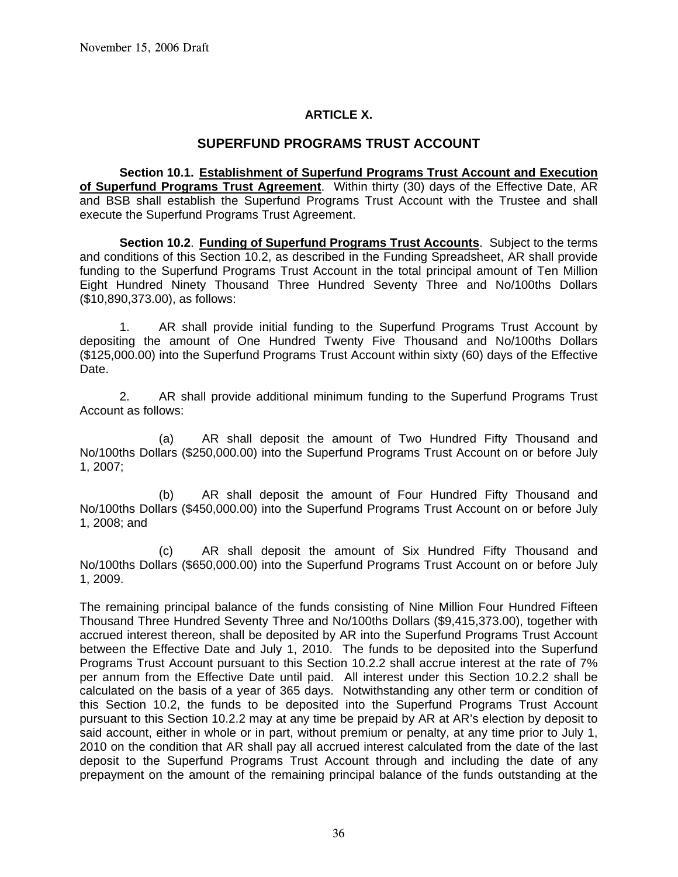### **ARTICLE X.**

### **SUPERFUND PROGRAMS TRUST ACCOUNT**

**Section 10.1. Establishment of Superfund Programs Trust Account and Execution of Superfund Programs Trust Agreement**. Within thirty (30) days of the Effective Date, AR and BSB shall establish the Superfund Programs Trust Account with the Trustee and shall execute the Superfund Programs Trust Agreement.

**Section 10.2**. **Funding of Superfund Programs Trust Accounts**. Subject to the terms and conditions of this Section 10.2, as described in the Funding Spreadsheet, AR shall provide funding to the Superfund Programs Trust Account in the total principal amount of Ten Million Eight Hundred Ninety Thousand Three Hundred Seventy Three and No/100ths Dollars (\$10,890,373.00), as follows:

1. AR shall provide initial funding to the Superfund Programs Trust Account by depositing the amount of One Hundred Twenty Five Thousand and No/100ths Dollars (\$125,000.00) into the Superfund Programs Trust Account within sixty (60) days of the Effective Date.

 2. AR shall provide additional minimum funding to the Superfund Programs Trust Account as follows:

 (a) AR shall deposit the amount of Two Hundred Fifty Thousand and No/100ths Dollars (\$250,000.00) into the Superfund Programs Trust Account on or before July 1, 2007;

 (b) AR shall deposit the amount of Four Hundred Fifty Thousand and No/100ths Dollars (\$450,000.00) into the Superfund Programs Trust Account on or before July 1, 2008; and

 (c) AR shall deposit the amount of Six Hundred Fifty Thousand and No/100ths Dollars (\$650,000.00) into the Superfund Programs Trust Account on or before July 1, 2009.

The remaining principal balance of the funds consisting of Nine Million Four Hundred Fifteen Thousand Three Hundred Seventy Three and No/100ths Dollars (\$9,415,373.00), together with accrued interest thereon, shall be deposited by AR into the Superfund Programs Trust Account between the Effective Date and July 1, 2010. The funds to be deposited into the Superfund Programs Trust Account pursuant to this Section 10.2.2 shall accrue interest at the rate of 7% per annum from the Effective Date until paid. All interest under this Section 10.2.2 shall be calculated on the basis of a year of 365 days. Notwithstanding any other term or condition of this Section 10.2, the funds to be deposited into the Superfund Programs Trust Account pursuant to this Section 10.2.2 may at any time be prepaid by AR at AR's election by deposit to said account, either in whole or in part, without premium or penalty, at any time prior to July 1, 2010 on the condition that AR shall pay all accrued interest calculated from the date of the last deposit to the Superfund Programs Trust Account through and including the date of any prepayment on the amount of the remaining principal balance of the funds outstanding at the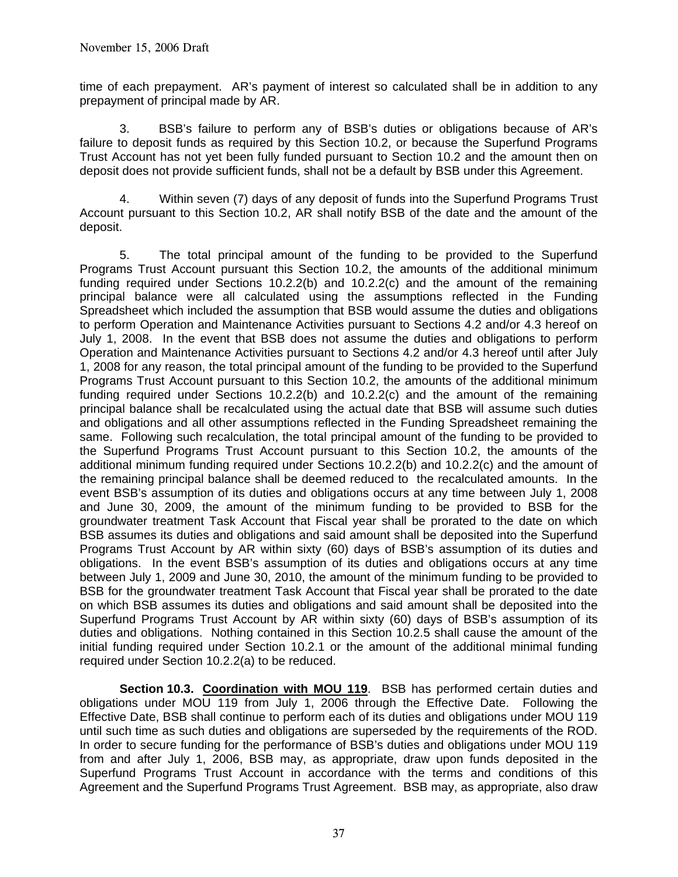time of each prepayment. AR's payment of interest so calculated shall be in addition to any prepayment of principal made by AR.

 3. BSB's failure to perform any of BSB's duties or obligations because of AR's failure to deposit funds as required by this Section 10.2, or because the Superfund Programs Trust Account has not yet been fully funded pursuant to Section 10.2 and the amount then on deposit does not provide sufficient funds, shall not be a default by BSB under this Agreement.

 4. Within seven (7) days of any deposit of funds into the Superfund Programs Trust Account pursuant to this Section 10.2, AR shall notify BSB of the date and the amount of the deposit.

 5. The total principal amount of the funding to be provided to the Superfund Programs Trust Account pursuant this Section 10.2, the amounts of the additional minimum funding required under Sections 10.2.2(b) and 10.2.2(c) and the amount of the remaining principal balance were all calculated using the assumptions reflected in the Funding Spreadsheet which included the assumption that BSB would assume the duties and obligations to perform Operation and Maintenance Activities pursuant to Sections 4.2 and/or 4.3 hereof on July 1, 2008. In the event that BSB does not assume the duties and obligations to perform Operation and Maintenance Activities pursuant to Sections 4.2 and/or 4.3 hereof until after July 1, 2008 for any reason, the total principal amount of the funding to be provided to the Superfund Programs Trust Account pursuant to this Section 10.2, the amounts of the additional minimum funding required under Sections 10.2.2(b) and 10.2.2(c) and the amount of the remaining principal balance shall be recalculated using the actual date that BSB will assume such duties and obligations and all other assumptions reflected in the Funding Spreadsheet remaining the same. Following such recalculation, the total principal amount of the funding to be provided to the Superfund Programs Trust Account pursuant to this Section 10.2, the amounts of the additional minimum funding required under Sections 10.2.2(b) and 10.2.2(c) and the amount of the remaining principal balance shall be deemed reduced to the recalculated amounts. In the event BSB's assumption of its duties and obligations occurs at any time between July 1, 2008 and June 30, 2009, the amount of the minimum funding to be provided to BSB for the groundwater treatment Task Account that Fiscal year shall be prorated to the date on which BSB assumes its duties and obligations and said amount shall be deposited into the Superfund Programs Trust Account by AR within sixty (60) days of BSB's assumption of its duties and obligations. In the event BSB's assumption of its duties and obligations occurs at any time between July 1, 2009 and June 30, 2010, the amount of the minimum funding to be provided to BSB for the groundwater treatment Task Account that Fiscal year shall be prorated to the date on which BSB assumes its duties and obligations and said amount shall be deposited into the Superfund Programs Trust Account by AR within sixty (60) days of BSB's assumption of its duties and obligations. Nothing contained in this Section 10.2.5 shall cause the amount of the initial funding required under Section 10.2.1 or the amount of the additional minimal funding required under Section 10.2.2(a) to be reduced.

**Section 10.3. Coordination with MOU 119**. BSB has performed certain duties and obligations under MOU 119 from July 1, 2006 through the Effective Date. Following the Effective Date, BSB shall continue to perform each of its duties and obligations under MOU 119 until such time as such duties and obligations are superseded by the requirements of the ROD. In order to secure funding for the performance of BSB's duties and obligations under MOU 119 from and after July 1, 2006, BSB may, as appropriate, draw upon funds deposited in the Superfund Programs Trust Account in accordance with the terms and conditions of this Agreement and the Superfund Programs Trust Agreement. BSB may, as appropriate, also draw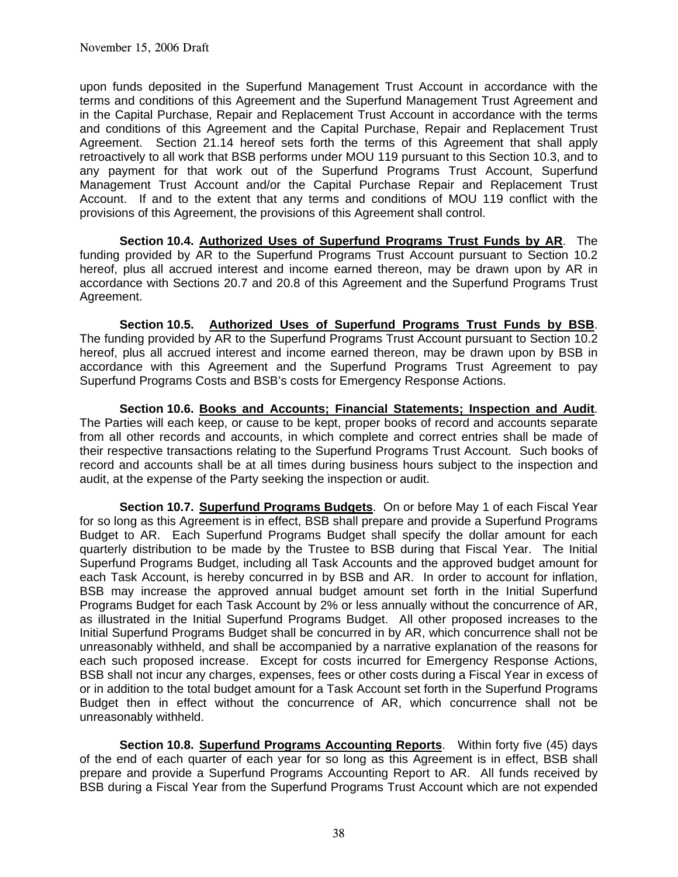upon funds deposited in the Superfund Management Trust Account in accordance with the terms and conditions of this Agreement and the Superfund Management Trust Agreement and in the Capital Purchase, Repair and Replacement Trust Account in accordance with the terms and conditions of this Agreement and the Capital Purchase, Repair and Replacement Trust Agreement. Section 21.14 hereof sets forth the terms of this Agreement that shall apply retroactively to all work that BSB performs under MOU 119 pursuant to this Section 10.3, and to any payment for that work out of the Superfund Programs Trust Account, Superfund Management Trust Account and/or the Capital Purchase Repair and Replacement Trust Account. If and to the extent that any terms and conditions of MOU 119 conflict with the provisions of this Agreement, the provisions of this Agreement shall control.

**Section 10.4. Authorized Uses of Superfund Programs Trust Funds by AR**. The funding provided by AR to the Superfund Programs Trust Account pursuant to Section 10.2 hereof, plus all accrued interest and income earned thereon, may be drawn upon by AR in accordance with Sections 20.7 and 20.8 of this Agreement and the Superfund Programs Trust Agreement.

 **Section 10.5. Authorized Uses of Superfund Programs Trust Funds by BSB**. The funding provided by AR to the Superfund Programs Trust Account pursuant to Section 10.2 hereof, plus all accrued interest and income earned thereon, may be drawn upon by BSB in accordance with this Agreement and the Superfund Programs Trust Agreement to pay Superfund Programs Costs and BSB's costs for Emergency Response Actions.

**Section 10.6. Books and Accounts; Financial Statements; Inspection and Audit**. The Parties will each keep, or cause to be kept, proper books of record and accounts separate from all other records and accounts, in which complete and correct entries shall be made of their respective transactions relating to the Superfund Programs Trust Account. Such books of record and accounts shall be at all times during business hours subject to the inspection and audit, at the expense of the Party seeking the inspection or audit.

**Section 10.7. Superfund Programs Budgets**. On or before May 1 of each Fiscal Year for so long as this Agreement is in effect, BSB shall prepare and provide a Superfund Programs Budget to AR. Each Superfund Programs Budget shall specify the dollar amount for each quarterly distribution to be made by the Trustee to BSB during that Fiscal Year. The Initial Superfund Programs Budget, including all Task Accounts and the approved budget amount for each Task Account, is hereby concurred in by BSB and AR. In order to account for inflation, BSB may increase the approved annual budget amount set forth in the Initial Superfund Programs Budget for each Task Account by 2% or less annually without the concurrence of AR, as illustrated in the Initial Superfund Programs Budget. All other proposed increases to the Initial Superfund Programs Budget shall be concurred in by AR, which concurrence shall not be unreasonably withheld, and shall be accompanied by a narrative explanation of the reasons for each such proposed increase. Except for costs incurred for Emergency Response Actions, BSB shall not incur any charges, expenses, fees or other costs during a Fiscal Year in excess of or in addition to the total budget amount for a Task Account set forth in the Superfund Programs Budget then in effect without the concurrence of AR, which concurrence shall not be unreasonably withheld.

**Section 10.8. Superfund Programs Accounting Reports**. Within forty five (45) days of the end of each quarter of each year for so long as this Agreement is in effect, BSB shall prepare and provide a Superfund Programs Accounting Report to AR. All funds received by BSB during a Fiscal Year from the Superfund Programs Trust Account which are not expended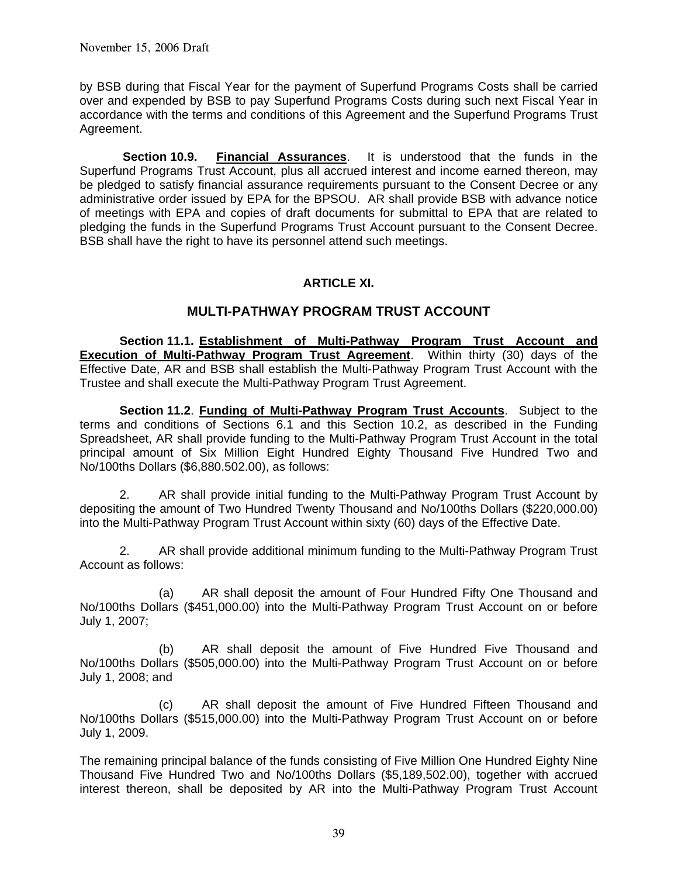by BSB during that Fiscal Year for the payment of Superfund Programs Costs shall be carried over and expended by BSB to pay Superfund Programs Costs during such next Fiscal Year in accordance with the terms and conditions of this Agreement and the Superfund Programs Trust Agreement.

**Section 10.9. Financial Assurances**. It is understood that the funds in the Superfund Programs Trust Account, plus all accrued interest and income earned thereon, may be pledged to satisfy financial assurance requirements pursuant to the Consent Decree or any administrative order issued by EPA for the BPSOU. AR shall provide BSB with advance notice of meetings with EPA and copies of draft documents for submittal to EPA that are related to pledging the funds in the Superfund Programs Trust Account pursuant to the Consent Decree. BSB shall have the right to have its personnel attend such meetings.

### **ARTICLE XI.**

### **MULTI-PATHWAY PROGRAM TRUST ACCOUNT**

**Section 11.1. Establishment of Multi-Pathway Program Trust Account and Execution of Multi-Pathway Program Trust Agreement**. Within thirty (30) days of the Effective Date, AR and BSB shall establish the Multi-Pathway Program Trust Account with the Trustee and shall execute the Multi-Pathway Program Trust Agreement.

**Section 11.2**. **Funding of Multi-Pathway Program Trust Accounts**. Subject to the terms and conditions of Sections 6.1 and this Section 10.2, as described in the Funding Spreadsheet, AR shall provide funding to the Multi-Pathway Program Trust Account in the total principal amount of Six Million Eight Hundred Eighty Thousand Five Hundred Two and No/100ths Dollars (\$6,880.502.00), as follows:

2. AR shall provide initial funding to the Multi-Pathway Program Trust Account by depositing the amount of Two Hundred Twenty Thousand and No/100ths Dollars (\$220,000.00) into the Multi-Pathway Program Trust Account within sixty (60) days of the Effective Date.

 2. AR shall provide additional minimum funding to the Multi-Pathway Program Trust Account as follows:

 (a) AR shall deposit the amount of Four Hundred Fifty One Thousand and No/100ths Dollars (\$451,000.00) into the Multi-Pathway Program Trust Account on or before July 1, 2007;

 (b) AR shall deposit the amount of Five Hundred Five Thousand and No/100ths Dollars (\$505,000.00) into the Multi-Pathway Program Trust Account on or before July 1, 2008; and

 (c) AR shall deposit the amount of Five Hundred Fifteen Thousand and No/100ths Dollars (\$515,000.00) into the Multi-Pathway Program Trust Account on or before July 1, 2009.

The remaining principal balance of the funds consisting of Five Million One Hundred Eighty Nine Thousand Five Hundred Two and No/100ths Dollars (\$5,189,502.00), together with accrued interest thereon, shall be deposited by AR into the Multi-Pathway Program Trust Account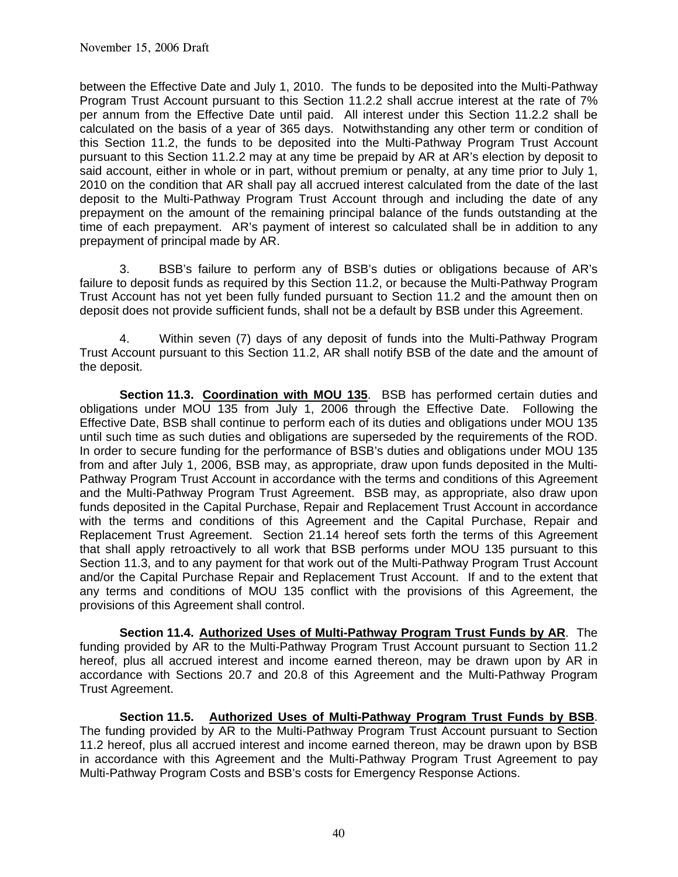between the Effective Date and July 1, 2010. The funds to be deposited into the Multi-Pathway Program Trust Account pursuant to this Section 11.2.2 shall accrue interest at the rate of 7% per annum from the Effective Date until paid. All interest under this Section 11.2.2 shall be calculated on the basis of a year of 365 days. Notwithstanding any other term or condition of this Section 11.2, the funds to be deposited into the Multi-Pathway Program Trust Account pursuant to this Section 11.2.2 may at any time be prepaid by AR at AR's election by deposit to said account, either in whole or in part, without premium or penalty, at any time prior to July 1, 2010 on the condition that AR shall pay all accrued interest calculated from the date of the last deposit to the Multi-Pathway Program Trust Account through and including the date of any prepayment on the amount of the remaining principal balance of the funds outstanding at the time of each prepayment. AR's payment of interest so calculated shall be in addition to any prepayment of principal made by AR.

 3. BSB's failure to perform any of BSB's duties or obligations because of AR's failure to deposit funds as required by this Section 11.2, or because the Multi-Pathway Program Trust Account has not yet been fully funded pursuant to Section 11.2 and the amount then on deposit does not provide sufficient funds, shall not be a default by BSB under this Agreement.

 4. Within seven (7) days of any deposit of funds into the Multi-Pathway Program Trust Account pursuant to this Section 11.2, AR shall notify BSB of the date and the amount of the deposit.

**Section 11.3. Coordination with MOU 135**. BSB has performed certain duties and obligations under MOU 135 from July 1, 2006 through the Effective Date. Following the Effective Date, BSB shall continue to perform each of its duties and obligations under MOU 135 until such time as such duties and obligations are superseded by the requirements of the ROD. In order to secure funding for the performance of BSB's duties and obligations under MOU 135 from and after July 1, 2006, BSB may, as appropriate, draw upon funds deposited in the Multi-Pathway Program Trust Account in accordance with the terms and conditions of this Agreement and the Multi-Pathway Program Trust Agreement. BSB may, as appropriate, also draw upon funds deposited in the Capital Purchase, Repair and Replacement Trust Account in accordance with the terms and conditions of this Agreement and the Capital Purchase, Repair and Replacement Trust Agreement. Section 21.14 hereof sets forth the terms of this Agreement that shall apply retroactively to all work that BSB performs under MOU 135 pursuant to this Section 11.3, and to any payment for that work out of the Multi-Pathway Program Trust Account and/or the Capital Purchase Repair and Replacement Trust Account. If and to the extent that any terms and conditions of MOU 135 conflict with the provisions of this Agreement, the provisions of this Agreement shall control.

**Section 11.4. Authorized Uses of Multi-Pathway Program Trust Funds by AR**. The funding provided by AR to the Multi-Pathway Program Trust Account pursuant to Section 11.2 hereof, plus all accrued interest and income earned thereon, may be drawn upon by AR in accordance with Sections 20.7 and 20.8 of this Agreement and the Multi-Pathway Program Trust Agreement.

 **Section 11.5. Authorized Uses of Multi-Pathway Program Trust Funds by BSB**. The funding provided by AR to the Multi-Pathway Program Trust Account pursuant to Section 11.2 hereof, plus all accrued interest and income earned thereon, may be drawn upon by BSB in accordance with this Agreement and the Multi-Pathway Program Trust Agreement to pay Multi-Pathway Program Costs and BSB's costs for Emergency Response Actions.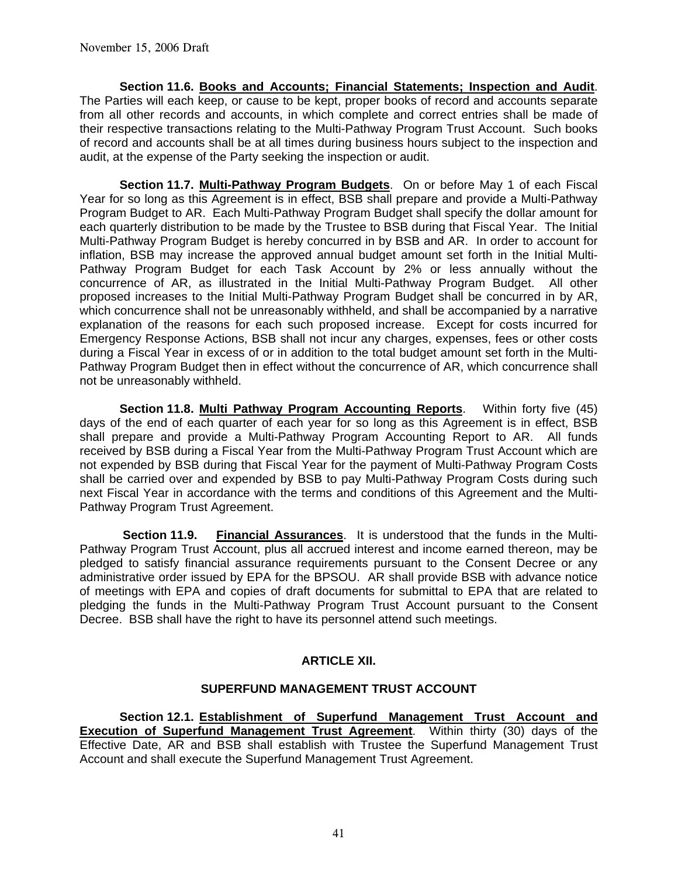**Section 11.6. Books and Accounts; Financial Statements; Inspection and Audit**. The Parties will each keep, or cause to be kept, proper books of record and accounts separate from all other records and accounts, in which complete and correct entries shall be made of their respective transactions relating to the Multi-Pathway Program Trust Account. Such books of record and accounts shall be at all times during business hours subject to the inspection and audit, at the expense of the Party seeking the inspection or audit.

**Section 11.7. Multi-Pathway Program Budgets**. On or before May 1 of each Fiscal Year for so long as this Agreement is in effect, BSB shall prepare and provide a Multi-Pathway Program Budget to AR. Each Multi-Pathway Program Budget shall specify the dollar amount for each quarterly distribution to be made by the Trustee to BSB during that Fiscal Year. The Initial Multi-Pathway Program Budget is hereby concurred in by BSB and AR. In order to account for inflation, BSB may increase the approved annual budget amount set forth in the Initial Multi-Pathway Program Budget for each Task Account by 2% or less annually without the concurrence of AR, as illustrated in the Initial Multi-Pathway Program Budget. All other proposed increases to the Initial Multi-Pathway Program Budget shall be concurred in by AR, which concurrence shall not be unreasonably withheld, and shall be accompanied by a narrative explanation of the reasons for each such proposed increase. Except for costs incurred for Emergency Response Actions, BSB shall not incur any charges, expenses, fees or other costs during a Fiscal Year in excess of or in addition to the total budget amount set forth in the Multi-Pathway Program Budget then in effect without the concurrence of AR, which concurrence shall not be unreasonably withheld.

**Section 11.8. Multi Pathway Program Accounting Reports**. Within forty five (45) days of the end of each quarter of each year for so long as this Agreement is in effect, BSB shall prepare and provide a Multi-Pathway Program Accounting Report to AR. All funds received by BSB during a Fiscal Year from the Multi-Pathway Program Trust Account which are not expended by BSB during that Fiscal Year for the payment of Multi-Pathway Program Costs shall be carried over and expended by BSB to pay Multi-Pathway Program Costs during such next Fiscal Year in accordance with the terms and conditions of this Agreement and the Multi-Pathway Program Trust Agreement.

**Section 11.9. Financial Assurances**. It is understood that the funds in the Multi-Pathway Program Trust Account, plus all accrued interest and income earned thereon, may be pledged to satisfy financial assurance requirements pursuant to the Consent Decree or any administrative order issued by EPA for the BPSOU. AR shall provide BSB with advance notice of meetings with EPA and copies of draft documents for submittal to EPA that are related to pledging the funds in the Multi-Pathway Program Trust Account pursuant to the Consent Decree. BSB shall have the right to have its personnel attend such meetings.

# **ARTICLE XII.**

#### **SUPERFUND MANAGEMENT TRUST ACCOUNT**

**Section 12.1. Establishment of Superfund Management Trust Account and Execution of Superfund Management Trust Agreement**. Within thirty (30) days of the Effective Date, AR and BSB shall establish with Trustee the Superfund Management Trust Account and shall execute the Superfund Management Trust Agreement.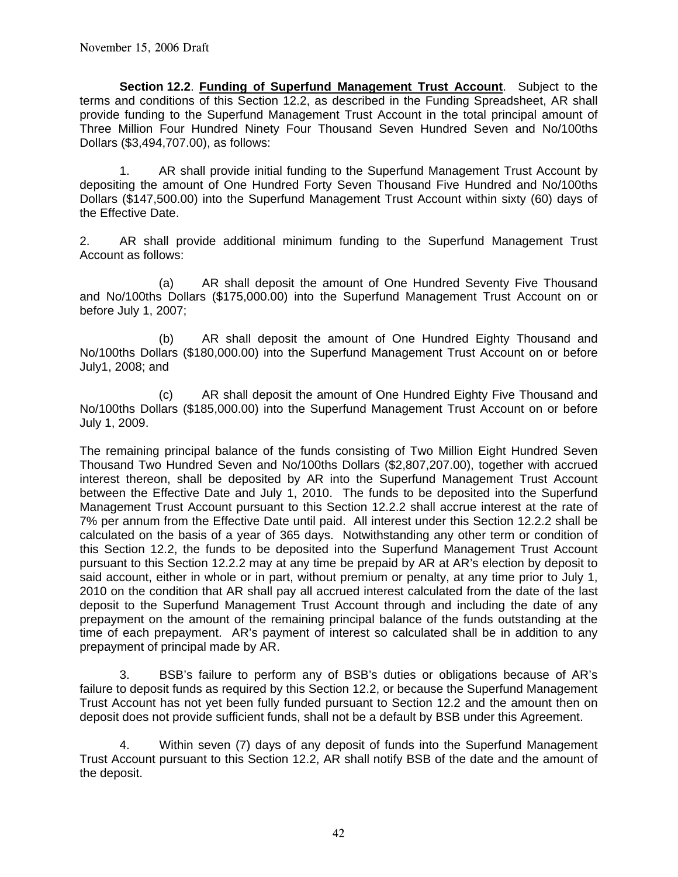**Section 12.2**. **Funding of Superfund Management Trust Account**. Subject to the terms and conditions of this Section 12.2, as described in the Funding Spreadsheet, AR shall provide funding to the Superfund Management Trust Account in the total principal amount of Three Million Four Hundred Ninety Four Thousand Seven Hundred Seven and No/100ths Dollars (\$3,494,707.00), as follows:

 1. AR shall provide initial funding to the Superfund Management Trust Account by depositing the amount of One Hundred Forty Seven Thousand Five Hundred and No/100ths Dollars (\$147,500.00) into the Superfund Management Trust Account within sixty (60) days of the Effective Date.

2. AR shall provide additional minimum funding to the Superfund Management Trust Account as follows:

 (a) AR shall deposit the amount of One Hundred Seventy Five Thousand and No/100ths Dollars (\$175,000.00) into the Superfund Management Trust Account on or before July 1, 2007;

 (b) AR shall deposit the amount of One Hundred Eighty Thousand and No/100ths Dollars (\$180,000.00) into the Superfund Management Trust Account on or before July1, 2008; and

 (c) AR shall deposit the amount of One Hundred Eighty Five Thousand and No/100ths Dollars (\$185,000.00) into the Superfund Management Trust Account on or before July 1, 2009.

The remaining principal balance of the funds consisting of Two Million Eight Hundred Seven Thousand Two Hundred Seven and No/100ths Dollars (\$2,807,207.00), together with accrued interest thereon, shall be deposited by AR into the Superfund Management Trust Account between the Effective Date and July 1, 2010. The funds to be deposited into the Superfund Management Trust Account pursuant to this Section 12.2.2 shall accrue interest at the rate of 7% per annum from the Effective Date until paid. All interest under this Section 12.2.2 shall be calculated on the basis of a year of 365 days. Notwithstanding any other term or condition of this Section 12.2, the funds to be deposited into the Superfund Management Trust Account pursuant to this Section 12.2.2 may at any time be prepaid by AR at AR's election by deposit to said account, either in whole or in part, without premium or penalty, at any time prior to July 1, 2010 on the condition that AR shall pay all accrued interest calculated from the date of the last deposit to the Superfund Management Trust Account through and including the date of any prepayment on the amount of the remaining principal balance of the funds outstanding at the time of each prepayment. AR's payment of interest so calculated shall be in addition to any prepayment of principal made by AR.

 3. BSB's failure to perform any of BSB's duties or obligations because of AR's failure to deposit funds as required by this Section 12.2, or because the Superfund Management Trust Account has not yet been fully funded pursuant to Section 12.2 and the amount then on deposit does not provide sufficient funds, shall not be a default by BSB under this Agreement.

 4. Within seven (7) days of any deposit of funds into the Superfund Management Trust Account pursuant to this Section 12.2, AR shall notify BSB of the date and the amount of the deposit.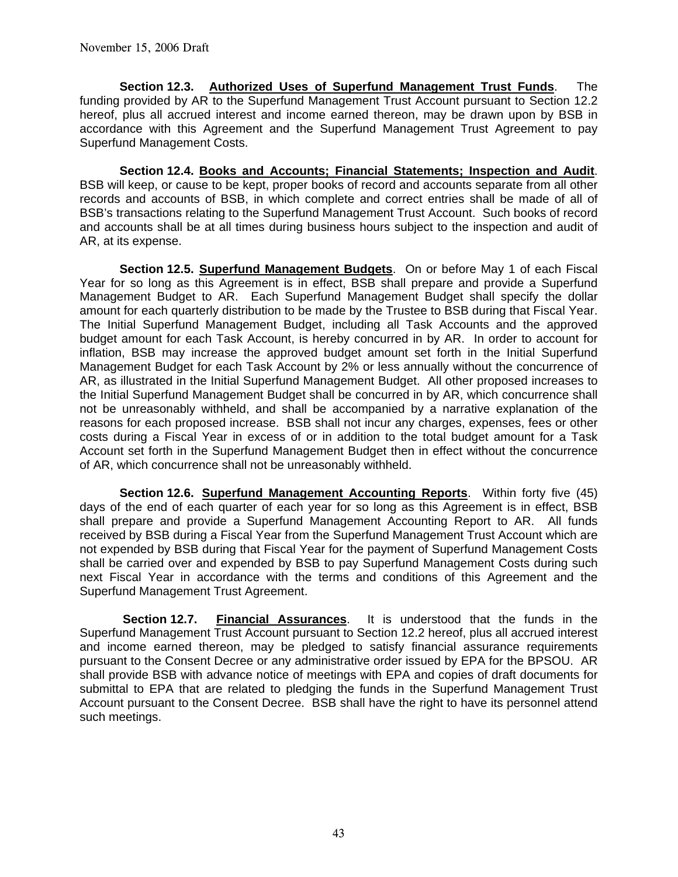**Section 12.3. Authorized Uses of Superfund Management Trust Funds**. The funding provided by AR to the Superfund Management Trust Account pursuant to Section 12.2 hereof, plus all accrued interest and income earned thereon, may be drawn upon by BSB in accordance with this Agreement and the Superfund Management Trust Agreement to pay Superfund Management Costs.

**Section 12.4. Books and Accounts; Financial Statements; Inspection and Audit**. BSB will keep, or cause to be kept, proper books of record and accounts separate from all other records and accounts of BSB, in which complete and correct entries shall be made of all of BSB's transactions relating to the Superfund Management Trust Account. Such books of record and accounts shall be at all times during business hours subject to the inspection and audit of AR, at its expense.

**Section 12.5. Superfund Management Budgets**. On or before May 1 of each Fiscal Year for so long as this Agreement is in effect, BSB shall prepare and provide a Superfund Management Budget to AR. Each Superfund Management Budget shall specify the dollar amount for each quarterly distribution to be made by the Trustee to BSB during that Fiscal Year. The Initial Superfund Management Budget, including all Task Accounts and the approved budget amount for each Task Account, is hereby concurred in by AR. In order to account for inflation, BSB may increase the approved budget amount set forth in the Initial Superfund Management Budget for each Task Account by 2% or less annually without the concurrence of AR, as illustrated in the Initial Superfund Management Budget. All other proposed increases to the Initial Superfund Management Budget shall be concurred in by AR, which concurrence shall not be unreasonably withheld, and shall be accompanied by a narrative explanation of the reasons for each proposed increase. BSB shall not incur any charges, expenses, fees or other costs during a Fiscal Year in excess of or in addition to the total budget amount for a Task Account set forth in the Superfund Management Budget then in effect without the concurrence of AR, which concurrence shall not be unreasonably withheld.

 **Section 12.6. Superfund Management Accounting Reports**. Within forty five (45) days of the end of each quarter of each year for so long as this Agreement is in effect, BSB shall prepare and provide a Superfund Management Accounting Report to AR. All funds received by BSB during a Fiscal Year from the Superfund Management Trust Account which are not expended by BSB during that Fiscal Year for the payment of Superfund Management Costs shall be carried over and expended by BSB to pay Superfund Management Costs during such next Fiscal Year in accordance with the terms and conditions of this Agreement and the Superfund Management Trust Agreement.

**Section 12.7. Financial Assurances**. It is understood that the funds in the Superfund Management Trust Account pursuant to Section 12.2 hereof, plus all accrued interest and income earned thereon, may be pledged to satisfy financial assurance requirements pursuant to the Consent Decree or any administrative order issued by EPA for the BPSOU. AR shall provide BSB with advance notice of meetings with EPA and copies of draft documents for submittal to EPA that are related to pledging the funds in the Superfund Management Trust Account pursuant to the Consent Decree. BSB shall have the right to have its personnel attend such meetings.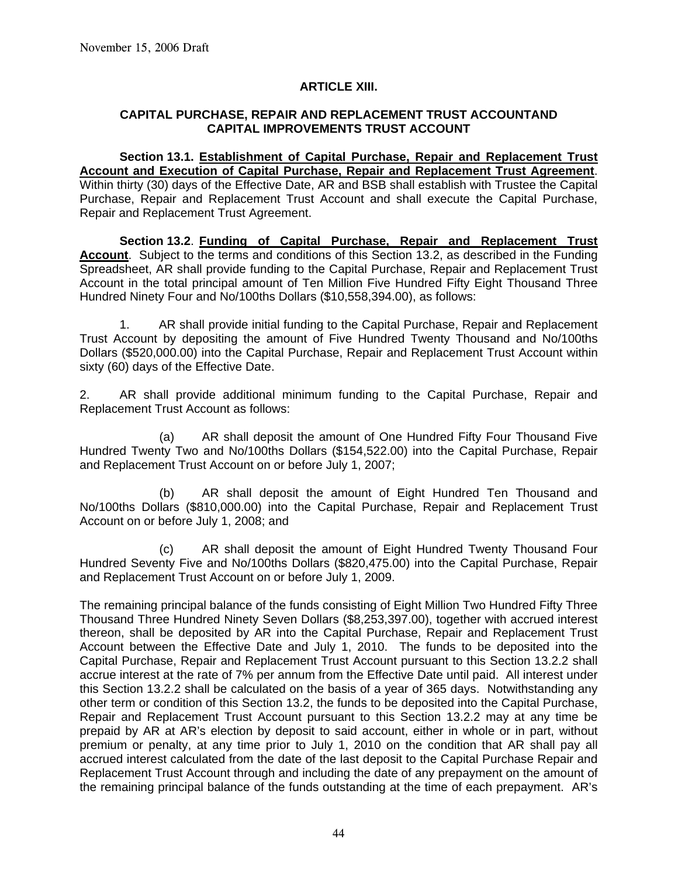### **ARTICLE XIII.**

#### **CAPITAL PURCHASE, REPAIR AND REPLACEMENT TRUST ACCOUNTAND CAPITAL IMPROVEMENTS TRUST ACCOUNT**

**Section 13.1. Establishment of Capital Purchase, Repair and Replacement Trust Account and Execution of Capital Purchase, Repair and Replacement Trust Agreement**. Within thirty (30) days of the Effective Date, AR and BSB shall establish with Trustee the Capital Purchase, Repair and Replacement Trust Account and shall execute the Capital Purchase, Repair and Replacement Trust Agreement.

**Section 13.2**. **Funding of Capital Purchase, Repair and Replacement Trust Account**. Subject to the terms and conditions of this Section 13.2, as described in the Funding Spreadsheet, AR shall provide funding to the Capital Purchase, Repair and Replacement Trust Account in the total principal amount of Ten Million Five Hundred Fifty Eight Thousand Three Hundred Ninety Four and No/100ths Dollars (\$10,558,394.00), as follows:

 1. AR shall provide initial funding to the Capital Purchase, Repair and Replacement Trust Account by depositing the amount of Five Hundred Twenty Thousand and No/100ths Dollars (\$520,000.00) into the Capital Purchase, Repair and Replacement Trust Account within sixty (60) days of the Effective Date.

2. AR shall provide additional minimum funding to the Capital Purchase, Repair and Replacement Trust Account as follows:

 (a) AR shall deposit the amount of One Hundred Fifty Four Thousand Five Hundred Twenty Two and No/100ths Dollars (\$154,522.00) into the Capital Purchase, Repair and Replacement Trust Account on or before July 1, 2007;

 (b) AR shall deposit the amount of Eight Hundred Ten Thousand and No/100ths Dollars (\$810,000.00) into the Capital Purchase, Repair and Replacement Trust Account on or before July 1, 2008; and

 (c) AR shall deposit the amount of Eight Hundred Twenty Thousand Four Hundred Seventy Five and No/100ths Dollars (\$820,475.00) into the Capital Purchase, Repair and Replacement Trust Account on or before July 1, 2009.

The remaining principal balance of the funds consisting of Eight Million Two Hundred Fifty Three Thousand Three Hundred Ninety Seven Dollars (\$8,253,397.00), together with accrued interest thereon, shall be deposited by AR into the Capital Purchase, Repair and Replacement Trust Account between the Effective Date and July 1, 2010. The funds to be deposited into the Capital Purchase, Repair and Replacement Trust Account pursuant to this Section 13.2.2 shall accrue interest at the rate of 7% per annum from the Effective Date until paid. All interest under this Section 13.2.2 shall be calculated on the basis of a year of 365 days. Notwithstanding any other term or condition of this Section 13.2, the funds to be deposited into the Capital Purchase, Repair and Replacement Trust Account pursuant to this Section 13.2.2 may at any time be prepaid by AR at AR's election by deposit to said account, either in whole or in part, without premium or penalty, at any time prior to July 1, 2010 on the condition that AR shall pay all accrued interest calculated from the date of the last deposit to the Capital Purchase Repair and Replacement Trust Account through and including the date of any prepayment on the amount of the remaining principal balance of the funds outstanding at the time of each prepayment. AR's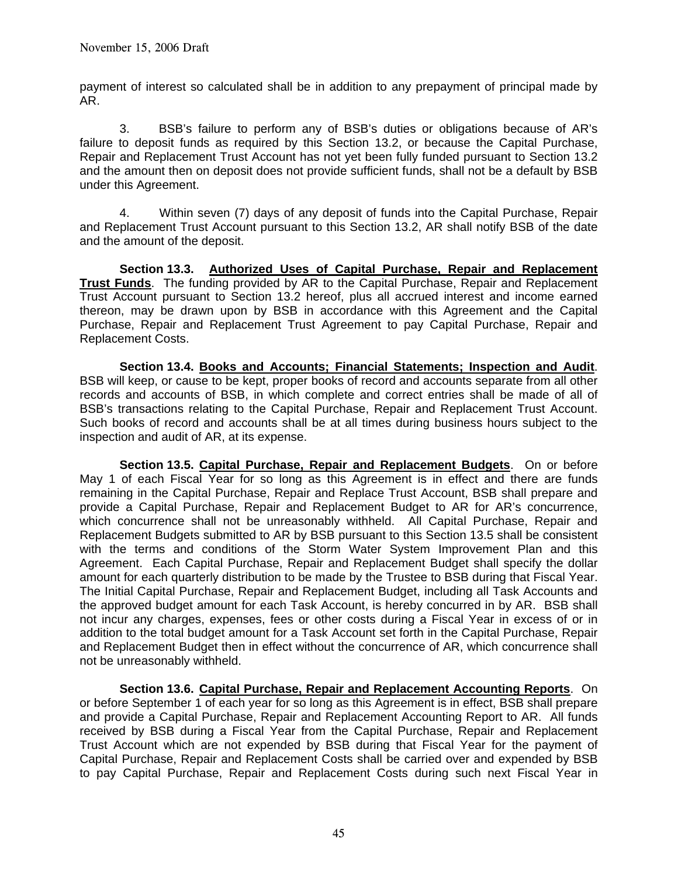payment of interest so calculated shall be in addition to any prepayment of principal made by AR.

 3. BSB's failure to perform any of BSB's duties or obligations because of AR's failure to deposit funds as required by this Section 13.2, or because the Capital Purchase, Repair and Replacement Trust Account has not yet been fully funded pursuant to Section 13.2 and the amount then on deposit does not provide sufficient funds, shall not be a default by BSB under this Agreement.

 4. Within seven (7) days of any deposit of funds into the Capital Purchase, Repair and Replacement Trust Account pursuant to this Section 13.2, AR shall notify BSB of the date and the amount of the deposit.

**Section 13.3. Authorized Uses of Capital Purchase, Repair and Replacement Trust Funds**. The funding provided by AR to the Capital Purchase, Repair and Replacement Trust Account pursuant to Section 13.2 hereof, plus all accrued interest and income earned thereon, may be drawn upon by BSB in accordance with this Agreement and the Capital Purchase, Repair and Replacement Trust Agreement to pay Capital Purchase, Repair and Replacement Costs.

**Section 13.4. Books and Accounts; Financial Statements; Inspection and Audit**. BSB will keep, or cause to be kept, proper books of record and accounts separate from all other records and accounts of BSB, in which complete and correct entries shall be made of all of BSB's transactions relating to the Capital Purchase, Repair and Replacement Trust Account. Such books of record and accounts shall be at all times during business hours subject to the inspection and audit of AR, at its expense.

**Section 13.5. Capital Purchase, Repair and Replacement Budgets**. On or before May 1 of each Fiscal Year for so long as this Agreement is in effect and there are funds remaining in the Capital Purchase, Repair and Replace Trust Account, BSB shall prepare and provide a Capital Purchase, Repair and Replacement Budget to AR for AR's concurrence, which concurrence shall not be unreasonably withheld. All Capital Purchase, Repair and Replacement Budgets submitted to AR by BSB pursuant to this Section 13.5 shall be consistent with the terms and conditions of the Storm Water System Improvement Plan and this Agreement. Each Capital Purchase, Repair and Replacement Budget shall specify the dollar amount for each quarterly distribution to be made by the Trustee to BSB during that Fiscal Year. The Initial Capital Purchase, Repair and Replacement Budget, including all Task Accounts and the approved budget amount for each Task Account, is hereby concurred in by AR. BSB shall not incur any charges, expenses, fees or other costs during a Fiscal Year in excess of or in addition to the total budget amount for a Task Account set forth in the Capital Purchase, Repair and Replacement Budget then in effect without the concurrence of AR, which concurrence shall not be unreasonably withheld.

 **Section 13.6. Capital Purchase, Repair and Replacement Accounting Reports**. On or before September 1 of each year for so long as this Agreement is in effect, BSB shall prepare and provide a Capital Purchase, Repair and Replacement Accounting Report to AR. All funds received by BSB during a Fiscal Year from the Capital Purchase, Repair and Replacement Trust Account which are not expended by BSB during that Fiscal Year for the payment of Capital Purchase, Repair and Replacement Costs shall be carried over and expended by BSB to pay Capital Purchase, Repair and Replacement Costs during such next Fiscal Year in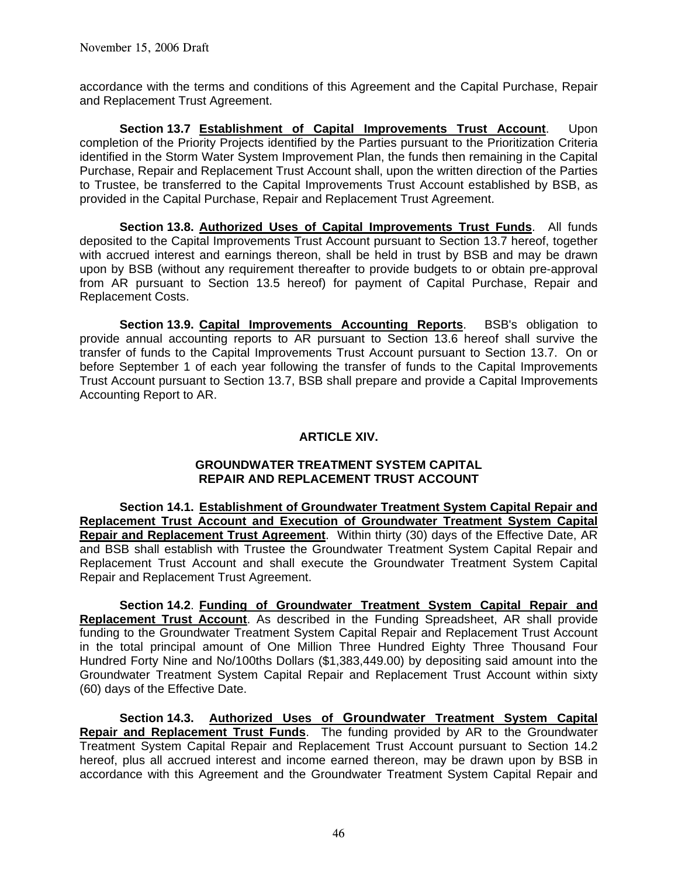accordance with the terms and conditions of this Agreement and the Capital Purchase, Repair and Replacement Trust Agreement.

**Section 13.7 Establishment of Capital Improvements Trust Account**. Upon completion of the Priority Projects identified by the Parties pursuant to the Prioritization Criteria identified in the Storm Water System Improvement Plan, the funds then remaining in the Capital Purchase, Repair and Replacement Trust Account shall, upon the written direction of the Parties to Trustee, be transferred to the Capital Improvements Trust Account established by BSB, as provided in the Capital Purchase, Repair and Replacement Trust Agreement.

**Section 13.8. Authorized Uses of Capital Improvements Trust Funds**. All funds deposited to the Capital Improvements Trust Account pursuant to Section 13.7 hereof, together with accrued interest and earnings thereon, shall be held in trust by BSB and may be drawn upon by BSB (without any requirement thereafter to provide budgets to or obtain pre-approval from AR pursuant to Section 13.5 hereof) for payment of Capital Purchase, Repair and Replacement Costs.

**Section 13.9. Capital Improvements Accounting Reports**. BSB's obligation to provide annual accounting reports to AR pursuant to Section 13.6 hereof shall survive the transfer of funds to the Capital Improvements Trust Account pursuant to Section 13.7. On or before September 1 of each year following the transfer of funds to the Capital Improvements Trust Account pursuant to Section 13.7, BSB shall prepare and provide a Capital Improvements Accounting Report to AR.

#### **ARTICLE XIV.**

#### **GROUNDWATER TREATMENT SYSTEM CAPITAL REPAIR AND REPLACEMENT TRUST ACCOUNT**

**Section 14.1. Establishment of Groundwater Treatment System Capital Repair and Replacement Trust Account and Execution of Groundwater Treatment System Capital Repair and Replacement Trust Agreement**. Within thirty (30) days of the Effective Date, AR and BSB shall establish with Trustee the Groundwater Treatment System Capital Repair and Replacement Trust Account and shall execute the Groundwater Treatment System Capital Repair and Replacement Trust Agreement.

**Section 14.2**. **Funding of Groundwater Treatment System Capital Repair and Replacement Trust Account**. As described in the Funding Spreadsheet, AR shall provide funding to the Groundwater Treatment System Capital Repair and Replacement Trust Account in the total principal amount of One Million Three Hundred Eighty Three Thousand Four Hundred Forty Nine and No/100ths Dollars (\$1,383,449.00) by depositing said amount into the Groundwater Treatment System Capital Repair and Replacement Trust Account within sixty (60) days of the Effective Date.

**Section 14.3. Authorized Uses of Groundwater Treatment System Capital Repair and Replacement Trust Funds**. The funding provided by AR to the Groundwater Treatment System Capital Repair and Replacement Trust Account pursuant to Section 14.2 hereof, plus all accrued interest and income earned thereon, may be drawn upon by BSB in accordance with this Agreement and the Groundwater Treatment System Capital Repair and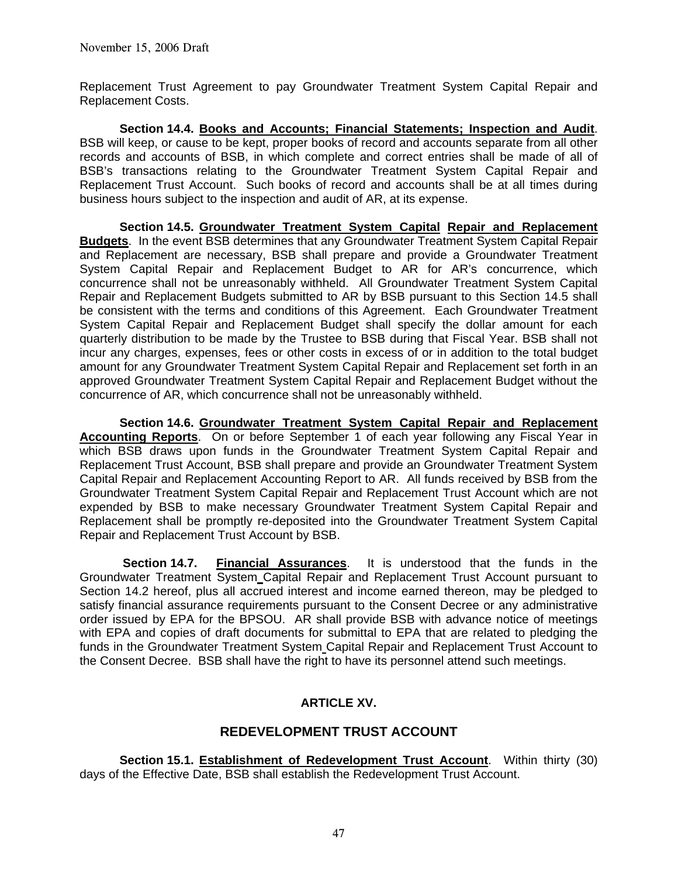Replacement Trust Agreement to pay Groundwater Treatment System Capital Repair and Replacement Costs.

**Section 14.4. Books and Accounts; Financial Statements; Inspection and Audit**. BSB will keep, or cause to be kept, proper books of record and accounts separate from all other records and accounts of BSB, in which complete and correct entries shall be made of all of BSB's transactions relating to the Groundwater Treatment System Capital Repair and Replacement Trust Account. Such books of record and accounts shall be at all times during business hours subject to the inspection and audit of AR, at its expense.

**Section 14.5. Groundwater Treatment System Capital Repair and Replacement Budgets**. In the event BSB determines that any Groundwater Treatment System Capital Repair and Replacement are necessary, BSB shall prepare and provide a Groundwater Treatment System Capital Repair and Replacement Budget to AR for AR's concurrence, which concurrence shall not be unreasonably withheld. All Groundwater Treatment System Capital Repair and Replacement Budgets submitted to AR by BSB pursuant to this Section 14.5 shall be consistent with the terms and conditions of this Agreement. Each Groundwater Treatment System Capital Repair and Replacement Budget shall specify the dollar amount for each quarterly distribution to be made by the Trustee to BSB during that Fiscal Year. BSB shall not incur any charges, expenses, fees or other costs in excess of or in addition to the total budget amount for any Groundwater Treatment System Capital Repair and Replacement set forth in an approved Groundwater Treatment System Capital Repair and Replacement Budget without the concurrence of AR, which concurrence shall not be unreasonably withheld.

 **Section 14.6. Groundwater Treatment System Capital Repair and Replacement Accounting Reports**. On or before September 1 of each year following any Fiscal Year in which BSB draws upon funds in the Groundwater Treatment System Capital Repair and Replacement Trust Account, BSB shall prepare and provide an Groundwater Treatment System Capital Repair and Replacement Accounting Report to AR. All funds received by BSB from the Groundwater Treatment System Capital Repair and Replacement Trust Account which are not expended by BSB to make necessary Groundwater Treatment System Capital Repair and Replacement shall be promptly re-deposited into the Groundwater Treatment System Capital Repair and Replacement Trust Account by BSB.

**Section 14.7. Financial Assurances**. It is understood that the funds in the Groundwater Treatment System Capital Repair and Replacement Trust Account pursuant to Section 14.2 hereof, plus all accrued interest and income earned thereon, may be pledged to satisfy financial assurance requirements pursuant to the Consent Decree or any administrative order issued by EPA for the BPSOU. AR shall provide BSB with advance notice of meetings with EPA and copies of draft documents for submittal to EPA that are related to pledging the funds in the Groundwater Treatment System Capital Repair and Replacement Trust Account to the Consent Decree. BSB shall have the right to have its personnel attend such meetings.

# **ARTICLE XV.**

# **REDEVELOPMENT TRUST ACCOUNT**

**Section 15.1. Establishment of Redevelopment Trust Account**. Within thirty (30) days of the Effective Date, BSB shall establish the Redevelopment Trust Account.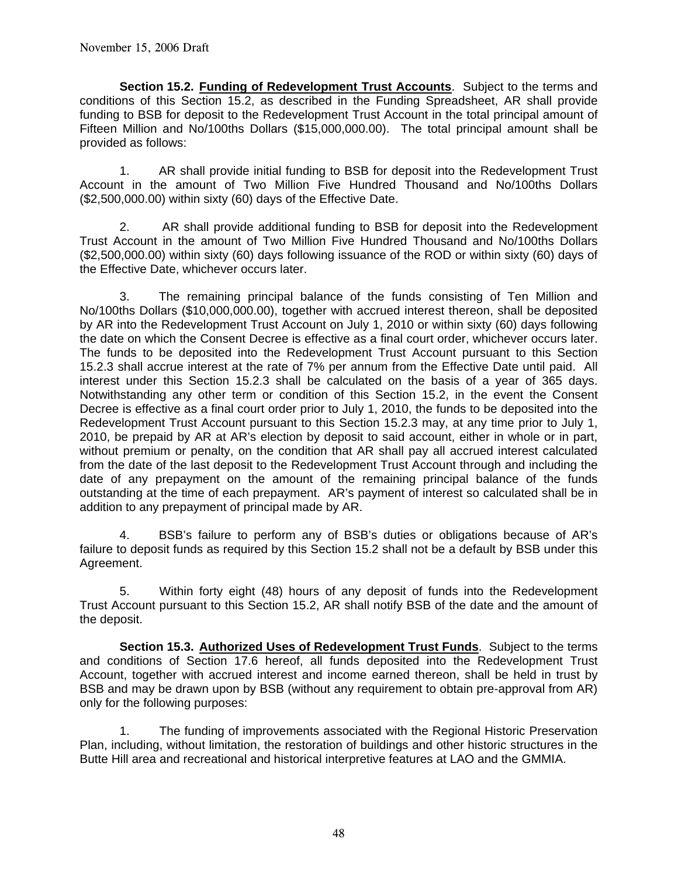**Section 15.2. Funding of Redevelopment Trust Accounts**. Subject to the terms and conditions of this Section 15.2, as described in the Funding Spreadsheet, AR shall provide funding to BSB for deposit to the Redevelopment Trust Account in the total principal amount of Fifteen Million and No/100ths Dollars (\$15,000,000.00). The total principal amount shall be provided as follows:

1. AR shall provide initial funding to BSB for deposit into the Redevelopment Trust Account in the amount of Two Million Five Hundred Thousand and No/100ths Dollars (\$2,500,000.00) within sixty (60) days of the Effective Date.

2. AR shall provide additional funding to BSB for deposit into the Redevelopment Trust Account in the amount of Two Million Five Hundred Thousand and No/100ths Dollars (\$2,500,000.00) within sixty (60) days following issuance of the ROD or within sixty (60) days of the Effective Date, whichever occurs later.

 3. The remaining principal balance of the funds consisting of Ten Million and No/100ths Dollars (\$10,000,000.00), together with accrued interest thereon, shall be deposited by AR into the Redevelopment Trust Account on July 1, 2010 or within sixty (60) days following the date on which the Consent Decree is effective as a final court order, whichever occurs later. The funds to be deposited into the Redevelopment Trust Account pursuant to this Section 15.2.3 shall accrue interest at the rate of 7% per annum from the Effective Date until paid. All interest under this Section 15.2.3 shall be calculated on the basis of a year of 365 days. Notwithstanding any other term or condition of this Section 15.2, in the event the Consent Decree is effective as a final court order prior to July 1, 2010, the funds to be deposited into the Redevelopment Trust Account pursuant to this Section 15.2.3 may, at any time prior to July 1, 2010, be prepaid by AR at AR's election by deposit to said account, either in whole or in part, without premium or penalty, on the condition that AR shall pay all accrued interest calculated from the date of the last deposit to the Redevelopment Trust Account through and including the date of any prepayment on the amount of the remaining principal balance of the funds outstanding at the time of each prepayment. AR's payment of interest so calculated shall be in addition to any prepayment of principal made by AR.

 4. BSB's failure to perform any of BSB's duties or obligations because of AR's failure to deposit funds as required by this Section 15.2 shall not be a default by BSB under this Agreement.

 5. Within forty eight (48) hours of any deposit of funds into the Redevelopment Trust Account pursuant to this Section 15.2, AR shall notify BSB of the date and the amount of the deposit.

**Section 15.3. Authorized Uses of Redevelopment Trust Funds**. Subject to the terms and conditions of Section 17.6 hereof, all funds deposited into the Redevelopment Trust Account, together with accrued interest and income earned thereon, shall be held in trust by BSB and may be drawn upon by BSB (without any requirement to obtain pre-approval from AR) only for the following purposes:

 1. The funding of improvements associated with the Regional Historic Preservation Plan, including, without limitation, the restoration of buildings and other historic structures in the Butte Hill area and recreational and historical interpretive features at LAO and the GMMIA.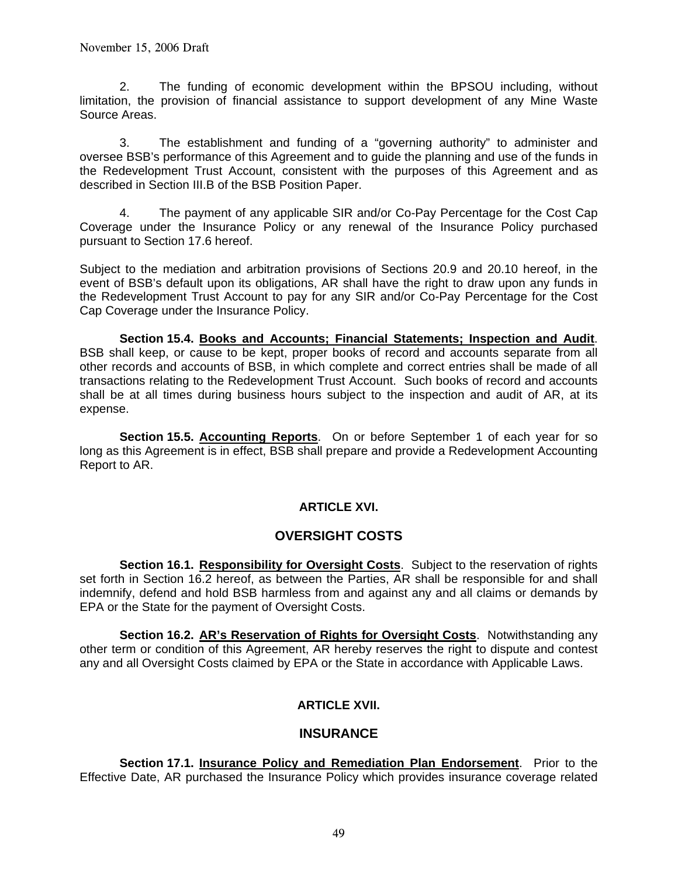2. The funding of economic development within the BPSOU including, without limitation, the provision of financial assistance to support development of any Mine Waste Source Areas.

 3. The establishment and funding of a "governing authority" to administer and oversee BSB's performance of this Agreement and to guide the planning and use of the funds in the Redevelopment Trust Account, consistent with the purposes of this Agreement and as described in Section III.B of the BSB Position Paper.

 4. The payment of any applicable SIR and/or Co-Pay Percentage for the Cost Cap Coverage under the Insurance Policy or any renewal of the Insurance Policy purchased pursuant to Section 17.6 hereof.

Subject to the mediation and arbitration provisions of Sections 20.9 and 20.10 hereof, in the event of BSB's default upon its obligations, AR shall have the right to draw upon any funds in the Redevelopment Trust Account to pay for any SIR and/or Co-Pay Percentage for the Cost Cap Coverage under the Insurance Policy.

**Section 15.4. Books and Accounts; Financial Statements; Inspection and Audit**. BSB shall keep, or cause to be kept, proper books of record and accounts separate from all other records and accounts of BSB, in which complete and correct entries shall be made of all transactions relating to the Redevelopment Trust Account. Such books of record and accounts shall be at all times during business hours subject to the inspection and audit of AR, at its expense.

**Section 15.5. Accounting Reports**. On or before September 1 of each year for so long as this Agreement is in effect, BSB shall prepare and provide a Redevelopment Accounting Report to AR.

# **ARTICLE XVI.**

# **OVERSIGHT COSTS**

 **Section 16.1. Responsibility for Oversight Costs**. Subject to the reservation of rights set forth in Section 16.2 hereof, as between the Parties, AR shall be responsible for and shall indemnify, defend and hold BSB harmless from and against any and all claims or demands by EPA or the State for the payment of Oversight Costs.

**Section 16.2. AR's Reservation of Rights for Oversight Costs**. Notwithstanding any other term or condition of this Agreement, AR hereby reserves the right to dispute and contest any and all Oversight Costs claimed by EPA or the State in accordance with Applicable Laws.

# **ARTICLE XVII.**

# **INSURANCE**

**Section 17.1. Insurance Policy and Remediation Plan Endorsement**. Prior to the Effective Date, AR purchased the Insurance Policy which provides insurance coverage related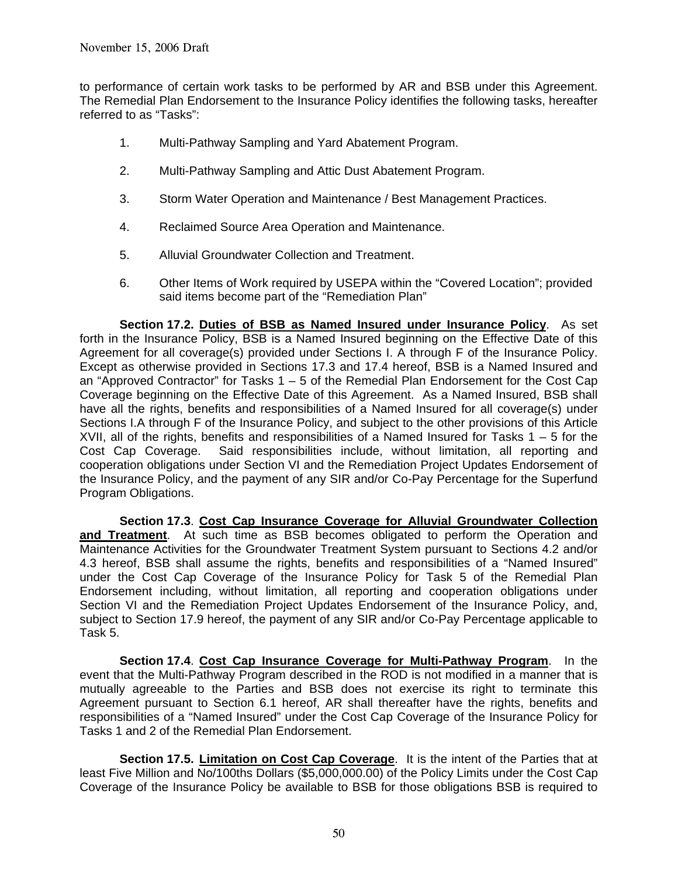to performance of certain work tasks to be performed by AR and BSB under this Agreement. The Remedial Plan Endorsement to the Insurance Policy identifies the following tasks, hereafter referred to as "Tasks":

- 1. Multi-Pathway Sampling and Yard Abatement Program.
- 2. Multi-Pathway Sampling and Attic Dust Abatement Program.
- 3. Storm Water Operation and Maintenance / Best Management Practices.
- 4. Reclaimed Source Area Operation and Maintenance.
- 5. Alluvial Groundwater Collection and Treatment.
- 6. Other Items of Work required by USEPA within the "Covered Location"; provided said items become part of the "Remediation Plan"

**Section 17.2. Duties of BSB as Named Insured under Insurance Policy**. As set forth in the Insurance Policy, BSB is a Named Insured beginning on the Effective Date of this Agreement for all coverage(s) provided under Sections I. A through F of the Insurance Policy. Except as otherwise provided in Sections 17.3 and 17.4 hereof, BSB is a Named Insured and an "Approved Contractor" for Tasks  $1 - 5$  of the Remedial Plan Endorsement for the Cost Cap Coverage beginning on the Effective Date of this Agreement. As a Named Insured, BSB shall have all the rights, benefits and responsibilities of a Named Insured for all coverage(s) under Sections I.A through F of the Insurance Policy, and subject to the other provisions of this Article XVII, all of the rights, benefits and responsibilities of a Named Insured for Tasks  $1 - 5$  for the Cost Cap Coverage. Said responsibilities include, without limitation, all reporting and cooperation obligations under Section VI and the Remediation Project Updates Endorsement of the Insurance Policy, and the payment of any SIR and/or Co-Pay Percentage for the Superfund Program Obligations.

**Section 17.3**. **Cost Cap Insurance Coverage for Alluvial Groundwater Collection and Treatment**. At such time as BSB becomes obligated to perform the Operation and Maintenance Activities for the Groundwater Treatment System pursuant to Sections 4.2 and/or 4.3 hereof, BSB shall assume the rights, benefits and responsibilities of a "Named Insured" under the Cost Cap Coverage of the Insurance Policy for Task 5 of the Remedial Plan Endorsement including, without limitation, all reporting and cooperation obligations under Section VI and the Remediation Project Updates Endorsement of the Insurance Policy, and, subject to Section 17.9 hereof, the payment of any SIR and/or Co-Pay Percentage applicable to Task 5.

**Section 17.4**. **Cost Cap Insurance Coverage for Multi-Pathway Program**. In the event that the Multi-Pathway Program described in the ROD is not modified in a manner that is mutually agreeable to the Parties and BSB does not exercise its right to terminate this Agreement pursuant to Section 6.1 hereof, AR shall thereafter have the rights, benefits and responsibilities of a "Named Insured" under the Cost Cap Coverage of the Insurance Policy for Tasks 1 and 2 of the Remedial Plan Endorsement.

**Section 17.5. Limitation on Cost Cap Coverage**. It is the intent of the Parties that at least Five Million and No/100ths Dollars (\$5,000,000.00) of the Policy Limits under the Cost Cap Coverage of the Insurance Policy be available to BSB for those obligations BSB is required to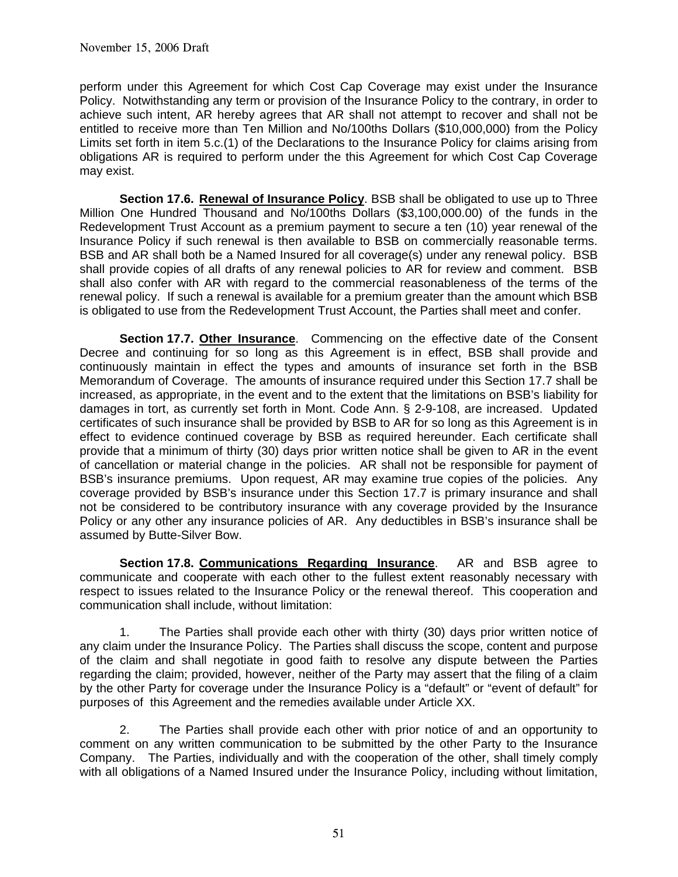perform under this Agreement for which Cost Cap Coverage may exist under the Insurance Policy. Notwithstanding any term or provision of the Insurance Policy to the contrary, in order to achieve such intent, AR hereby agrees that AR shall not attempt to recover and shall not be entitled to receive more than Ten Million and No/100ths Dollars (\$10,000,000) from the Policy Limits set forth in item 5.c.(1) of the Declarations to the Insurance Policy for claims arising from obligations AR is required to perform under the this Agreement for which Cost Cap Coverage may exist.

**Section 17.6. Renewal of Insurance Policy**. BSB shall be obligated to use up to Three Million One Hundred Thousand and No/100ths Dollars (\$3,100,000.00) of the funds in the Redevelopment Trust Account as a premium payment to secure a ten (10) year renewal of the Insurance Policy if such renewal is then available to BSB on commercially reasonable terms. BSB and AR shall both be a Named Insured for all coverage(s) under any renewal policy. BSB shall provide copies of all drafts of any renewal policies to AR for review and comment. BSB shall also confer with AR with regard to the commercial reasonableness of the terms of the renewal policy. If such a renewal is available for a premium greater than the amount which BSB is obligated to use from the Redevelopment Trust Account, the Parties shall meet and confer.

**Section 17.7. Other Insurance**. Commencing on the effective date of the Consent Decree and continuing for so long as this Agreement is in effect, BSB shall provide and continuously maintain in effect the types and amounts of insurance set forth in the BSB Memorandum of Coverage. The amounts of insurance required under this Section 17.7 shall be increased, as appropriate, in the event and to the extent that the limitations on BSB's liability for damages in tort, as currently set forth in Mont. Code Ann. § 2-9-108, are increased. Updated certificates of such insurance shall be provided by BSB to AR for so long as this Agreement is in effect to evidence continued coverage by BSB as required hereunder. Each certificate shall provide that a minimum of thirty (30) days prior written notice shall be given to AR in the event of cancellation or material change in the policies. AR shall not be responsible for payment of BSB's insurance premiums. Upon request, AR may examine true copies of the policies. Any coverage provided by BSB's insurance under this Section 17.7 is primary insurance and shall not be considered to be contributory insurance with any coverage provided by the Insurance Policy or any other any insurance policies of AR. Any deductibles in BSB's insurance shall be assumed by Butte-Silver Bow.

**Section 17.8. Communications Regarding Insurance**. AR and BSB agree to communicate and cooperate with each other to the fullest extent reasonably necessary with respect to issues related to the Insurance Policy or the renewal thereof. This cooperation and communication shall include, without limitation:

1. The Parties shall provide each other with thirty (30) days prior written notice of any claim under the Insurance Policy. The Parties shall discuss the scope, content and purpose of the claim and shall negotiate in good faith to resolve any dispute between the Parties regarding the claim; provided, however, neither of the Party may assert that the filing of a claim by the other Party for coverage under the Insurance Policy is a "default" or "event of default" for purposes of this Agreement and the remedies available under Article XX.

2. The Parties shall provide each other with prior notice of and an opportunity to comment on any written communication to be submitted by the other Party to the Insurance Company. The Parties, individually and with the cooperation of the other, shall timely comply with all obligations of a Named Insured under the Insurance Policy, including without limitation,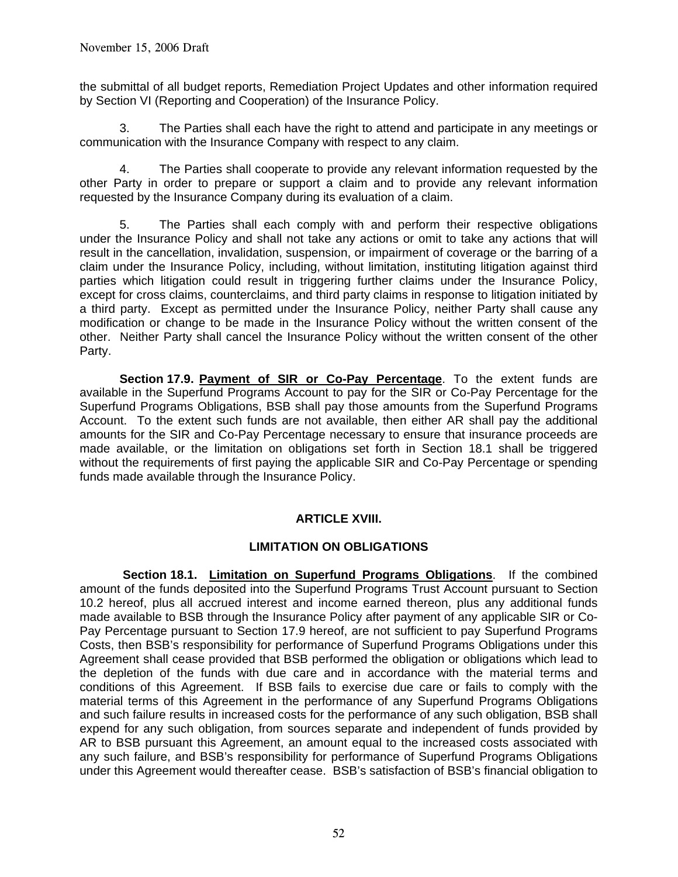the submittal of all budget reports, Remediation Project Updates and other information required by Section VI (Reporting and Cooperation) of the Insurance Policy.

3. The Parties shall each have the right to attend and participate in any meetings or communication with the Insurance Company with respect to any claim.

4. The Parties shall cooperate to provide any relevant information requested by the other Party in order to prepare or support a claim and to provide any relevant information requested by the Insurance Company during its evaluation of a claim.

 5. The Parties shall each comply with and perform their respective obligations under the Insurance Policy and shall not take any actions or omit to take any actions that will result in the cancellation, invalidation, suspension, or impairment of coverage or the barring of a claim under the Insurance Policy, including, without limitation, instituting litigation against third parties which litigation could result in triggering further claims under the Insurance Policy, except for cross claims, counterclaims, and third party claims in response to litigation initiated by a third party. Except as permitted under the Insurance Policy, neither Party shall cause any modification or change to be made in the Insurance Policy without the written consent of the other. Neither Party shall cancel the Insurance Policy without the written consent of the other Party.

 **Section 17.9. Payment of SIR or Co-Pay Percentage**. To the extent funds are available in the Superfund Programs Account to pay for the SIR or Co-Pay Percentage for the Superfund Programs Obligations, BSB shall pay those amounts from the Superfund Programs Account. To the extent such funds are not available, then either AR shall pay the additional amounts for the SIR and Co-Pay Percentage necessary to ensure that insurance proceeds are made available, or the limitation on obligations set forth in Section 18.1 shall be triggered without the requirements of first paying the applicable SIR and Co-Pay Percentage or spending funds made available through the Insurance Policy.

# **ARTICLE XVIII.**

#### **LIMITATION ON OBLIGATIONS**

 **Section 18.1. Limitation on Superfund Programs Obligations**. If the combined amount of the funds deposited into the Superfund Programs Trust Account pursuant to Section 10.2 hereof, plus all accrued interest and income earned thereon, plus any additional funds made available to BSB through the Insurance Policy after payment of any applicable SIR or Co-Pay Percentage pursuant to Section 17.9 hereof, are not sufficient to pay Superfund Programs Costs, then BSB's responsibility for performance of Superfund Programs Obligations under this Agreement shall cease provided that BSB performed the obligation or obligations which lead to the depletion of the funds with due care and in accordance with the material terms and conditions of this Agreement. If BSB fails to exercise due care or fails to comply with the material terms of this Agreement in the performance of any Superfund Programs Obligations and such failure results in increased costs for the performance of any such obligation, BSB shall expend for any such obligation, from sources separate and independent of funds provided by AR to BSB pursuant this Agreement, an amount equal to the increased costs associated with any such failure, and BSB's responsibility for performance of Superfund Programs Obligations under this Agreement would thereafter cease. BSB's satisfaction of BSB's financial obligation to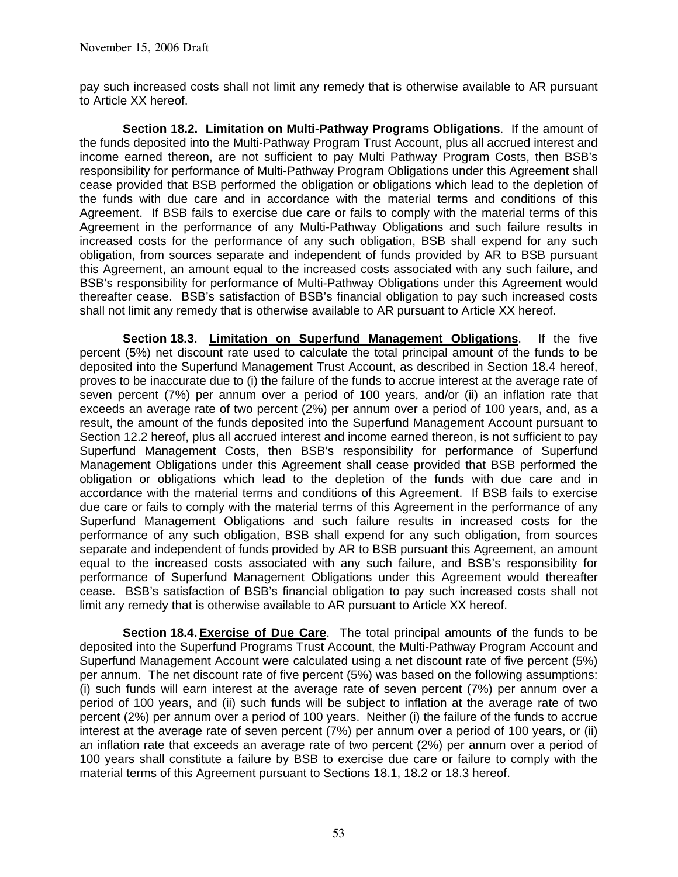pay such increased costs shall not limit any remedy that is otherwise available to AR pursuant to Article XX hereof.

**Section 18.2. Limitation on Multi-Pathway Programs Obligations**. If the amount of the funds deposited into the Multi-Pathway Program Trust Account, plus all accrued interest and income earned thereon, are not sufficient to pay Multi Pathway Program Costs, then BSB's responsibility for performance of Multi-Pathway Program Obligations under this Agreement shall cease provided that BSB performed the obligation or obligations which lead to the depletion of the funds with due care and in accordance with the material terms and conditions of this Agreement. If BSB fails to exercise due care or fails to comply with the material terms of this Agreement in the performance of any Multi-Pathway Obligations and such failure results in increased costs for the performance of any such obligation, BSB shall expend for any such obligation, from sources separate and independent of funds provided by AR to BSB pursuant this Agreement, an amount equal to the increased costs associated with any such failure, and BSB's responsibility for performance of Multi-Pathway Obligations under this Agreement would thereafter cease. BSB's satisfaction of BSB's financial obligation to pay such increased costs shall not limit any remedy that is otherwise available to AR pursuant to Article XX hereof.

**Section 18.3. Limitation on Superfund Management Obligations**. If the five percent (5%) net discount rate used to calculate the total principal amount of the funds to be deposited into the Superfund Management Trust Account, as described in Section 18.4 hereof, proves to be inaccurate due to (i) the failure of the funds to accrue interest at the average rate of seven percent (7%) per annum over a period of 100 years, and/or (ii) an inflation rate that exceeds an average rate of two percent (2%) per annum over a period of 100 years, and, as a result, the amount of the funds deposited into the Superfund Management Account pursuant to Section 12.2 hereof, plus all accrued interest and income earned thereon, is not sufficient to pay Superfund Management Costs, then BSB's responsibility for performance of Superfund Management Obligations under this Agreement shall cease provided that BSB performed the obligation or obligations which lead to the depletion of the funds with due care and in accordance with the material terms and conditions of this Agreement. If BSB fails to exercise due care or fails to comply with the material terms of this Agreement in the performance of any Superfund Management Obligations and such failure results in increased costs for the performance of any such obligation, BSB shall expend for any such obligation, from sources separate and independent of funds provided by AR to BSB pursuant this Agreement, an amount equal to the increased costs associated with any such failure, and BSB's responsibility for performance of Superfund Management Obligations under this Agreement would thereafter cease. BSB's satisfaction of BSB's financial obligation to pay such increased costs shall not limit any remedy that is otherwise available to AR pursuant to Article XX hereof.

 **Section 18.4. Exercise of Due Care**. The total principal amounts of the funds to be deposited into the Superfund Programs Trust Account, the Multi-Pathway Program Account and Superfund Management Account were calculated using a net discount rate of five percent (5%) per annum. The net discount rate of five percent (5%) was based on the following assumptions: (i) such funds will earn interest at the average rate of seven percent (7%) per annum over a period of 100 years, and (ii) such funds will be subject to inflation at the average rate of two percent (2%) per annum over a period of 100 years. Neither (i) the failure of the funds to accrue interest at the average rate of seven percent (7%) per annum over a period of 100 years, or (ii) an inflation rate that exceeds an average rate of two percent (2%) per annum over a period of 100 years shall constitute a failure by BSB to exercise due care or failure to comply with the material terms of this Agreement pursuant to Sections 18.1, 18.2 or 18.3 hereof.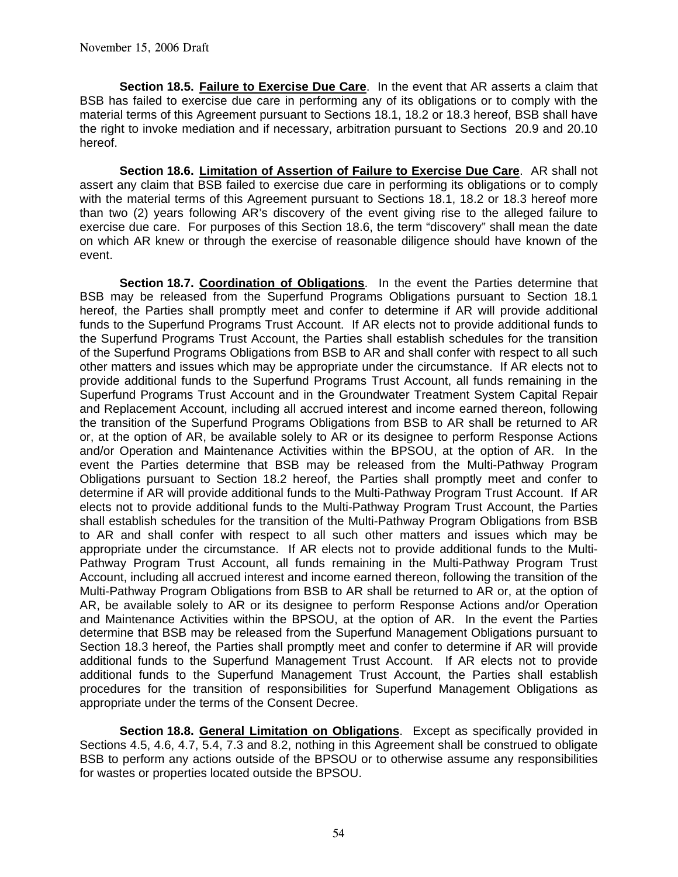**Section 18.5. Failure to Exercise Due Care**. In the event that AR asserts a claim that BSB has failed to exercise due care in performing any of its obligations or to comply with the material terms of this Agreement pursuant to Sections 18.1, 18.2 or 18.3 hereof, BSB shall have the right to invoke mediation and if necessary, arbitration pursuant to Sections 20.9 and 20.10 hereof.

**Section 18.6. Limitation of Assertion of Failure to Exercise Due Care**. AR shall not assert any claim that BSB failed to exercise due care in performing its obligations or to comply with the material terms of this Agreement pursuant to Sections 18.1, 18.2 or 18.3 hereof more than two (2) years following AR's discovery of the event giving rise to the alleged failure to exercise due care. For purposes of this Section 18.6, the term "discovery" shall mean the date on which AR knew or through the exercise of reasonable diligence should have known of the event.

**Section 18.7. Coordination of Obligations**. In the event the Parties determine that BSB may be released from the Superfund Programs Obligations pursuant to Section 18.1 hereof, the Parties shall promptly meet and confer to determine if AR will provide additional funds to the Superfund Programs Trust Account. If AR elects not to provide additional funds to the Superfund Programs Trust Account, the Parties shall establish schedules for the transition of the Superfund Programs Obligations from BSB to AR and shall confer with respect to all such other matters and issues which may be appropriate under the circumstance. If AR elects not to provide additional funds to the Superfund Programs Trust Account, all funds remaining in the Superfund Programs Trust Account and in the Groundwater Treatment System Capital Repair and Replacement Account, including all accrued interest and income earned thereon, following the transition of the Superfund Programs Obligations from BSB to AR shall be returned to AR or, at the option of AR, be available solely to AR or its designee to perform Response Actions and/or Operation and Maintenance Activities within the BPSOU, at the option of AR. In the event the Parties determine that BSB may be released from the Multi-Pathway Program Obligations pursuant to Section 18.2 hereof, the Parties shall promptly meet and confer to determine if AR will provide additional funds to the Multi-Pathway Program Trust Account. If AR elects not to provide additional funds to the Multi-Pathway Program Trust Account, the Parties shall establish schedules for the transition of the Multi-Pathway Program Obligations from BSB to AR and shall confer with respect to all such other matters and issues which may be appropriate under the circumstance. If AR elects not to provide additional funds to the Multi-Pathway Program Trust Account, all funds remaining in the Multi-Pathway Program Trust Account, including all accrued interest and income earned thereon, following the transition of the Multi-Pathway Program Obligations from BSB to AR shall be returned to AR or, at the option of AR, be available solely to AR or its designee to perform Response Actions and/or Operation and Maintenance Activities within the BPSOU, at the option of AR. In the event the Parties determine that BSB may be released from the Superfund Management Obligations pursuant to Section 18.3 hereof, the Parties shall promptly meet and confer to determine if AR will provide additional funds to the Superfund Management Trust Account. If AR elects not to provide additional funds to the Superfund Management Trust Account, the Parties shall establish procedures for the transition of responsibilities for Superfund Management Obligations as appropriate under the terms of the Consent Decree.

**Section 18.8. General Limitation on Obligations**. Except as specifically provided in Sections 4.5, 4.6, 4.7, 5.4, 7.3 and 8.2, nothing in this Agreement shall be construed to obligate BSB to perform any actions outside of the BPSOU or to otherwise assume any responsibilities for wastes or properties located outside the BPSOU.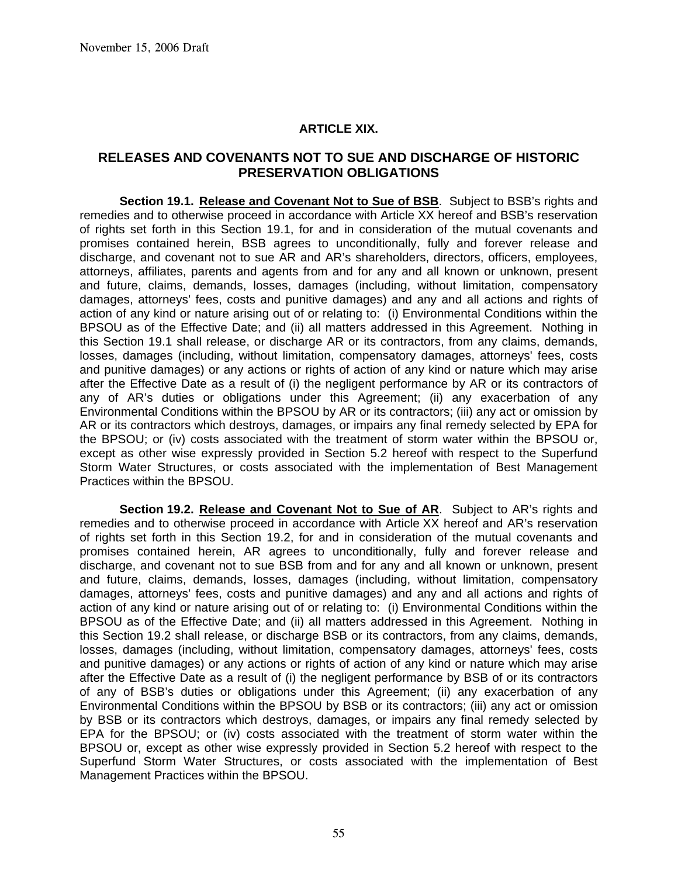#### **ARTICLE XIX.**

#### **RELEASES AND COVENANTS NOT TO SUE AND DISCHARGE OF HISTORIC PRESERVATION OBLIGATIONS**

**Section 19.1. Release and Covenant Not to Sue of BSB**. Subject to BSB's rights and remedies and to otherwise proceed in accordance with Article XX hereof and BSB's reservation of rights set forth in this Section 19.1, for and in consideration of the mutual covenants and promises contained herein, BSB agrees to unconditionally, fully and forever release and discharge, and covenant not to sue AR and AR's shareholders, directors, officers, employees, attorneys, affiliates, parents and agents from and for any and all known or unknown, present and future, claims, demands, losses, damages (including, without limitation, compensatory damages, attorneys' fees, costs and punitive damages) and any and all actions and rights of action of any kind or nature arising out of or relating to: (i) Environmental Conditions within the BPSOU as of the Effective Date; and (ii) all matters addressed in this Agreement. Nothing in this Section 19.1 shall release, or discharge AR or its contractors, from any claims, demands, losses, damages (including, without limitation, compensatory damages, attorneys' fees, costs and punitive damages) or any actions or rights of action of any kind or nature which may arise after the Effective Date as a result of (i) the negligent performance by AR or its contractors of any of AR's duties or obligations under this Agreement; (ii) any exacerbation of any Environmental Conditions within the BPSOU by AR or its contractors; (iii) any act or omission by AR or its contractors which destroys, damages, or impairs any final remedy selected by EPA for the BPSOU; or (iv) costs associated with the treatment of storm water within the BPSOU or, except as other wise expressly provided in Section 5.2 hereof with respect to the Superfund Storm Water Structures, or costs associated with the implementation of Best Management Practices within the BPSOU.

**Section 19.2. Release and Covenant Not to Sue of AR**. Subject to AR's rights and remedies and to otherwise proceed in accordance with Article XX hereof and AR's reservation of rights set forth in this Section 19.2, for and in consideration of the mutual covenants and promises contained herein, AR agrees to unconditionally, fully and forever release and discharge, and covenant not to sue BSB from and for any and all known or unknown, present and future, claims, demands, losses, damages (including, without limitation, compensatory damages, attorneys' fees, costs and punitive damages) and any and all actions and rights of action of any kind or nature arising out of or relating to: (i) Environmental Conditions within the BPSOU as of the Effective Date; and (ii) all matters addressed in this Agreement. Nothing in this Section 19.2 shall release, or discharge BSB or its contractors, from any claims, demands, losses, damages (including, without limitation, compensatory damages, attorneys' fees, costs and punitive damages) or any actions or rights of action of any kind or nature which may arise after the Effective Date as a result of (i) the negligent performance by BSB of or its contractors of any of BSB's duties or obligations under this Agreement; (ii) any exacerbation of any Environmental Conditions within the BPSOU by BSB or its contractors; (iii) any act or omission by BSB or its contractors which destroys, damages, or impairs any final remedy selected by EPA for the BPSOU; or (iv) costs associated with the treatment of storm water within the BPSOU or, except as other wise expressly provided in Section 5.2 hereof with respect to the Superfund Storm Water Structures, or costs associated with the implementation of Best Management Practices within the BPSOU.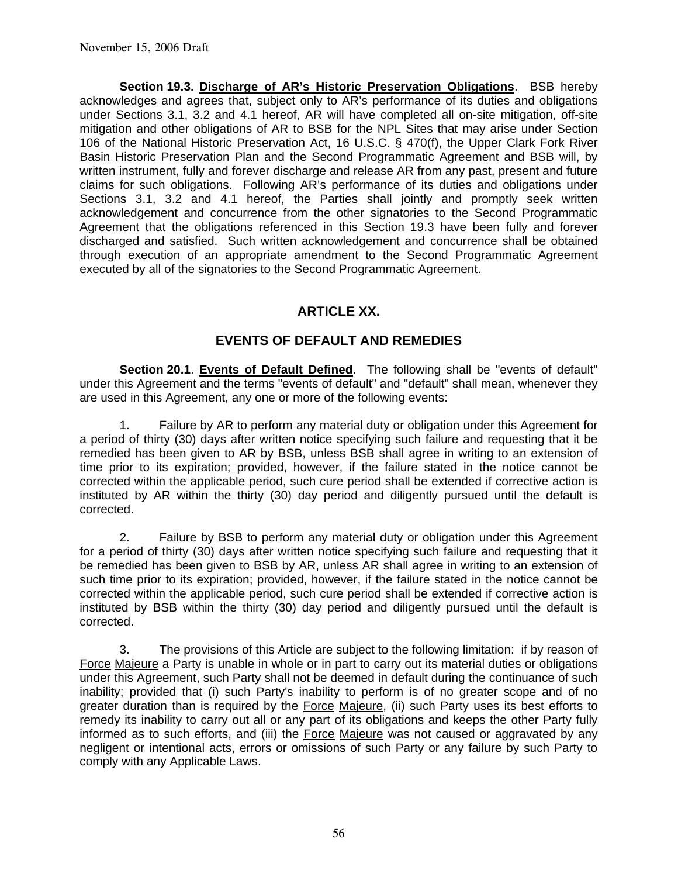**Section 19.3. Discharge of AR's Historic Preservation Obligations**. BSB hereby acknowledges and agrees that, subject only to AR's performance of its duties and obligations under Sections 3.1, 3.2 and 4.1 hereof, AR will have completed all on-site mitigation, off-site mitigation and other obligations of AR to BSB for the NPL Sites that may arise under Section 106 of the National Historic Preservation Act, 16 U.S.C. § 470(f), the Upper Clark Fork River Basin Historic Preservation Plan and the Second Programmatic Agreement and BSB will, by written instrument, fully and forever discharge and release AR from any past, present and future claims for such obligations. Following AR's performance of its duties and obligations under Sections 3.1, 3.2 and 4.1 hereof, the Parties shall jointly and promptly seek written acknowledgement and concurrence from the other signatories to the Second Programmatic Agreement that the obligations referenced in this Section 19.3 have been fully and forever discharged and satisfied. Such written acknowledgement and concurrence shall be obtained through execution of an appropriate amendment to the Second Programmatic Agreement executed by all of the signatories to the Second Programmatic Agreement.

# **ARTICLE XX.**

# **EVENTS OF DEFAULT AND REMEDIES**

 **Section 20.1**. **Events of Default Defined**. The following shall be "events of default" under this Agreement and the terms "events of default" and "default" shall mean, whenever they are used in this Agreement, any one or more of the following events:

 1. Failure by AR to perform any material duty or obligation under this Agreement for a period of thirty (30) days after written notice specifying such failure and requesting that it be remedied has been given to AR by BSB, unless BSB shall agree in writing to an extension of time prior to its expiration; provided, however, if the failure stated in the notice cannot be corrected within the applicable period, such cure period shall be extended if corrective action is instituted by AR within the thirty (30) day period and diligently pursued until the default is corrected.

 2. Failure by BSB to perform any material duty or obligation under this Agreement for a period of thirty (30) days after written notice specifying such failure and requesting that it be remedied has been given to BSB by AR, unless AR shall agree in writing to an extension of such time prior to its expiration; provided, however, if the failure stated in the notice cannot be corrected within the applicable period, such cure period shall be extended if corrective action is instituted by BSB within the thirty (30) day period and diligently pursued until the default is corrected.

 3. The provisions of this Article are subject to the following limitation: if by reason of Force Majeure a Party is unable in whole or in part to carry out its material duties or obligations under this Agreement, such Party shall not be deemed in default during the continuance of such inability; provided that (i) such Party's inability to perform is of no greater scope and of no greater duration than is required by the Force Majeure, (ii) such Party uses its best efforts to remedy its inability to carry out all or any part of its obligations and keeps the other Party fully informed as to such efforts, and (iii) the Force Majeure was not caused or aggravated by any negligent or intentional acts, errors or omissions of such Party or any failure by such Party to comply with any Applicable Laws.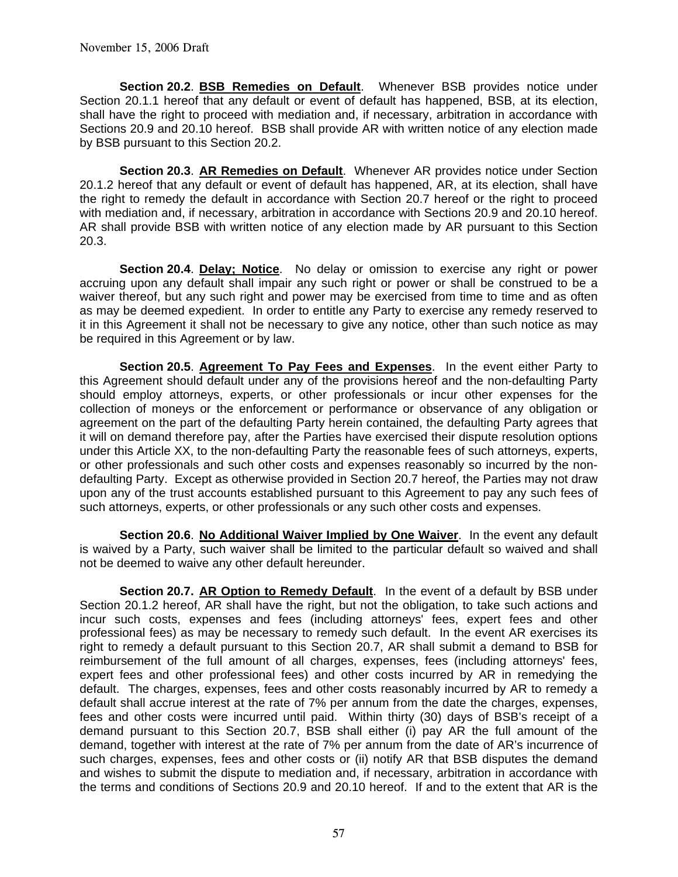**Section 20.2**. **BSB Remedies on Default**. Whenever BSB provides notice under Section 20.1.1 hereof that any default or event of default has happened, BSB, at its election, shall have the right to proceed with mediation and, if necessary, arbitration in accordance with Sections 20.9 and 20.10 hereof. BSB shall provide AR with written notice of any election made by BSB pursuant to this Section 20.2.

**Section 20.3**. **AR Remedies on Default**. Whenever AR provides notice under Section 20.1.2 hereof that any default or event of default has happened, AR, at its election, shall have the right to remedy the default in accordance with Section 20.7 hereof or the right to proceed with mediation and, if necessary, arbitration in accordance with Sections 20.9 and 20.10 hereof. AR shall provide BSB with written notice of any election made by AR pursuant to this Section 20.3.

**Section 20.4**. **Delay; Notice**. No delay or omission to exercise any right or power accruing upon any default shall impair any such right or power or shall be construed to be a waiver thereof, but any such right and power may be exercised from time to time and as often as may be deemed expedient. In order to entitle any Party to exercise any remedy reserved to it in this Agreement it shall not be necessary to give any notice, other than such notice as may be required in this Agreement or by law.

**Section 20.5**. **Agreement To Pay Fees and Expenses**. In the event either Party to this Agreement should default under any of the provisions hereof and the non-defaulting Party should employ attorneys, experts, or other professionals or incur other expenses for the collection of moneys or the enforcement or performance or observance of any obligation or agreement on the part of the defaulting Party herein contained, the defaulting Party agrees that it will on demand therefore pay, after the Parties have exercised their dispute resolution options under this Article XX, to the non-defaulting Party the reasonable fees of such attorneys, experts, or other professionals and such other costs and expenses reasonably so incurred by the nondefaulting Party. Except as otherwise provided in Section 20.7 hereof, the Parties may not draw upon any of the trust accounts established pursuant to this Agreement to pay any such fees of such attorneys, experts, or other professionals or any such other costs and expenses.

**Section 20.6**. **No Additional Waiver Implied by One Waiver**. In the event any default is waived by a Party, such waiver shall be limited to the particular default so waived and shall not be deemed to waive any other default hereunder.

**Section 20.7. AR Option to Remedy Default**. In the event of a default by BSB under Section 20.1.2 hereof, AR shall have the right, but not the obligation, to take such actions and incur such costs, expenses and fees (including attorneys' fees, expert fees and other professional fees) as may be necessary to remedy such default. In the event AR exercises its right to remedy a default pursuant to this Section 20.7, AR shall submit a demand to BSB for reimbursement of the full amount of all charges, expenses, fees (including attorneys' fees, expert fees and other professional fees) and other costs incurred by AR in remedying the default. The charges, expenses, fees and other costs reasonably incurred by AR to remedy a default shall accrue interest at the rate of 7% per annum from the date the charges, expenses, fees and other costs were incurred until paid. Within thirty (30) days of BSB's receipt of a demand pursuant to this Section 20.7, BSB shall either (i) pay AR the full amount of the demand, together with interest at the rate of 7% per annum from the date of AR's incurrence of such charges, expenses, fees and other costs or (ii) notify AR that BSB disputes the demand and wishes to submit the dispute to mediation and, if necessary, arbitration in accordance with the terms and conditions of Sections 20.9 and 20.10 hereof. If and to the extent that AR is the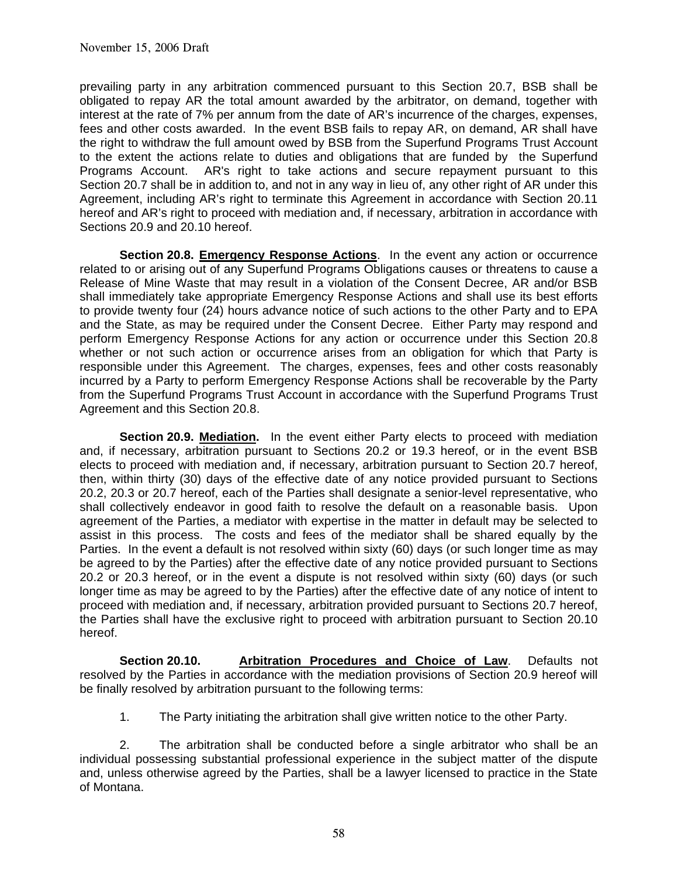prevailing party in any arbitration commenced pursuant to this Section 20.7, BSB shall be obligated to repay AR the total amount awarded by the arbitrator, on demand, together with interest at the rate of 7% per annum from the date of AR's incurrence of the charges, expenses, fees and other costs awarded. In the event BSB fails to repay AR, on demand, AR shall have the right to withdraw the full amount owed by BSB from the Superfund Programs Trust Account to the extent the actions relate to duties and obligations that are funded by the Superfund Programs Account. AR's right to take actions and secure repayment pursuant to this Section 20.7 shall be in addition to, and not in any way in lieu of, any other right of AR under this Agreement, including AR's right to terminate this Agreement in accordance with Section 20.11 hereof and AR's right to proceed with mediation and, if necessary, arbitration in accordance with Sections 20.9 and 20.10 hereof.

**Section 20.8. Emergency Response Actions.** In the event any action or occurrence related to or arising out of any Superfund Programs Obligations causes or threatens to cause a Release of Mine Waste that may result in a violation of the Consent Decree, AR and/or BSB shall immediately take appropriate Emergency Response Actions and shall use its best efforts to provide twenty four (24) hours advance notice of such actions to the other Party and to EPA and the State, as may be required under the Consent Decree. Either Party may respond and perform Emergency Response Actions for any action or occurrence under this Section 20.8 whether or not such action or occurrence arises from an obligation for which that Party is responsible under this Agreement. The charges, expenses, fees and other costs reasonably incurred by a Party to perform Emergency Response Actions shall be recoverable by the Party from the Superfund Programs Trust Account in accordance with the Superfund Programs Trust Agreement and this Section 20.8.

**Section 20.9. Mediation.** In the event either Party elects to proceed with mediation and, if necessary, arbitration pursuant to Sections 20.2 or 19.3 hereof, or in the event BSB elects to proceed with mediation and, if necessary, arbitration pursuant to Section 20.7 hereof, then, within thirty (30) days of the effective date of any notice provided pursuant to Sections 20.2, 20.3 or 20.7 hereof, each of the Parties shall designate a senior-level representative, who shall collectively endeavor in good faith to resolve the default on a reasonable basis. Upon agreement of the Parties, a mediator with expertise in the matter in default may be selected to assist in this process. The costs and fees of the mediator shall be shared equally by the Parties. In the event a default is not resolved within sixty (60) days (or such longer time as may be agreed to by the Parties) after the effective date of any notice provided pursuant to Sections 20.2 or 20.3 hereof, or in the event a dispute is not resolved within sixty (60) days (or such longer time as may be agreed to by the Parties) after the effective date of any notice of intent to proceed with mediation and, if necessary, arbitration provided pursuant to Sections 20.7 hereof, the Parties shall have the exclusive right to proceed with arbitration pursuant to Section 20.10 hereof.

**Section 20.10. Arbitration Procedures and Choice of Law**. Defaults not resolved by the Parties in accordance with the mediation provisions of Section 20.9 hereof will be finally resolved by arbitration pursuant to the following terms:

1. The Party initiating the arbitration shall give written notice to the other Party.

 2. The arbitration shall be conducted before a single arbitrator who shall be an individual possessing substantial professional experience in the subject matter of the dispute and, unless otherwise agreed by the Parties, shall be a lawyer licensed to practice in the State of Montana.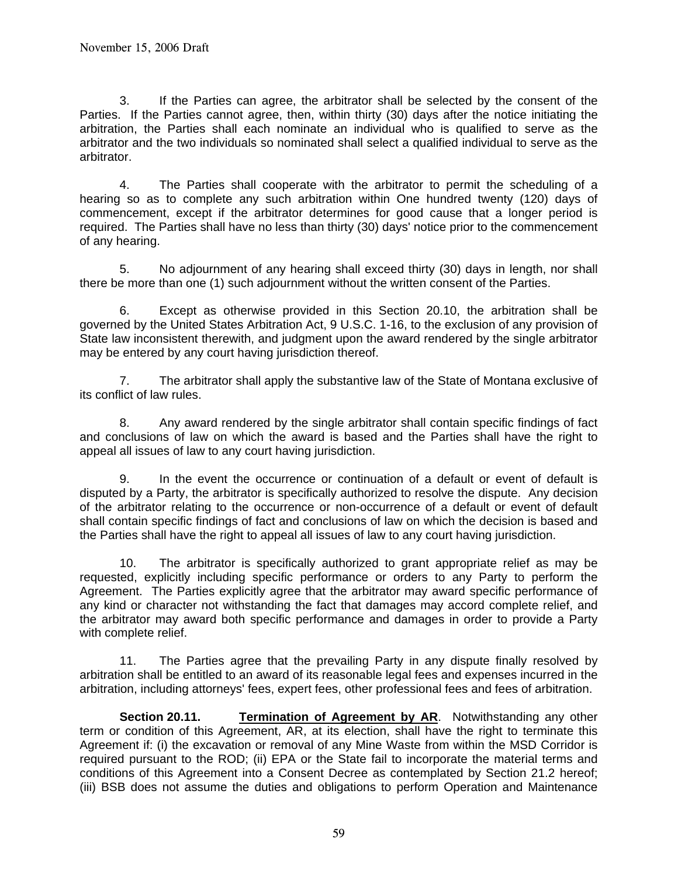3. If the Parties can agree, the arbitrator shall be selected by the consent of the Parties. If the Parties cannot agree, then, within thirty (30) days after the notice initiating the arbitration, the Parties shall each nominate an individual who is qualified to serve as the arbitrator and the two individuals so nominated shall select a qualified individual to serve as the arbitrator.

 4. The Parties shall cooperate with the arbitrator to permit the scheduling of a hearing so as to complete any such arbitration within One hundred twenty (120) days of commencement, except if the arbitrator determines for good cause that a longer period is required. The Parties shall have no less than thirty (30) days' notice prior to the commencement of any hearing.

 5. No adjournment of any hearing shall exceed thirty (30) days in length, nor shall there be more than one (1) such adjournment without the written consent of the Parties.

 6. Except as otherwise provided in this Section 20.10, the arbitration shall be governed by the United States Arbitration Act, 9 U.S.C. 1-16, to the exclusion of any provision of State law inconsistent therewith, and judgment upon the award rendered by the single arbitrator may be entered by any court having jurisdiction thereof.

 7. The arbitrator shall apply the substantive law of the State of Montana exclusive of its conflict of law rules.

 8. Any award rendered by the single arbitrator shall contain specific findings of fact and conclusions of law on which the award is based and the Parties shall have the right to appeal all issues of law to any court having jurisdiction.

 9. In the event the occurrence or continuation of a default or event of default is disputed by a Party, the arbitrator is specifically authorized to resolve the dispute. Any decision of the arbitrator relating to the occurrence or non-occurrence of a default or event of default shall contain specific findings of fact and conclusions of law on which the decision is based and the Parties shall have the right to appeal all issues of law to any court having jurisdiction.

 10. The arbitrator is specifically authorized to grant appropriate relief as may be requested, explicitly including specific performance or orders to any Party to perform the Agreement. The Parties explicitly agree that the arbitrator may award specific performance of any kind or character not withstanding the fact that damages may accord complete relief, and the arbitrator may award both specific performance and damages in order to provide a Party with complete relief.

 11. The Parties agree that the prevailing Party in any dispute finally resolved by arbitration shall be entitled to an award of its reasonable legal fees and expenses incurred in the arbitration, including attorneys' fees, expert fees, other professional fees and fees of arbitration.

**Section 20.11. Termination of Agreement by AR**. Notwithstanding any other term or condition of this Agreement, AR, at its election, shall have the right to terminate this Agreement if: (i) the excavation or removal of any Mine Waste from within the MSD Corridor is required pursuant to the ROD; (ii) EPA or the State fail to incorporate the material terms and conditions of this Agreement into a Consent Decree as contemplated by Section 21.2 hereof; (iii) BSB does not assume the duties and obligations to perform Operation and Maintenance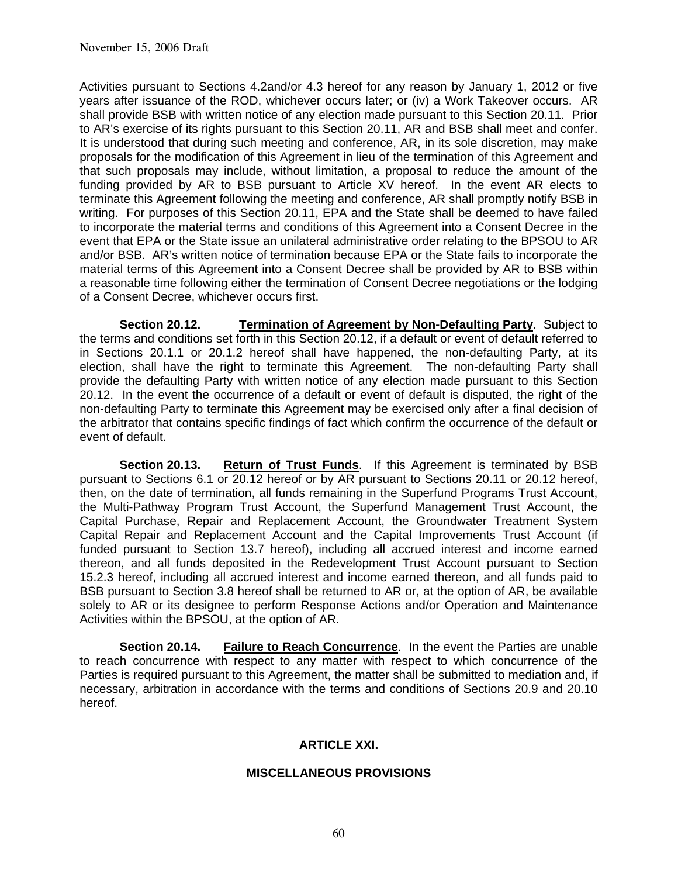Activities pursuant to Sections 4.2and/or 4.3 hereof for any reason by January 1, 2012 or five years after issuance of the ROD, whichever occurs later; or (iv) a Work Takeover occurs. AR shall provide BSB with written notice of any election made pursuant to this Section 20.11. Prior to AR's exercise of its rights pursuant to this Section 20.11, AR and BSB shall meet and confer. It is understood that during such meeting and conference, AR, in its sole discretion, may make proposals for the modification of this Agreement in lieu of the termination of this Agreement and that such proposals may include, without limitation, a proposal to reduce the amount of the funding provided by AR to BSB pursuant to Article XV hereof. In the event AR elects to terminate this Agreement following the meeting and conference, AR shall promptly notify BSB in writing. For purposes of this Section 20.11, EPA and the State shall be deemed to have failed to incorporate the material terms and conditions of this Agreement into a Consent Decree in the event that EPA or the State issue an unilateral administrative order relating to the BPSOU to AR and/or BSB. AR's written notice of termination because EPA or the State fails to incorporate the material terms of this Agreement into a Consent Decree shall be provided by AR to BSB within a reasonable time following either the termination of Consent Decree negotiations or the lodging of a Consent Decree, whichever occurs first.

**Section 20.12. Termination of Agreement by Non-Defaulting Party**. Subject to the terms and conditions set forth in this Section 20.12, if a default or event of default referred to in Sections 20.1.1 or 20.1.2 hereof shall have happened, the non-defaulting Party, at its election, shall have the right to terminate this Agreement. The non-defaulting Party shall provide the defaulting Party with written notice of any election made pursuant to this Section 20.12. In the event the occurrence of a default or event of default is disputed, the right of the non-defaulting Party to terminate this Agreement may be exercised only after a final decision of the arbitrator that contains specific findings of fact which confirm the occurrence of the default or event of default.

**Section 20.13. Return of Trust Funds**. If this Agreement is terminated by BSB pursuant to Sections 6.1 or 20.12 hereof or by AR pursuant to Sections 20.11 or 20.12 hereof, then, on the date of termination, all funds remaining in the Superfund Programs Trust Account, the Multi-Pathway Program Trust Account, the Superfund Management Trust Account, the Capital Purchase, Repair and Replacement Account, the Groundwater Treatment System Capital Repair and Replacement Account and the Capital Improvements Trust Account (if funded pursuant to Section 13.7 hereof), including all accrued interest and income earned thereon, and all funds deposited in the Redevelopment Trust Account pursuant to Section 15.2.3 hereof, including all accrued interest and income earned thereon, and all funds paid to BSB pursuant to Section 3.8 hereof shall be returned to AR or, at the option of AR, be available solely to AR or its designee to perform Response Actions and/or Operation and Maintenance Activities within the BPSOU, at the option of AR.

**Section 20.14. Failure to Reach Concurrence**.In the event the Parties are unable to reach concurrence with respect to any matter with respect to which concurrence of the Parties is required pursuant to this Agreement, the matter shall be submitted to mediation and, if necessary, arbitration in accordance with the terms and conditions of Sections 20.9 and 20.10 hereof.

#### **ARTICLE XXI.**

#### **MISCELLANEOUS PROVISIONS**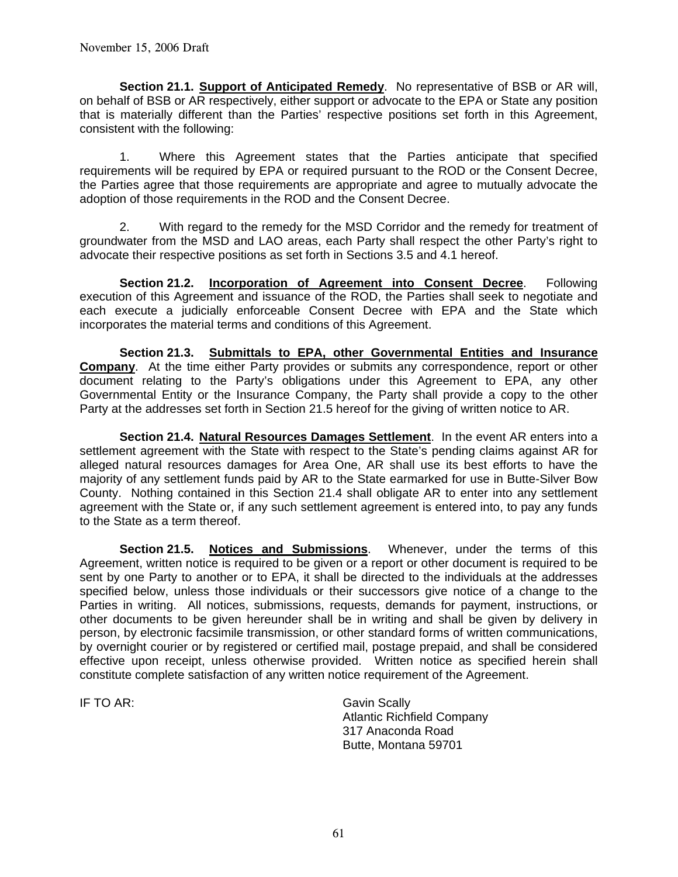**Section 21.1. Support of Anticipated Remedy**. No representative of BSB or AR will, on behalf of BSB or AR respectively, either support or advocate to the EPA or State any position that is materially different than the Parties' respective positions set forth in this Agreement, consistent with the following:

1. Where this Agreement states that the Parties anticipate that specified requirements will be required by EPA or required pursuant to the ROD or the Consent Decree, the Parties agree that those requirements are appropriate and agree to mutually advocate the adoption of those requirements in the ROD and the Consent Decree.

 2. With regard to the remedy for the MSD Corridor and the remedy for treatment of groundwater from the MSD and LAO areas, each Party shall respect the other Party's right to advocate their respective positions as set forth in Sections 3.5 and 4.1 hereof.

**Section 21.2. Incorporation of Agreement into Consent Decree**. Following execution of this Agreement and issuance of the ROD, the Parties shall seek to negotiate and each execute a judicially enforceable Consent Decree with EPA and the State which incorporates the material terms and conditions of this Agreement.

**Section 21.3. Submittals to EPA, other Governmental Entities and Insurance Company**. At the time either Party provides or submits any correspondence, report or other document relating to the Party's obligations under this Agreement to EPA, any other Governmental Entity or the Insurance Company, the Party shall provide a copy to the other Party at the addresses set forth in Section 21.5 hereof for the giving of written notice to AR.

**Section 21.4. Natural Resources Damages Settlement**. In the event AR enters into a settlement agreement with the State with respect to the State's pending claims against AR for alleged natural resources damages for Area One, AR shall use its best efforts to have the majority of any settlement funds paid by AR to the State earmarked for use in Butte-Silver Bow County. Nothing contained in this Section 21.4 shall obligate AR to enter into any settlement agreement with the State or, if any such settlement agreement is entered into, to pay any funds to the State as a term thereof.

**Section 21.5. Notices and Submissions**. Whenever, under the terms of this Agreement, written notice is required to be given or a report or other document is required to be sent by one Party to another or to EPA, it shall be directed to the individuals at the addresses specified below, unless those individuals or their successors give notice of a change to the Parties in writing. All notices, submissions, requests, demands for payment, instructions, or other documents to be given hereunder shall be in writing and shall be given by delivery in person, by electronic facsimile transmission, or other standard forms of written communications, by overnight courier or by registered or certified mail, postage prepaid, and shall be considered effective upon receipt, unless otherwise provided. Written notice as specified herein shall constitute complete satisfaction of any written notice requirement of the Agreement.

IF TO AR: Gavin Scally Atlantic Richfield Company 317 Anaconda Road Butte, Montana 59701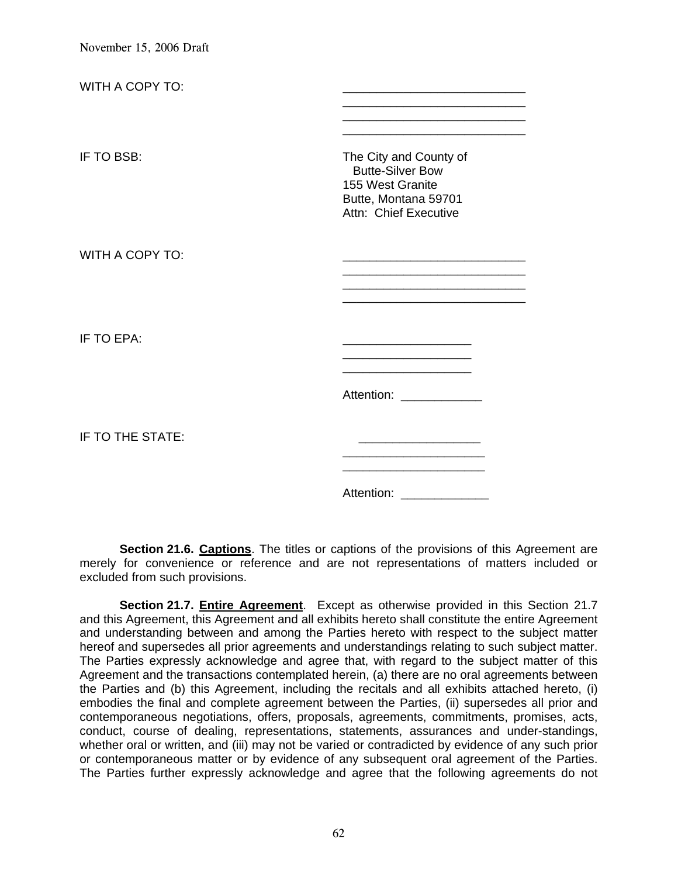| WITH A COPY TO:  |                                                                                                                        |
|------------------|------------------------------------------------------------------------------------------------------------------------|
| IF TO BSB:       | The City and County of<br><b>Butte-Silver Bow</b><br>155 West Granite<br>Butte, Montana 59701<br>Attn: Chief Executive |
| WITH A COPY TO:  |                                                                                                                        |
| IF TO EPA:       |                                                                                                                        |
| IF TO THE STATE: | Attention: Attention:                                                                                                  |
|                  | Attention:                                                                                                             |

Section 21.6. Captions. The titles or captions of the provisions of this Agreement are merely for convenience or reference and are not representations of matters included or excluded from such provisions.

**Section 21.7. Entire Agreement**. Except as otherwise provided in this Section 21.7 and this Agreement, this Agreement and all exhibits hereto shall constitute the entire Agreement and understanding between and among the Parties hereto with respect to the subject matter hereof and supersedes all prior agreements and understandings relating to such subject matter. The Parties expressly acknowledge and agree that, with regard to the subject matter of this Agreement and the transactions contemplated herein, (a) there are no oral agreements between the Parties and (b) this Agreement, including the recitals and all exhibits attached hereto, (i) embodies the final and complete agreement between the Parties, (ii) supersedes all prior and contemporaneous negotiations, offers, proposals, agreements, commitments, promises, acts, conduct, course of dealing, representations, statements, assurances and under-standings, whether oral or written, and (iii) may not be varied or contradicted by evidence of any such prior or contemporaneous matter or by evidence of any subsequent oral agreement of the Parties. The Parties further expressly acknowledge and agree that the following agreements do not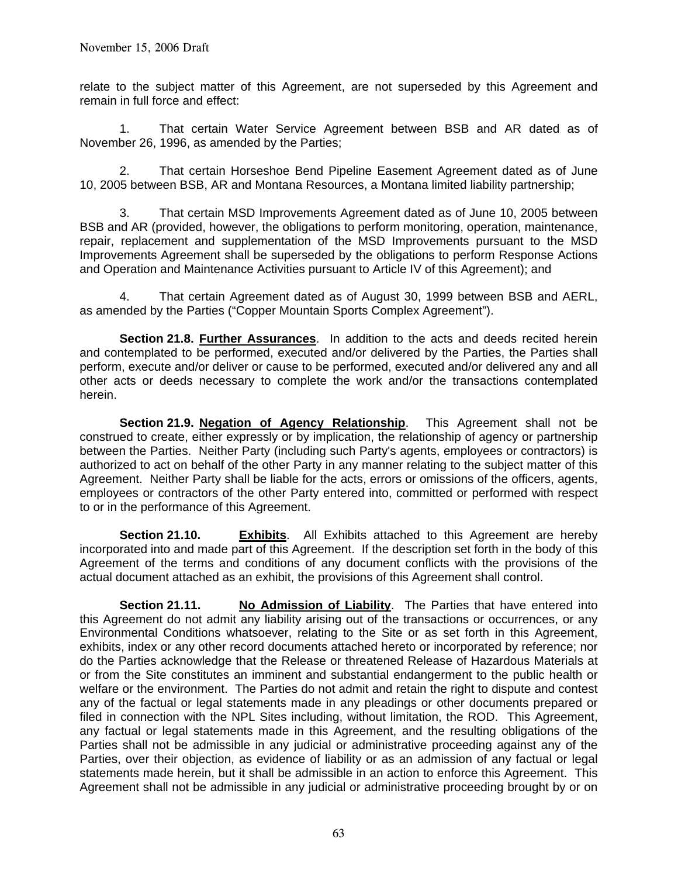relate to the subject matter of this Agreement, are not superseded by this Agreement and remain in full force and effect:

 1. That certain Water Service Agreement between BSB and AR dated as of November 26, 1996, as amended by the Parties;

 2. That certain Horseshoe Bend Pipeline Easement Agreement dated as of June 10, 2005 between BSB, AR and Montana Resources, a Montana limited liability partnership;

 3. That certain MSD Improvements Agreement dated as of June 10, 2005 between BSB and AR (provided, however, the obligations to perform monitoring, operation, maintenance, repair, replacement and supplementation of the MSD Improvements pursuant to the MSD Improvements Agreement shall be superseded by the obligations to perform Response Actions and Operation and Maintenance Activities pursuant to Article IV of this Agreement); and

 4. That certain Agreement dated as of August 30, 1999 between BSB and AERL, as amended by the Parties ("Copper Mountain Sports Complex Agreement").

**Section 21.8. Further Assurances**. In addition to the acts and deeds recited herein and contemplated to be performed, executed and/or delivered by the Parties, the Parties shall perform, execute and/or deliver or cause to be performed, executed and/or delivered any and all other acts or deeds necessary to complete the work and/or the transactions contemplated herein.

**Section 21.9. Negation of Agency Relationship**. This Agreement shall not be construed to create, either expressly or by implication, the relationship of agency or partnership between the Parties. Neither Party (including such Party's agents, employees or contractors) is authorized to act on behalf of the other Party in any manner relating to the subject matter of this Agreement. Neither Party shall be liable for the acts, errors or omissions of the officers, agents, employees or contractors of the other Party entered into, committed or performed with respect to or in the performance of this Agreement.

**Section 21.10. Exhibits**. All Exhibits attached to this Agreement are hereby incorporated into and made part of this Agreement. If the description set forth in the body of this Agreement of the terms and conditions of any document conflicts with the provisions of the actual document attached as an exhibit, the provisions of this Agreement shall control.

**Section 21.11. No Admission of Liability**. The Parties that have entered into this Agreement do not admit any liability arising out of the transactions or occurrences, or any Environmental Conditions whatsoever, relating to the Site or as set forth in this Agreement, exhibits, index or any other record documents attached hereto or incorporated by reference; nor do the Parties acknowledge that the Release or threatened Release of Hazardous Materials at or from the Site constitutes an imminent and substantial endangerment to the public health or welfare or the environment. The Parties do not admit and retain the right to dispute and contest any of the factual or legal statements made in any pleadings or other documents prepared or filed in connection with the NPL Sites including, without limitation, the ROD. This Agreement, any factual or legal statements made in this Agreement, and the resulting obligations of the Parties shall not be admissible in any judicial or administrative proceeding against any of the Parties, over their objection, as evidence of liability or as an admission of any factual or legal statements made herein, but it shall be admissible in an action to enforce this Agreement. This Agreement shall not be admissible in any judicial or administrative proceeding brought by or on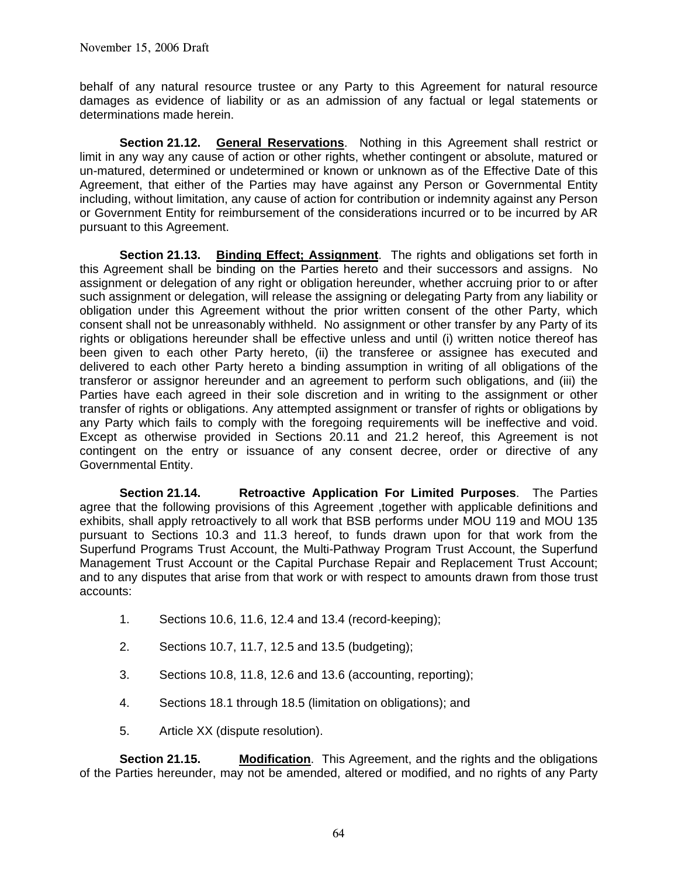behalf of any natural resource trustee or any Party to this Agreement for natural resource damages as evidence of liability or as an admission of any factual or legal statements or determinations made herein.

**Section 21.12. General Reservations**. Nothing in this Agreement shall restrict or limit in any way any cause of action or other rights, whether contingent or absolute, matured or un-matured, determined or undetermined or known or unknown as of the Effective Date of this Agreement, that either of the Parties may have against any Person or Governmental Entity including, without limitation, any cause of action for contribution or indemnity against any Person or Government Entity for reimbursement of the considerations incurred or to be incurred by AR pursuant to this Agreement.

**Section 21.13.** Binding Effect; Assignment. The rights and obligations set forth in this Agreement shall be binding on the Parties hereto and their successors and assigns. No assignment or delegation of any right or obligation hereunder, whether accruing prior to or after such assignment or delegation, will release the assigning or delegating Party from any liability or obligation under this Agreement without the prior written consent of the other Party, which consent shall not be unreasonably withheld. No assignment or other transfer by any Party of its rights or obligations hereunder shall be effective unless and until (i) written notice thereof has been given to each other Party hereto, (ii) the transferee or assignee has executed and delivered to each other Party hereto a binding assumption in writing of all obligations of the transferor or assignor hereunder and an agreement to perform such obligations, and (iii) the Parties have each agreed in their sole discretion and in writing to the assignment or other transfer of rights or obligations. Any attempted assignment or transfer of rights or obligations by any Party which fails to comply with the foregoing requirements will be ineffective and void. Except as otherwise provided in Sections 20.11 and 21.2 hereof, this Agreement is not contingent on the entry or issuance of any consent decree, order or directive of any Governmental Entity.

**Section 21.14. Retroactive Application For Limited Purposes**. The Parties agree that the following provisions of this Agreement ,together with applicable definitions and exhibits, shall apply retroactively to all work that BSB performs under MOU 119 and MOU 135 pursuant to Sections 10.3 and 11.3 hereof, to funds drawn upon for that work from the Superfund Programs Trust Account, the Multi-Pathway Program Trust Account, the Superfund Management Trust Account or the Capital Purchase Repair and Replacement Trust Account; and to any disputes that arise from that work or with respect to amounts drawn from those trust accounts:

- 1. Sections 10.6, 11.6, 12.4 and 13.4 (record-keeping);
- 2. Sections 10.7, 11.7, 12.5 and 13.5 (budgeting);
- 3. Sections 10.8, 11.8, 12.6 and 13.6 (accounting, reporting);
- 4. Sections 18.1 through 18.5 (limitation on obligations); and
- 5. Article XX (dispute resolution).

**Section 21.15. Modification**. This Agreement, and the rights and the obligations of the Parties hereunder, may not be amended, altered or modified, and no rights of any Party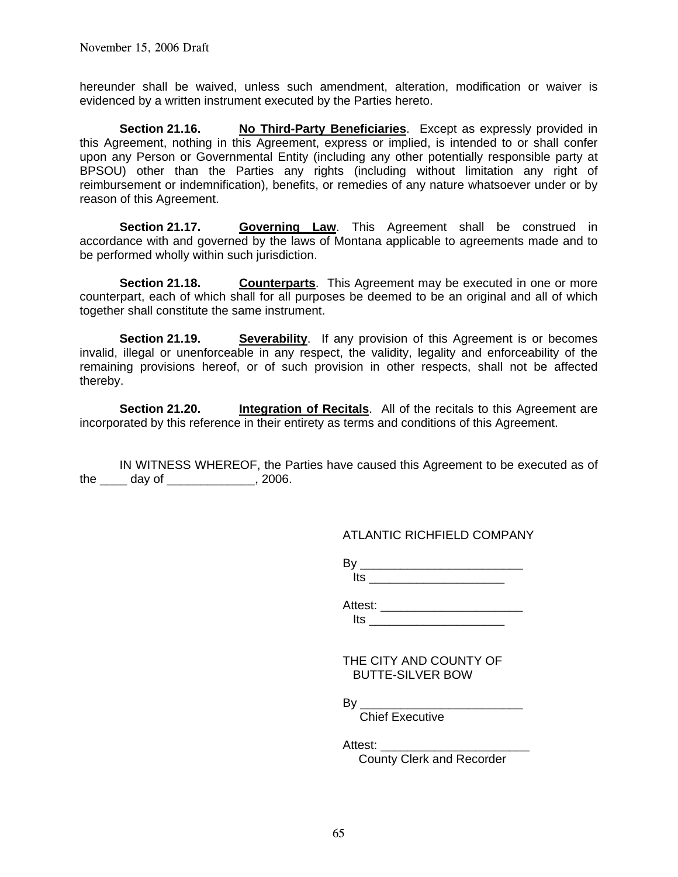hereunder shall be waived, unless such amendment, alteration, modification or waiver is evidenced by a written instrument executed by the Parties hereto.

**Section 21.16. No Third-Party Beneficiaries.** Except as expressly provided in this Agreement, nothing in this Agreement, express or implied, is intended to or shall confer upon any Person or Governmental Entity (including any other potentially responsible party at BPSOU) other than the Parties any rights (including without limitation any right of reimbursement or indemnification), benefits, or remedies of any nature whatsoever under or by reason of this Agreement.

**Section 21.17. Governing Law**. This Agreement shall be construed in accordance with and governed by the laws of Montana applicable to agreements made and to be performed wholly within such jurisdiction.

**Section 21.18. Counterparts**. This Agreement may be executed in one or more counterpart, each of which shall for all purposes be deemed to be an original and all of which together shall constitute the same instrument.

**Section 21.19. Severability**. If any provision of this Agreement is or becomes invalid, illegal or unenforceable in any respect, the validity, legality and enforceability of the remaining provisions hereof, or of such provision in other respects, shall not be affected thereby.

**Section 21.20. Integration of Recitals.** All of the recitals to this Agreement are incorporated by this reference in their entirety as terms and conditions of this Agreement.

 IN WITNESS WHEREOF, the Parties have caused this Agreement to be executed as of the \_\_\_\_ day of \_\_\_\_\_\_\_\_\_\_\_\_\_, 2006.

## ATLANTIC RICHFIELD COMPANY

By \_\_\_\_\_\_\_\_\_\_\_\_\_\_\_\_\_\_\_\_\_\_\_\_  $Its$ 

Attest: \_\_\_\_\_\_\_\_\_\_\_\_\_\_\_\_\_\_\_\_\_ Its \_\_\_\_\_\_\_\_\_\_\_\_\_\_\_\_\_\_\_\_

 THE CITY AND COUNTY OF BUTTE-SILVER BOW

By \_\_\_\_\_\_\_\_\_\_\_\_\_\_\_\_\_\_\_\_\_\_\_\_

Chief Executive

Attest: \_\_\_\_\_\_\_\_\_\_\_\_\_\_\_\_\_\_\_\_\_\_

County Clerk and Recorder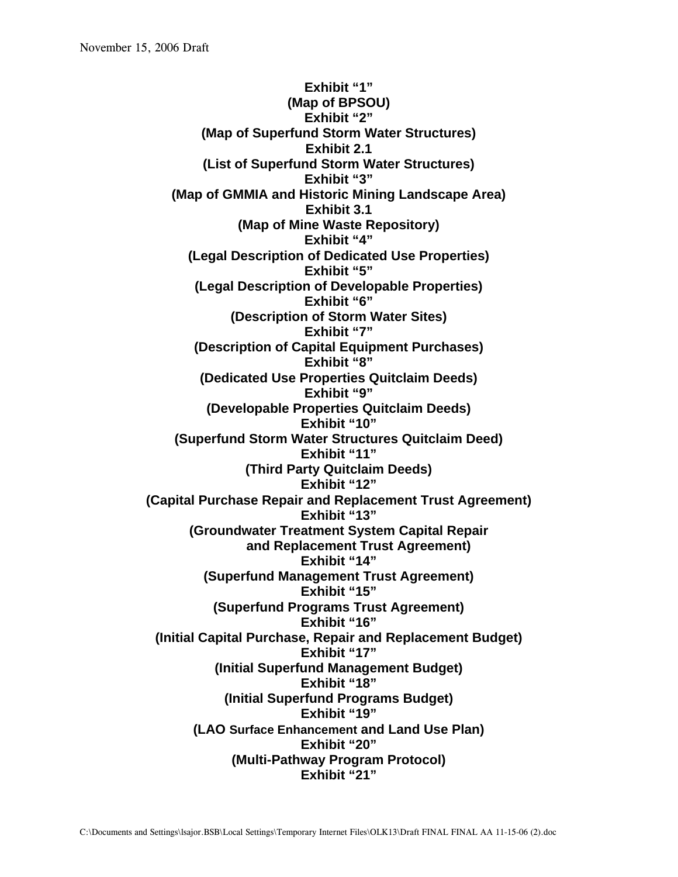**Exhibit "1" (Map of BPSOU) Exhibit "2" (Map of Superfund Storm Water Structures) Exhibit 2.1 (List of Superfund Storm Water Structures) Exhibit "3" (Map of GMMIA and Historic Mining Landscape Area) Exhibit 3.1 (Map of Mine Waste Repository) Exhibit "4" (Legal Description of Dedicated Use Properties) Exhibit "5" (Legal Description of Developable Properties) Exhibit "6" (Description of Storm Water Sites) Exhibit "7" (Description of Capital Equipment Purchases) Exhibit "8" (Dedicated Use Properties Quitclaim Deeds) Exhibit "9" (Developable Properties Quitclaim Deeds) Exhibit "10" (Superfund Storm Water Structures Quitclaim Deed) Exhibit "11" (Third Party Quitclaim Deeds) Exhibit "12" (Capital Purchase Repair and Replacement Trust Agreement) Exhibit "13" (Groundwater Treatment System Capital Repair and Replacement Trust Agreement) Exhibit "14" (Superfund Management Trust Agreement) Exhibit "15" (Superfund Programs Trust Agreement) Exhibit "16" (Initial Capital Purchase, Repair and Replacement Budget) Exhibit "17" (Initial Superfund Management Budget) Exhibit "18" (Initial Superfund Programs Budget) Exhibit "19" (LAO Surface Enhancement and Land Use Plan) Exhibit "20" (Multi-Pathway Program Protocol) Exhibit "21"**